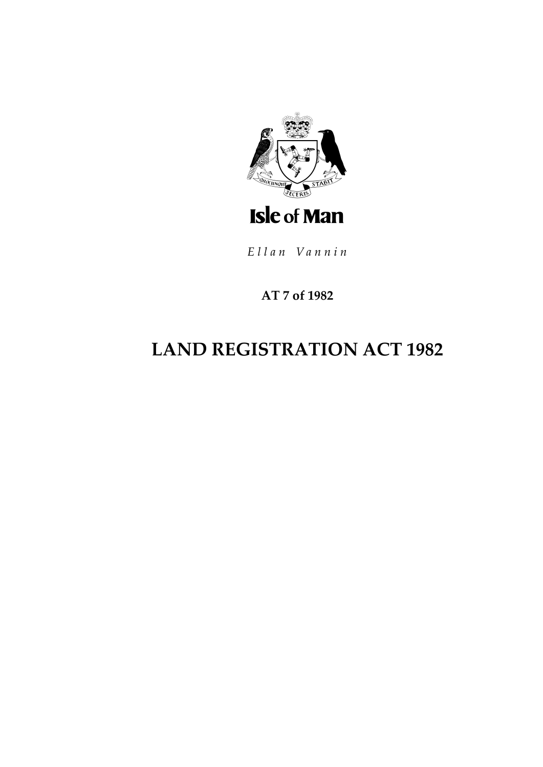

Ellan Vannin

# **AT 7 of 1982**

# **LAND REGISTRATION ACT 1982**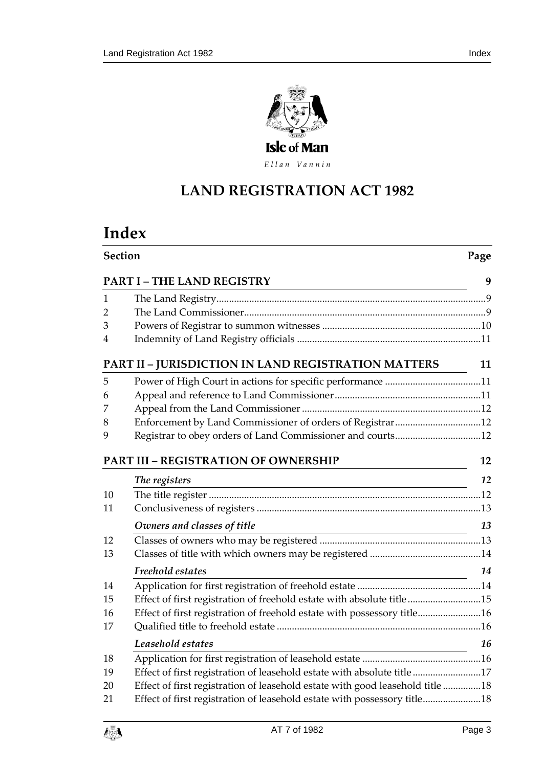

Ellan Vannin

# **LAND REGISTRATION AC T 1982**

# **Index**

|                                 | Section                                                                       |    |
|---------------------------------|-------------------------------------------------------------------------------|----|
| <b>PART I-THE LAND REGISTRY</b> |                                                                               |    |
| 1                               |                                                                               |    |
| $\overline{2}$                  |                                                                               |    |
| 3                               |                                                                               |    |
| 4                               |                                                                               |    |
|                                 | PART II - JURISDICTION IN LAND REGISTRATION MATTERS                           | 11 |
| 5                               |                                                                               |    |
| 6                               |                                                                               |    |
| 7                               |                                                                               |    |
| 8                               |                                                                               |    |
| 9                               | Registrar to obey orders of Land Commissioner and courts12                    |    |
|                                 | <b>PART III - REGISTRATION OF OWNERSHIP</b>                                   | 12 |
|                                 | The registers<br><u> 1989 - Johann Barn, mars and de Brasilian (b. 1989)</u>  | 12 |
| 10                              |                                                                               |    |
| 11                              |                                                                               |    |
|                                 | Owners and classes of title<br><u> 1989 - Johann Barn, fransk politik (</u>   | 13 |
| 12                              |                                                                               |    |
| 13                              |                                                                               |    |
|                                 | Freehold estates<br><u> 1980 - Johann Barbara, martin a</u>                   | 14 |
| 14                              |                                                                               |    |
| 15                              | Effect of first registration of freehold estate with absolute title15         |    |
| 16                              | Effect of first registration of freehold estate with possessory title16       |    |
| 17                              |                                                                               |    |
|                                 | Leasehold estates                                                             | 16 |
| 18                              |                                                                               |    |
| 19                              | Effect of first registration of leasehold estate with absolute title17        |    |
| 20                              | Effect of first registration of leasehold estate with good leasehold title 18 |    |
| 21                              | Effect of first registration of leasehold estate with possessory title18      |    |

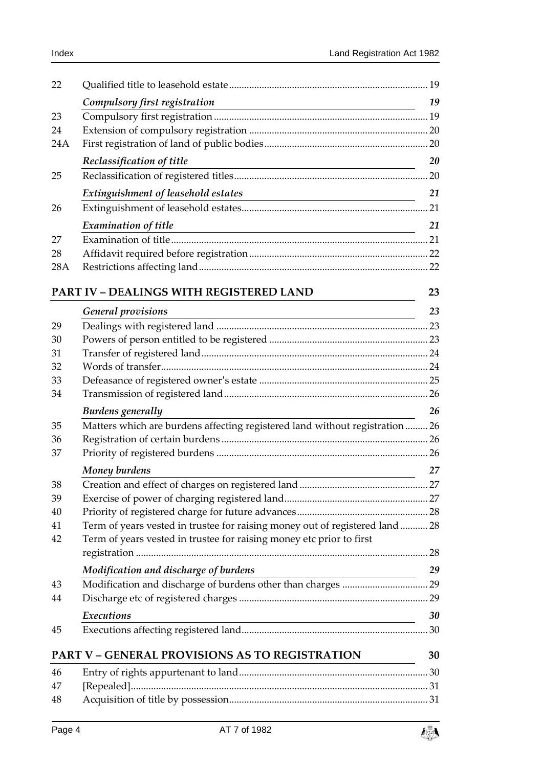| 22  |                                                                                                                                                      |      |
|-----|------------------------------------------------------------------------------------------------------------------------------------------------------|------|
|     | Compulsory first registration                                                                                                                        | 19   |
| 23  |                                                                                                                                                      |      |
| 24  |                                                                                                                                                      |      |
| 24A |                                                                                                                                                      |      |
|     | Reclassification of title                                                                                                                            | 20   |
| 25  |                                                                                                                                                      |      |
|     | Extinguishment of leasehold estates                                                                                                                  | 21   |
| 26  |                                                                                                                                                      |      |
|     | <b>Examination of title</b><br><u> 1989 - Johann Barbara, martin amerikan basar dan berasal dan berasal dalam basar dalam basar dalam basar dala</u> | 21   |
| 27  |                                                                                                                                                      |      |
| 28  |                                                                                                                                                      |      |
| 28A |                                                                                                                                                      |      |
|     |                                                                                                                                                      |      |
|     | PART IV - DEALINGS WITH REGISTERED LAND                                                                                                              | 23   |
|     | <b>General provisions</b><br><u> 1989 - Johann Stoff, deutscher Stoffen und der Stoffen und der Stoffen und der Stoffen und der Stoffen und der</u>  | 23   |
| 29  |                                                                                                                                                      |      |
| 30  |                                                                                                                                                      |      |
| 31  |                                                                                                                                                      |      |
| 32  |                                                                                                                                                      |      |
| 33  |                                                                                                                                                      |      |
| 34  |                                                                                                                                                      |      |
|     | Burdens generally                                                                                                                                    | 26   |
| 35  | Matters which are burdens affecting registered land without registration  26                                                                         |      |
| 36  |                                                                                                                                                      |      |
| 37  |                                                                                                                                                      |      |
|     | Money burdens                                                                                                                                        | 27   |
| 38  |                                                                                                                                                      | . 27 |
| 39  |                                                                                                                                                      |      |
| 40  |                                                                                                                                                      |      |
| 41  | Term of years vested in trustee for raising money out of registered land  28                                                                         |      |
| 42  | Term of years vested in trustee for raising money etc prior to first                                                                                 |      |
|     |                                                                                                                                                      |      |
|     | Modification and discharge of burdens                                                                                                                | 29   |
| 43  |                                                                                                                                                      |      |
| 44  |                                                                                                                                                      |      |
|     | Executions                                                                                                                                           | 30   |
| 45  |                                                                                                                                                      |      |
|     | <b>PART V - GENERAL PROVISIONS AS TO REGISTRATION</b>                                                                                                | 30   |
| 46  |                                                                                                                                                      |      |
| 47  |                                                                                                                                                      |      |
| 48  |                                                                                                                                                      |      |
|     |                                                                                                                                                      |      |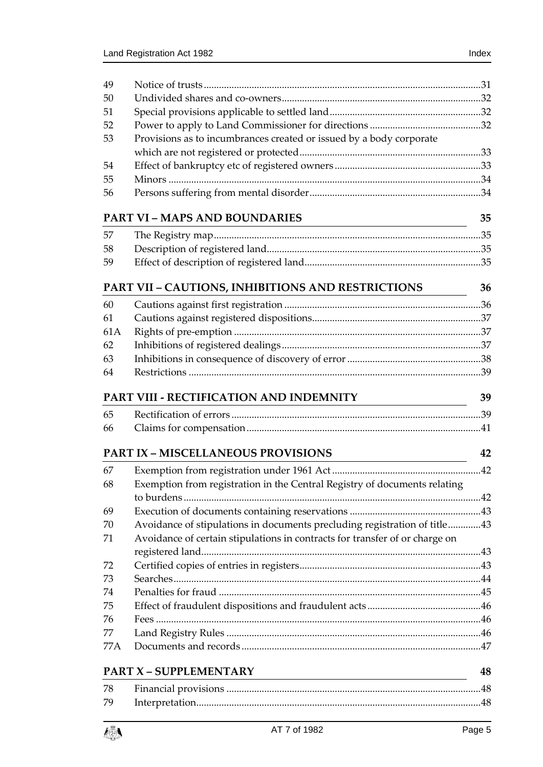| 49  |                                                                             |    |
|-----|-----------------------------------------------------------------------------|----|
| 50  |                                                                             |    |
| 51  |                                                                             |    |
| 52  |                                                                             |    |
| 53  | Provisions as to incumbrances created or issued by a body corporate         |    |
|     |                                                                             |    |
| 54  |                                                                             |    |
| 55  |                                                                             |    |
| 56  |                                                                             |    |
|     | <b>PART VI - MAPS AND BOUNDARIES</b>                                        | 35 |
|     |                                                                             |    |
| 57  |                                                                             |    |
| 58  |                                                                             |    |
| 59  |                                                                             |    |
|     | PART VII - CAUTIONS, INHIBITIONS AND RESTRICTIONS                           | 36 |
| 60  |                                                                             |    |
| 61  |                                                                             |    |
| 61A |                                                                             |    |
| 62  |                                                                             |    |
| 63  |                                                                             |    |
| 64  |                                                                             |    |
|     | PART VIII - RECTIFICATION AND INDEMNITY                                     | 39 |
| 65  |                                                                             |    |
|     |                                                                             |    |
| 66  |                                                                             |    |
|     | <b>PART IX - MISCELLANEOUS PROVISIONS</b>                                   | 42 |
| 67  |                                                                             |    |
| 68  | Exemption from registration in the Central Registry of documents relating   |    |
|     |                                                                             |    |
| 69  |                                                                             |    |
| 70  | Avoidance of stipulations in documents precluding registration of title43   |    |
| 71  | Avoidance of certain stipulations in contracts for transfer of or charge on |    |
|     |                                                                             |    |
| 72  |                                                                             |    |
| 73  |                                                                             |    |
| 74  |                                                                             |    |
| 75  |                                                                             |    |
| 76  |                                                                             |    |
| 77  |                                                                             |    |
| 77A |                                                                             |    |
|     |                                                                             |    |
|     | <b>PART X - SUPPLEMENTARY</b>                                               | 48 |
| 78  |                                                                             |    |
| 79  |                                                                             |    |
|     |                                                                             |    |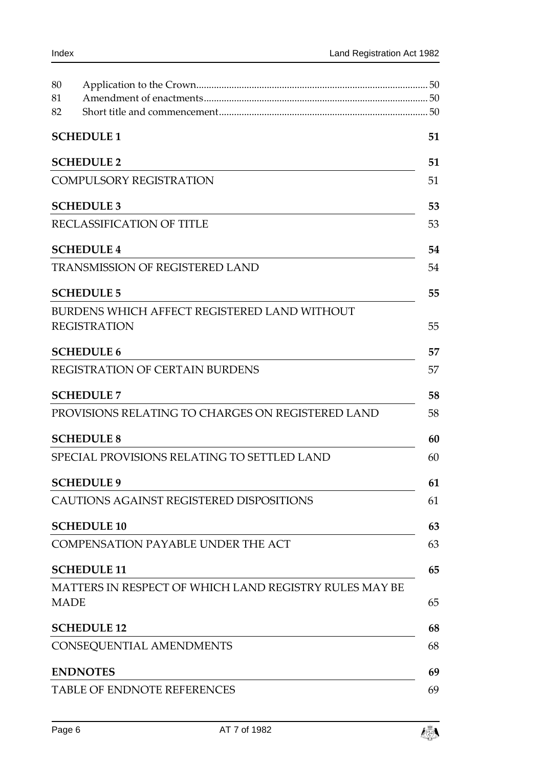| 80                |                                                        |    |  |
|-------------------|--------------------------------------------------------|----|--|
| 81                |                                                        |    |  |
| 82                |                                                        |    |  |
|                   | <b>SCHEDULE 1</b>                                      | 51 |  |
| <b>SCHEDULE 2</b> |                                                        |    |  |
|                   | <b>COMPULSORY REGISTRATION</b>                         |    |  |
|                   | <b>SCHEDULE 3</b>                                      | 53 |  |
|                   | RECLASSIFICATION OF TITLE                              | 53 |  |
|                   | <b>SCHEDULE 4</b>                                      | 54 |  |
|                   | <b>TRANSMISSION OF REGISTERED LAND</b>                 | 54 |  |
|                   | <b>SCHEDULE 5</b>                                      | 55 |  |
|                   | BURDENS WHICH AFFECT REGISTERED LAND WITHOUT           |    |  |
|                   | <b>REGISTRATION</b>                                    | 55 |  |
|                   | <b>SCHEDULE 6</b>                                      | 57 |  |
|                   | REGISTRATION OF CERTAIN BURDENS                        | 57 |  |
|                   | <b>SCHEDULE 7</b>                                      | 58 |  |
|                   | PROVISIONS RELATING TO CHARGES ON REGISTERED LAND      | 58 |  |
|                   | <b>SCHEDULE 8</b>                                      | 60 |  |
|                   | SPECIAL PROVISIONS RELATING TO SETTLED LAND            | 60 |  |
|                   | <b>SCHEDULE 9</b>                                      | 61 |  |
|                   | CAUTIONS AGAINST REGISTERED DISPOSITIONS               | 61 |  |
|                   | <b>SCHEDULE 10</b>                                     | 63 |  |
|                   | <b>COMPENSATION PAYABLE UNDER THE ACT</b>              | 63 |  |
|                   | <b>SCHEDULE 11</b>                                     | 65 |  |
|                   | MATTERS IN RESPECT OF WHICH LAND REGISTRY RULES MAY BE |    |  |
| <b>MADE</b>       |                                                        | 65 |  |
|                   | <b>SCHEDULE 12</b>                                     | 68 |  |
|                   | CONSEQUENTIAL AMENDMENTS                               | 68 |  |
|                   | <b>ENDNOTES</b>                                        | 69 |  |
|                   | TABLE OF ENDNOTE REFERENCES                            | 69 |  |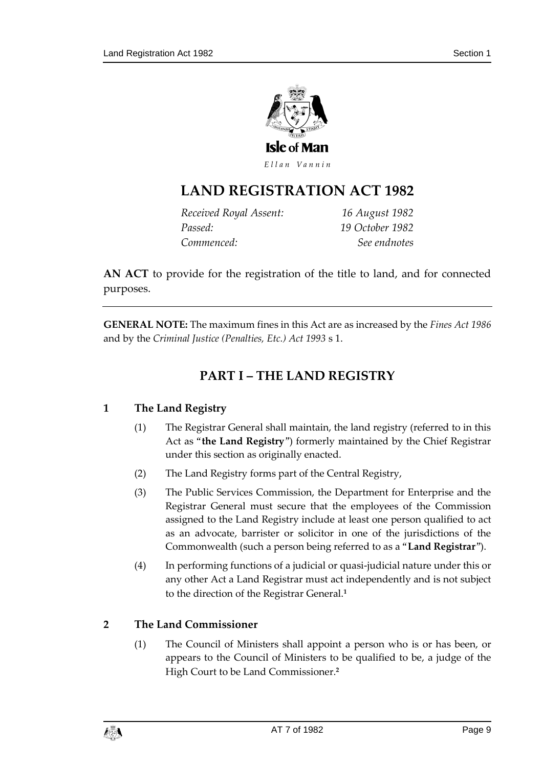

Ellan Vannin

# **LAND REGISTRATION AC T 1982**

| Received Royal Assent: | 16 August 1982  |
|------------------------|-----------------|
| Passed:                | 19 October 1982 |
| Commenced:             | See endnotes    |

**AN ACT** to provide for the registration of the title to land, and for connected purposes.

<span id="page-8-0"></span>**GENERAL NOTE:** The maximum fines in this Act are as increased by the *Fines Act 1986* and by the *Criminal Justice (Penalties, Etc.) Act 1993* s 1.

# **PART I – THE LAND REGISTRY**

### <span id="page-8-1"></span>**1 The Land Registry**

- (1) The Registrar General shall maintain, the land registry (referred to in this Act as "**the Land Registry**") formerly maintained by the Chief Registrar under this section as originally enacted.
- (2) The Land Registry forms part of the Central Registry,
- (3) The Public Services Commission, the Department for Enterprise and the Registrar General must secure that the employees of the Commission assigned to the Land Registry include at least one person qualified to act as an advocate, barrister or solicitor in one of the jurisdictions of the Commonwealth (such a person being referred to as a "**Land Registrar**").
- (4) In performing functions of a judicial or quasi-judicial nature under this or any other Act a Land Registrar must act independently and is not subject to the direction of the Registrar General.**<sup>1</sup>**

### <span id="page-8-2"></span>**2 The Land Commissioner**

(1) The Council of Ministers shall appoint a person who is or has been, or appears to the Council of Ministers to be qualified to be, a judge of the High Court to be Land Commissioner.**<sup>2</sup>**

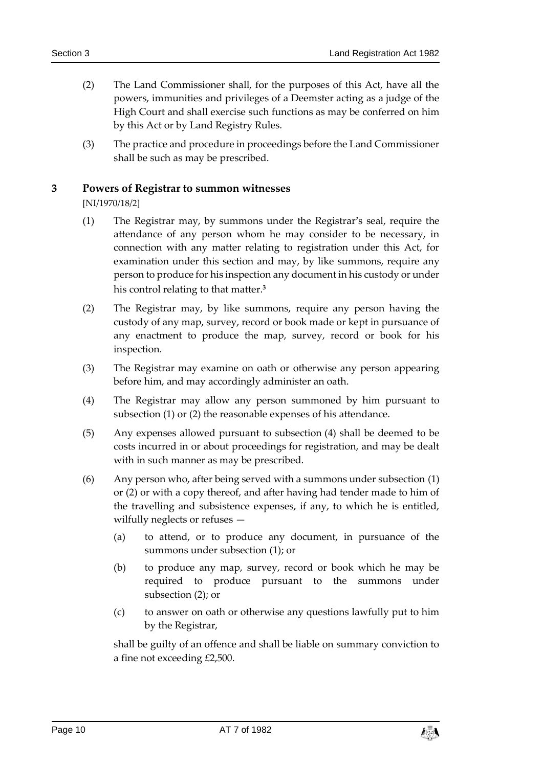- (2) The Land Commissioner shall, for the purposes of this Act, have all the powers, immunities and privileges of a Deemster acting as a judge of the High Court and shall exercise such functions as may be conferred on him by this Act or by Land Registry Rules.
- (3) The practice and procedure in proceedings before the Land Commissioner shall be such as may be prescribed.

### <span id="page-9-0"></span>**3 Powers of Registrar to summon witnesses**

[NI/1970/18/2]

- (1) The Registrar may, by summons under the Registrar's seal, require the attendance of any person whom he may consider to be necessary, in connection with any matter relating to registration under this Act, for examination under this section and may, by like summons, require any person to produce for his inspection any document in his custody or under his control relating to that matter.**<sup>3</sup>**
- (2) The Registrar may, by like summons, require any person having the custody of any map, survey, record or book made or kept in pursuance of any enactment to produce the map, survey, record or book for his inspection.
- (3) The Registrar may examine on oath or otherwise any person appearing before him, and may accordingly administer an oath.
- (4) The Registrar may allow any person summoned by him pursuant to subsection (1) or (2) the reasonable expenses of his attendance.
- (5) Any expenses allowed pursuant to subsection (4) shall be deemed to be costs incurred in or about proceedings for registration, and may be dealt with in such manner as may be prescribed.
- (6) Any person who, after being served with a summons under subsection (1) or (2) or with a copy thereof, and after having had tender made to him of the travelling and subsistence expenses, if any, to which he is entitled, wilfully neglects or refuses —
	- (a) to attend, or to produce any document, in pursuance of the summons under subsection (1); or
	- (b) to produce any map, survey, record or book which he may be required to produce pursuant to the summons under subsection (2); or
	- (c) to answer on oath or otherwise any questions lawfully put to him by the Registrar,

shall be guilty of an offence and shall be liable on summary conviction to a fine not exceeding £2,500.

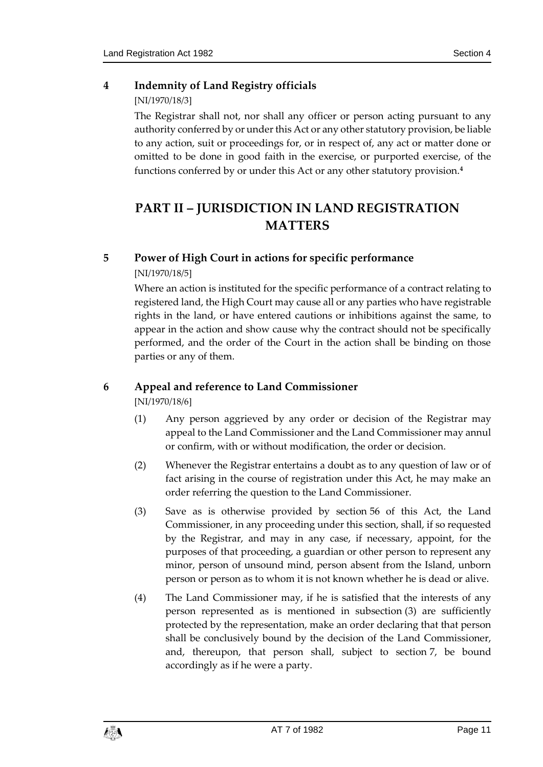# <span id="page-10-0"></span>**4 Indemnity of Land Registry officials**

# [NI/1970/18/3]

The Registrar shall not, nor shall any officer or person acting pursuant to any authority conferred by or under this Act or any other statutory provision, be liable to any action, suit or proceedings for, or in respect of, any act or matter done or omitted to be done in good faith in the exercise, or purported exercise, of the functions conferred by or under this Act or any other statutory provision.**<sup>4</sup>**

# <span id="page-10-1"></span>**PART II – JURISDICTION IN LAND REGISTRATION MATTERS**

# <span id="page-10-2"></span>**5 Power of High Court in actions for specific performance**

# [NI/1970/18/5]

Where an action is instituted for the specific performance of a contract relating to registered land, the High Court may cause all or any parties who have registrable rights in the land, or have entered cautions or inhibitions against the same, to appear in the action and show cause why the contract should not be specifically performed, and the order of the Court in the action shall be binding on those parties or any of them.

# <span id="page-10-3"></span>**6 Appeal and reference to Land Commissioner**

[NI/1970/18/6]

- (1) Any person aggrieved by any order or decision of the Registrar may appeal to the Land Commissioner and the Land Commissioner may annul or confirm, with or without modification, the order or decision.
- (2) Whenever the Registrar entertains a doubt as to any question of law or of fact arising in the course of registration under this Act, he may make an order referring the question to the Land Commissioner.
- (3) Save as is otherwise provided by section 56 of this Act, the Land Commissioner, in any proceeding under this section, shall, if so requested by the Registrar, and may in any case, if necessary, appoint, for the purposes of that proceeding, a guardian or other person to represent any minor, person of unsound mind, person absent from the Island, unborn person or person as to whom it is not known whether he is dead or alive.
- (4) The Land Commissioner may, if he is satisfied that the interests of any person represented as is mentioned in subsection (3) are sufficiently protected by the representation, make an order declaring that that person shall be conclusively bound by the decision of the Land Commissioner, and, thereupon, that person shall, subject to section 7, be bound accordingly as if he were a party.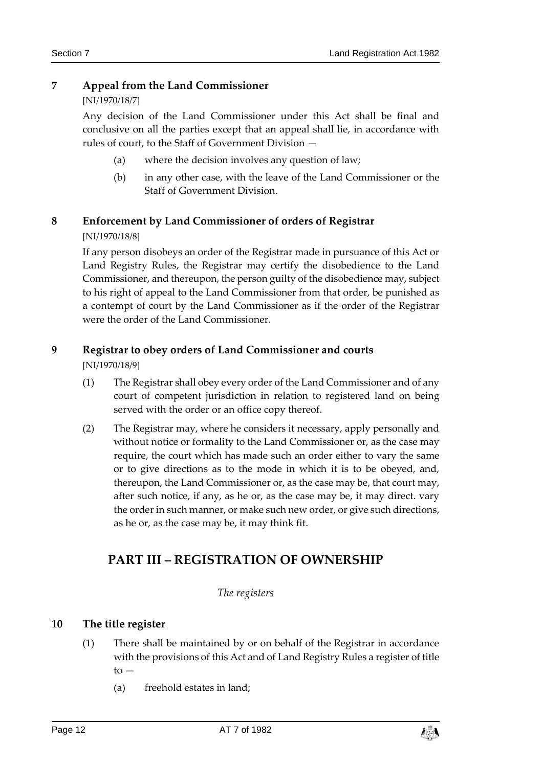### <span id="page-11-0"></span>**7 Appeal from the Land Commissioner**

### [NI/1970/18/7]

Any decision of the Land Commissioner under this Act shall be final and conclusive on all the parties except that an appeal shall lie, in accordance with rules of court, to the Staff of Government Division —

- (a) where the decision involves any question of law;
- (b) in any other case, with the leave of the Land Commissioner or the Staff of Government Division.

# <span id="page-11-1"></span>**8 Enforcement by Land Commissioner of orders of Registrar**

### [NI/1970/18/8]

If any person disobeys an order of the Registrar made in pursuance of this Act or Land Registry Rules, the Registrar may certify the disobedience to the Land Commissioner, and thereupon, the person guilty of the disobedience may, subject to his right of appeal to the Land Commissioner from that order, be punished as a contempt of court by the Land Commissioner as if the order of the Registrar were the order of the Land Commissioner.

# <span id="page-11-2"></span>**9 Registrar to obey orders of Land Commissioner and courts**

[NI/1970/18/9]

- (1) The Registrar shall obey every order of the Land Commissioner and of any court of competent jurisdiction in relation to registered land on being served with the order or an office copy thereof.
- (2) The Registrar may, where he considers it necessary, apply personally and without notice or formality to the Land Commissioner or, as the case may require, the court which has made such an order either to vary the same or to give directions as to the mode in which it is to be obeyed, and, thereupon, the Land Commissioner or, as the case may be, that court may, after such notice, if any, as he or, as the case may be, it may direct. vary the order in such manner, or make such new order, or give such directions, as he or, as the case may be, it may think fit.

# <span id="page-11-3"></span>**PART III – REGISTRATION OF OWNERSHIP**

### *The registers*

### <span id="page-11-5"></span><span id="page-11-4"></span>**10 The title register**

- (1) There shall be maintained by or on behalf of the Registrar in accordance with the provisions of this Act and of Land Registry Rules a register of title  $to -$ 
	- (a) freehold estates in land;

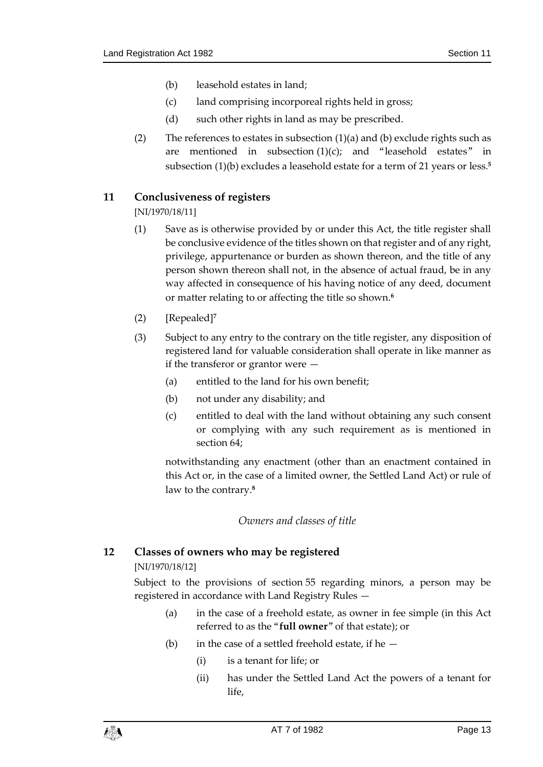- (b) leasehold estates in land;
- (c) land comprising incorporeal rights held in gross;
- (d) such other rights in land as may be prescribed.
- (2) The references to estates in subsection  $(1)(a)$  and (b) exclude rights such as are mentioned in subsection  $(1)(c)$ ; and "leasehold estates" in subsection (1)(b) excludes a leasehold estate for a term of 21 years or less.**<sup>5</sup>**

### <span id="page-12-0"></span>**11 Conclusiveness of registers**

[NI/1970/18/11]

- (1) Save as is otherwise provided by or under this Act, the title register shall be conclusive evidence of the titles shown on that register and of any right, privilege, appurtenance or burden as shown thereon, and the title of any person shown thereon shall not, in the absence of actual fraud, be in any way affected in consequence of his having notice of any deed, document or matter relating to or affecting the title so shown.**<sup>6</sup>**
- (2) [Repealed]**<sup>7</sup>**
- (3) Subject to any entry to the contrary on the title register, any disposition of registered land for valuable consideration shall operate in like manner as if the transferor or grantor were —
	- (a) entitled to the land for his own benefit;
	- (b) not under any disability; and
	- (c) entitled to deal with the land without obtaining any such consent or complying with any such requirement as is mentioned in section 64;

notwithstanding any enactment (other than an enactment contained in this Act or, in the case of a limited owner, the Settled Land Act) or rule of law to the contrary.**<sup>8</sup>**

### *Owners and classes of title*

### <span id="page-12-2"></span><span id="page-12-1"></span>**12 Classes of owners who may be registered**

### [NI/1970/18/12]

Subject to the provisions of section 55 regarding minors, a person may be registered in accordance with Land Registry Rules —

- (a) in the case of a freehold estate, as owner in fee simple (in this Act referred to as the "**full owner**" of that estate); or
- (b) in the case of a settled freehold estate, if he
	- (i) is a tenant for life; or
	- (ii) has under the Settled Land Act the powers of a tenant for life,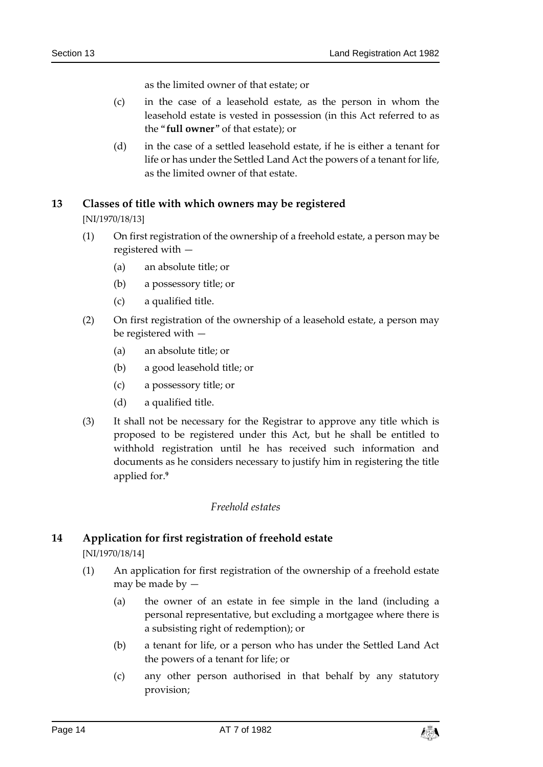as the limited owner of that estate; or

- (c) in the case of a leasehold estate, as the person in whom the leasehold estate is vested in possession (in this Act referred to as the "**full owner**" of that estate); or
- (d) in the case of a settled leasehold estate, if he is either a tenant for life or has under the Settled Land Act the powers of a tenant for life, as the limited owner of that estate.

### <span id="page-13-0"></span>**13 Classes of title with which owners may be registered**

[NI/1970/18/13]

- (1) On first registration of the ownership of a freehold estate, a person may be registered with —
	- (a) an absolute title; or
	- (b) a possessory title; or
	- (c) a qualified title.
- (2) On first registration of the ownership of a leasehold estate, a person may be registered with —
	- (a) an absolute title; or
	- (b) a good leasehold title; or
	- (c) a possessory title; or
	- (d) a qualified title.
- (3) It shall not be necessary for the Registrar to approve any title which is proposed to be registered under this Act, but he shall be entitled to withhold registration until he has received such information and documents as he considers necessary to justify him in registering the title applied for.**<sup>9</sup>**

#### *Freehold estates*

### <span id="page-13-2"></span><span id="page-13-1"></span>**14 Application for first registration of freehold estate**

[NI/1970/18/14]

- (1) An application for first registration of the ownership of a freehold estate may be made by —
	- (a) the owner of an estate in fee simple in the land (including a personal representative, but excluding a mortgagee where there is a subsisting right of redemption); or
	- (b) a tenant for life, or a person who has under the Settled Land Act the powers of a tenant for life; or
	- (c) any other person authorised in that behalf by any statutory provision;

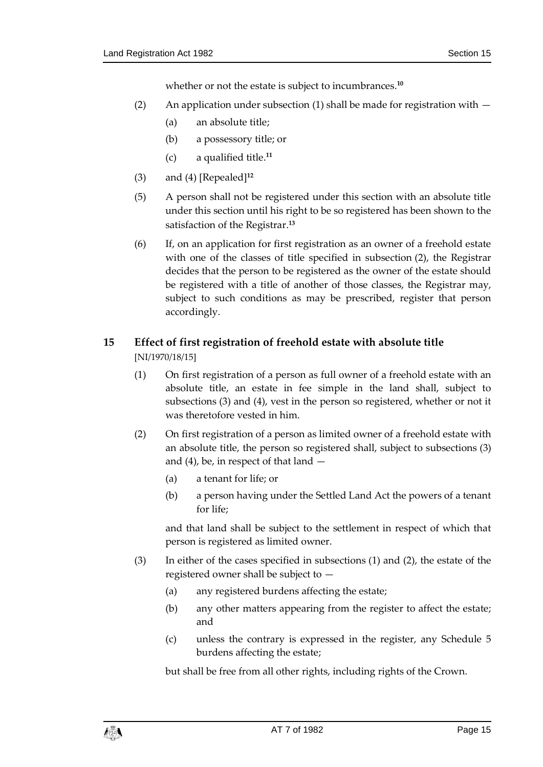whether or not the estate is subject to incumbrances.**<sup>10</sup>**

- (2) An application under subsection (1) shall be made for registration with  $-$ 
	- (a) an absolute title;
	- (b) a possessory title; or
	- (c) a qualified title.**<sup>11</sup>**
- (3) and (4) [Repealed]**<sup>12</sup>**
- (5) A person shall not be registered under this section with an absolute title under this section until his right to be so registered has been shown to the satisfaction of the Registrar.**<sup>13</sup>**
- (6) If, on an application for first registration as an owner of a freehold estate with one of the classes of title specified in subsection (2), the Registrar decides that the person to be registered as the owner of the estate should be registered with a title of another of those classes, the Registrar may, subject to such conditions as may be prescribed, register that person accordingly.

# <span id="page-14-0"></span>**15 Effect of first registration of freehold estate with absolute title**

[NI/1970/18/15]

- (1) On first registration of a person as full owner of a freehold estate with an absolute title, an estate in fee simple in the land shall, subject to subsections (3) and (4), vest in the person so registered, whether or not it was theretofore vested in him.
- (2) On first registration of a person as limited owner of a freehold estate with an absolute title, the person so registered shall, subject to subsections (3) and (4), be, in respect of that land —
	- (a) a tenant for life; or
	- (b) a person having under the Settled Land Act the powers of a tenant for life;

and that land shall be subject to the settlement in respect of which that person is registered as limited owner.

- (3) In either of the cases specified in subsections (1) and (2), the estate of the registered owner shall be subject to —
	- (a) any registered burdens affecting the estate;
	- (b) any other matters appearing from the register to affect the estate; and
	- (c) unless the contrary is expressed in the register, any Schedule 5 burdens affecting the estate;

but shall be free from all other rights, including rights of the Crown.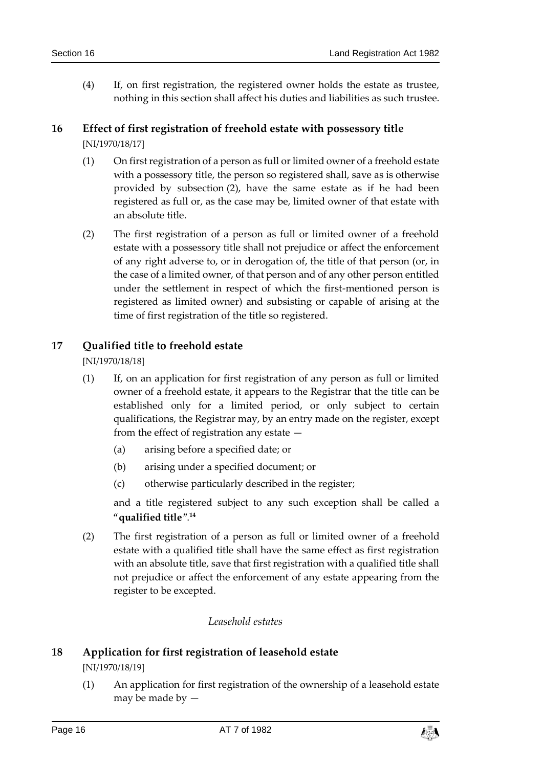(4) If, on first registration, the registered owner holds the estate as trustee, nothing in this section shall affect his duties and liabilities as such trustee.

### <span id="page-15-0"></span>**16 Effect of first registration of freehold estate with possessory title** [NI/1970/18/17]

- (1) On first registration of a person as full or limited owner of a freehold estate with a possessory title, the person so registered shall, save as is otherwise provided by subsection (2), have the same estate as if he had been registered as full or, as the case may be, limited owner of that estate with an absolute title.
- (2) The first registration of a person as full or limited owner of a freehold estate with a possessory title shall not prejudice or affect the enforcement of any right adverse to, or in derogation of, the title of that person (or, in the case of a limited owner, of that person and of any other person entitled under the settlement in respect of which the first-mentioned person is registered as limited owner) and subsisting or capable of arising at the time of first registration of the title so registered.

### <span id="page-15-1"></span>**17 Qualified title to freehold estate**

[NI/1970/18/18]

- (1) If, on an application for first registration of any person as full or limited owner of a freehold estate, it appears to the Registrar that the title can be established only for a limited period, or only subject to certain qualifications, the Registrar may, by an entry made on the register, except from the effect of registration any estate —
	- (a) arising before a specified date; or
	- (b) arising under a specified document; or
	- (c) otherwise particularly described in the register;

and a title registered subject to any such exception shall be called a "**qualified title**". **14**

(2) The first registration of a person as full or limited owner of a freehold estate with a qualified title shall have the same effect as first registration with an absolute title, save that first registration with a qualified title shall not prejudice or affect the enforcement of any estate appearing from the register to be excepted.

### *Leasehold estates*

# <span id="page-15-3"></span><span id="page-15-2"></span>**18 Application for first registration of leasehold estate**

#### [NI/1970/18/19]

(1) An application for first registration of the ownership of a leasehold estate may be made by —

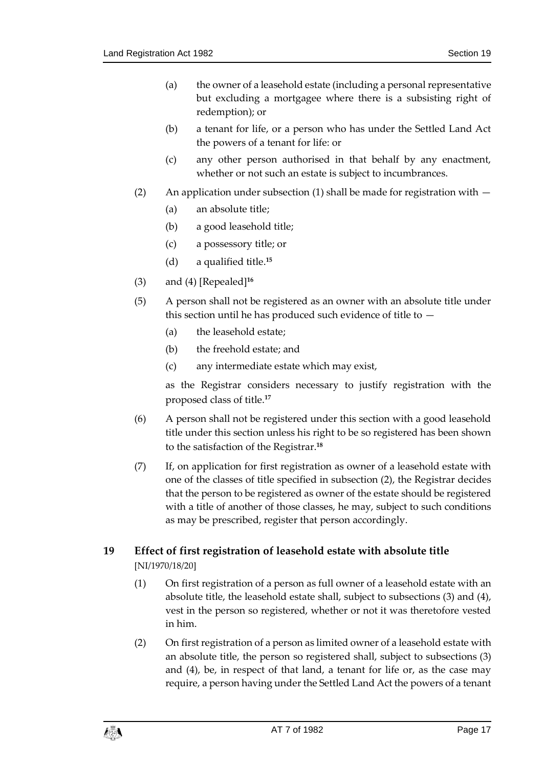- (a) the owner of a leasehold estate (including a personal representative but excluding a mortgagee where there is a subsisting right of redemption); or
- (b) a tenant for life, or a person who has under the Settled Land Act the powers of a tenant for life: or
- (c) any other person authorised in that behalf by any enactment, whether or not such an estate is subject to incumbrances.
- (2) An application under subsection (1) shall be made for registration with
	- (a) an absolute title;
	- (b) a good leasehold title;
	- (c) a possessory title; or
	- (d) a qualified title.**<sup>15</sup>**
- (3) and (4) [Repealed]**<sup>16</sup>**
- (5) A person shall not be registered as an owner with an absolute title under this section until he has produced such evidence of title to —
	- (a) the leasehold estate;
	- (b) the freehold estate; and
	- (c) any intermediate estate which may exist,

as the Registrar considers necessary to justify registration with the proposed class of title.**<sup>17</sup>**

- (6) A person shall not be registered under this section with a good leasehold title under this section unless his right to be so registered has been shown to the satisfaction of the Registrar.**<sup>18</sup>**
- (7) If, on application for first registration as owner of a leasehold estate with one of the classes of title specified in subsection (2), the Registrar decides that the person to be registered as owner of the estate should be registered with a title of another of those classes, he may, subject to such conditions as may be prescribed, register that person accordingly.

### <span id="page-16-0"></span>**19 Effect of first registration of leasehold estate with absolute title** [NI/1970/18/20]

- (1) On first registration of a person as full owner of a leasehold estate with an absolute title, the leasehold estate shall, subject to subsections (3) and (4), vest in the person so registered, whether or not it was theretofore vested in him.
- (2) On first registration of a person as limited owner of a leasehold estate with an absolute title, the person so registered shall, subject to subsections (3) and (4), be, in respect of that land, a tenant for life or, as the case may require, a person having under the Settled Land Act the powers of a tenant

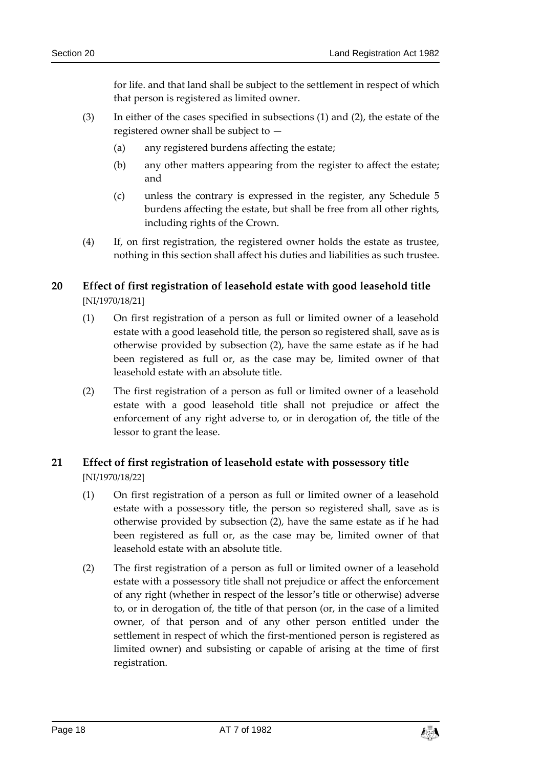for life. and that land shall be subject to the settlement in respect of which that person is registered as limited owner.

- (3) In either of the cases specified in subsections (1) and (2), the estate of the registered owner shall be subject to —
	- (a) any registered burdens affecting the estate;
	- (b) any other matters appearing from the register to affect the estate; and
	- (c) unless the contrary is expressed in the register, any Schedule 5 burdens affecting the estate, but shall be free from all other rights, including rights of the Crown.
- (4) If, on first registration, the registered owner holds the estate as trustee, nothing in this section shall affect his duties and liabilities as such trustee.

### <span id="page-17-0"></span>**20 Effect of first registration of leasehold estate with good leasehold title** [NI/1970/18/21]

- (1) On first registration of a person as full or limited owner of a leasehold estate with a good leasehold title, the person so registered shall, save as is otherwise provided by subsection (2), have the same estate as if he had been registered as full or, as the case may be, limited owner of that leasehold estate with an absolute title.
- (2) The first registration of a person as full or limited owner of a leasehold estate with a good leasehold title shall not prejudice or affect the enforcement of any right adverse to, or in derogation of, the title of the lessor to grant the lease.

# <span id="page-17-1"></span>**21 Effect of first registration of leasehold estate with possessory title** [NI/1970/18/22]

- (1) On first registration of a person as full or limited owner of a leasehold estate with a possessory title, the person so registered shall, save as is otherwise provided by subsection (2), have the same estate as if he had been registered as full or, as the case may be, limited owner of that leasehold estate with an absolute title.
- (2) The first registration of a person as full or limited owner of a leasehold estate with a possessory title shall not prejudice or affect the enforcement of any right (whether in respect of the lessor's title or otherwise) adverse to, or in derogation of, the title of that person (or, in the case of a limited owner, of that person and of any other person entitled under the settlement in respect of which the first-mentioned person is registered as limited owner) and subsisting or capable of arising at the time of first registration.

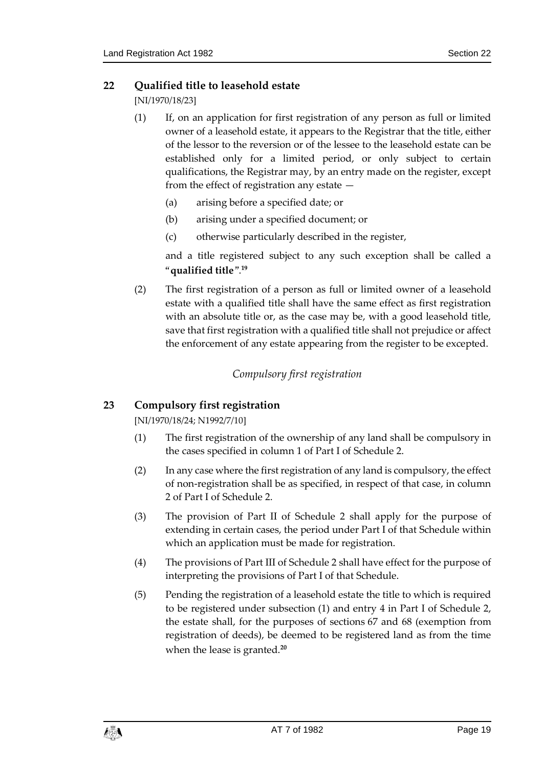### <span id="page-18-0"></span>**22 Qualified title to leasehold estate**

[NI/1970/18/23]

- (1) If, on an application for first registration of any person as full or limited owner of a leasehold estate, it appears to the Registrar that the title, either of the lessor to the reversion or of the lessee to the leasehold estate can be established only for a limited period, or only subject to certain qualifications, the Registrar may, by an entry made on the register, except from the effect of registration any estate —
	- (a) arising before a specified date; or
	- (b) arising under a specified document; or
	- (c) otherwise particularly described in the register,

and a title registered subject to any such exception shall be called a "**qualified title**". **19**

(2) The first registration of a person as full or limited owner of a leasehold estate with a qualified title shall have the same effect as first registration with an absolute title or, as the case may be, with a good leasehold title, save that first registration with a qualified title shall not prejudice or affect the enforcement of any estate appearing from the register to be excepted.

### *Compulsory first registration*

### <span id="page-18-2"></span><span id="page-18-1"></span>**23 Compulsory first registration**

[NI/1970/18/24; N1992/7/10]

- (1) The first registration of the ownership of any land shall be compulsory in the cases specified in column 1 of Part I of Schedule 2.
- (2) In any case where the first registration of any land is compulsory, the effect of non-registration shall be as specified, in respect of that case, in column 2 of Part I of Schedule 2.
- (3) The provision of Part II of Schedule 2 shall apply for the purpose of extending in certain cases, the period under Part I of that Schedule within which an application must be made for registration.
- (4) The provisions of Part III of Schedule 2 shall have effect for the purpose of interpreting the provisions of Part I of that Schedule.
- (5) Pending the registration of a leasehold estate the title to which is required to be registered under subsection (1) and entry 4 in Part I of Schedule 2, the estate shall, for the purposes of sections 67 and 68 (exemption from registration of deeds), be deemed to be registered land as from the time when the lease is granted.**20**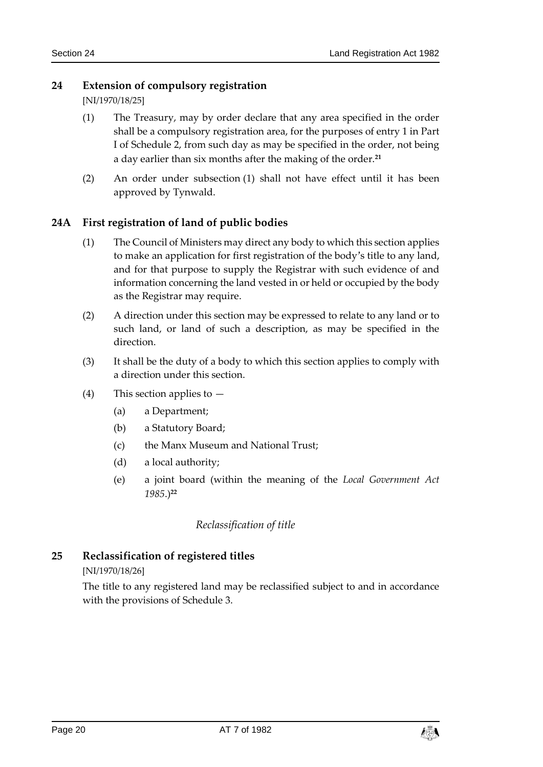### <span id="page-19-0"></span>**24 Extension of compulsory registration**

[NI/1970/18/25]

- (1) The Treasury, may by order declare that any area specified in the order shall be a compulsory registration area, for the purposes of entry 1 in Part I of Schedule 2, from such day as may be specified in the order, not being a day earlier than six months after the making of the order.**<sup>21</sup>**
- (2) An order under subsection (1) shall not have effect until it has been approved by Tynwald.

# <span id="page-19-1"></span>**24A First registration of land of public bodies**

- (1) The Council of Ministers may direct any body to which this section applies to make an application for first registration of the body's title to any land, and for that purpose to supply the Registrar with such evidence of and information concerning the land vested in or held or occupied by the body as the Registrar may require.
- (2) A direction under this section may be expressed to relate to any land or to such land, or land of such a description, as may be specified in the direction.
- (3) It shall be the duty of a body to which this section applies to comply with a direction under this section.
- (4) This section applies to
	- (a) a Department;
	- (b) a Statutory Board;
	- (c) the Manx Museum and National Trust;
	- (d) a local authority;
	- (e) a joint board (within the meaning of the *Local Government Act 1985*.)**<sup>22</sup>**

### *Reclassification of title*

### <span id="page-19-3"></span><span id="page-19-2"></span>**25 Reclassification of registered titles**

### [NI/1970/18/26]

The title to any registered land may be reclassified subject to and in accordance with the provisions of Schedule 3.

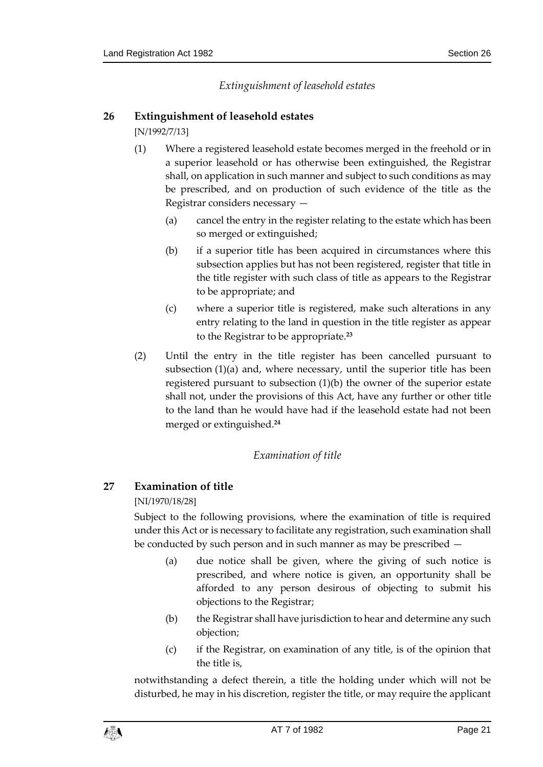*Extinguishment of leasehold estates*

### <span id="page-20-1"></span><span id="page-20-0"></span>**26 Extinguishment of leasehold estates**

[N/1992/7/13]

- (1) Where a registered leasehold estate becomes merged in the freehold or in a superior leasehold or has otherwise been extinguished, the Registrar shall, on application in such manner and subject to such conditions as may be prescribed, and on production of such evidence of the title as the Registrar considers necessary —
	- (a) cancel the entry in the register relating to the estate which has been so merged or extinguished;
	- (b) if a superior title has been acquired in circumstances where this subsection applies but has not been registered, register that title in the title register with such class of title as appears to the Registrar to be appropriate; and
	- (c) where a superior title is registered, make such alterations in any entry relating to the land in question in the title register as appear to the Registrar to be appropriate.**<sup>23</sup>**
- (2) Until the entry in the title register has been cancelled pursuant to subsection (1)(a) and, where necessary, until the superior title has been registered pursuant to subsection (1)(b) the owner of the superior estate shall not, under the provisions of this Act, have any further or other title to the land than he would have had if the leasehold estate had not been merged or extinguished.**<sup>24</sup>**

### *Examination of title*

### <span id="page-20-3"></span><span id="page-20-2"></span>**27 Examination of title**

[NI/1970/18/28]

Subject to the following provisions, where the examination of title is required under this Act or is necessary to facilitate any registration, such examination shall be conducted by such person and in such manner as may be prescribed —

- (a) due notice shall be given, where the giving of such notice is prescribed, and where notice is given, an opportunity shall be afforded to any person desirous of objecting to submit his objections to the Registrar;
- (b) the Registrar shall have jurisdiction to hear and determine any such objection;
- (c) if the Registrar, on examination of any title, is of the opinion that the title is,

notwithstanding a defect therein, a title the holding under which will not be disturbed, he may in his discretion, register the title, or may require the applicant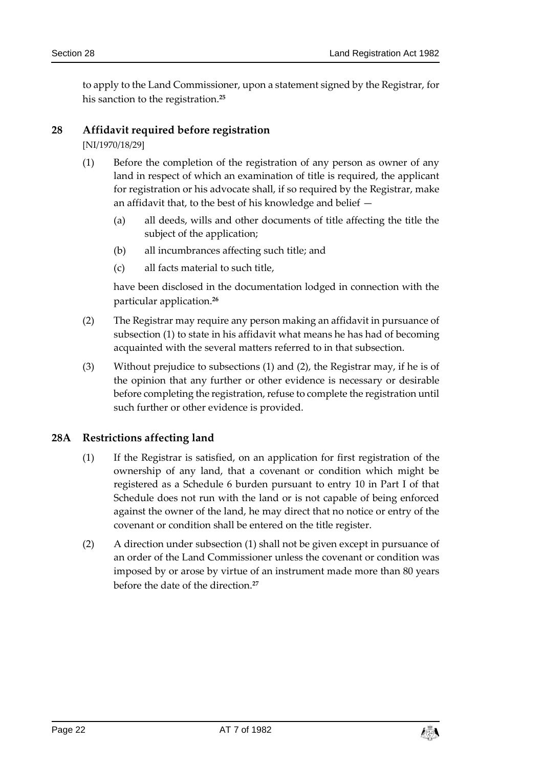to apply to the Land Commissioner, upon a statement signed by the Registrar, for his sanction to the registration.**<sup>25</sup>**

### <span id="page-21-0"></span>**28 Affidavit required before registration**

[NI/1970/18/29]

- (1) Before the completion of the registration of any person as owner of any land in respect of which an examination of title is required, the applicant for registration or his advocate shall, if so required by the Registrar, make an affidavit that, to the best of his knowledge and belief —
	- (a) all deeds, wills and other documents of title affecting the title the subject of the application;
	- (b) all incumbrances affecting such title; and
	- (c) all facts material to such title,

have been disclosed in the documentation lodged in connection with the particular application.**<sup>26</sup>**

- (2) The Registrar may require any person making an affidavit in pursuance of subsection (1) to state in his affidavit what means he has had of becoming acquainted with the several matters referred to in that subsection.
- (3) Without prejudice to subsections (1) and (2), the Registrar may, if he is of the opinion that any further or other evidence is necessary or desirable before completing the registration, refuse to complete the registration until such further or other evidence is provided.

### <span id="page-21-1"></span>**28A Restrictions affecting land**

- (1) If the Registrar is satisfied, on an application for first registration of the ownership of any land, that a covenant or condition which might be registered as a Schedule 6 burden pursuant to entry 10 in Part I of that Schedule does not run with the land or is not capable of being enforced against the owner of the land, he may direct that no notice or entry of the covenant or condition shall be entered on the title register.
- (2) A direction under subsection (1) shall not be given except in pursuance of an order of the Land Commissioner unless the covenant or condition was imposed by or arose by virtue of an instrument made more than 80 years before the date of the direction.**27**

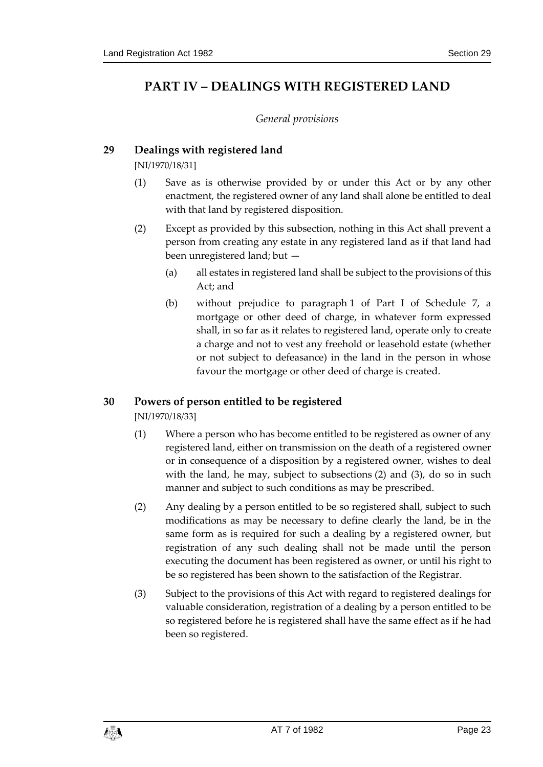# <span id="page-22-1"></span><span id="page-22-0"></span>**PART IV – DEALINGS WITH REGISTERED LAND**

### *General provisions*

### <span id="page-22-2"></span>**29 Dealings with registered land**

[NI/1970/18/31]

- (1) Save as is otherwise provided by or under this Act or by any other enactment, the registered owner of any land shall alone be entitled to deal with that land by registered disposition.
- (2) Except as provided by this subsection, nothing in this Act shall prevent a person from creating any estate in any registered land as if that land had been unregistered land; but —
	- (a) all estates in registered land shall be subject to the provisions of this Act; and
	- (b) without prejudice to paragraph 1 of Part I of Schedule 7, a mortgage or other deed of charge, in whatever form expressed shall, in so far as it relates to registered land, operate only to create a charge and not to vest any freehold or leasehold estate (whether or not subject to defeasance) in the land in the person in whose favour the mortgage or other deed of charge is created.

### <span id="page-22-3"></span>**30 Powers of person entitled to be registered**

[NI/1970/18/33]

- (1) Where a person who has become entitled to be registered as owner of any registered land, either on transmission on the death of a registered owner or in consequence of a disposition by a registered owner, wishes to deal with the land, he may, subject to subsections (2) and (3), do so in such manner and subject to such conditions as may be prescribed.
- (2) Any dealing by a person entitled to be so registered shall, subject to such modifications as may be necessary to define clearly the land, be in the same form as is required for such a dealing by a registered owner, but registration of any such dealing shall not be made until the person executing the document has been registered as owner, or until his right to be so registered has been shown to the satisfaction of the Registrar.
- (3) Subject to the provisions of this Act with regard to registered dealings for valuable consideration, registration of a dealing by a person entitled to be so registered before he is registered shall have the same effect as if he had been so registered.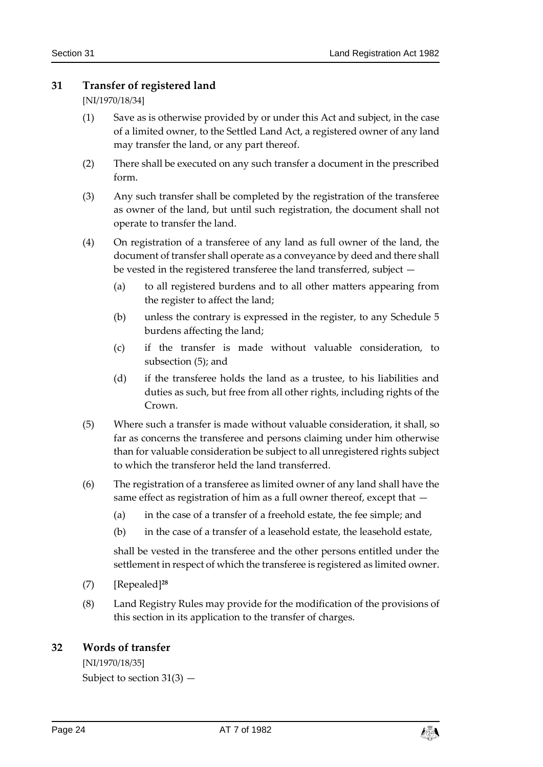### <span id="page-23-0"></span>**31 Transfer of registered land**

[NI/1970/18/34]

- (1) Save as is otherwise provided by or under this Act and subject, in the case of a limited owner, to the Settled Land Act, a registered owner of any land may transfer the land, or any part thereof.
- (2) There shall be executed on any such transfer a document in the prescribed form.
- (3) Any such transfer shall be completed by the registration of the transferee as owner of the land, but until such registration, the document shall not operate to transfer the land.
- (4) On registration of a transferee of any land as full owner of the land, the document of transfer shall operate as a conveyance by deed and there shall be vested in the registered transferee the land transferred, subject —
	- (a) to all registered burdens and to all other matters appearing from the register to affect the land;
	- (b) unless the contrary is expressed in the register, to any Schedule 5 burdens affecting the land;
	- (c) if the transfer is made without valuable consideration, to subsection (5); and
	- (d) if the transferee holds the land as a trustee, to his liabilities and duties as such, but free from all other rights, including rights of the Crown.
- (5) Where such a transfer is made without valuable consideration, it shall, so far as concerns the transferee and persons claiming under him otherwise than for valuable consideration be subject to all unregistered rights subject to which the transferor held the land transferred.
- (6) The registration of a transferee as limited owner of any land shall have the same effect as registration of him as a full owner thereof, except that —
	- (a) in the case of a transfer of a freehold estate, the fee simple; and
	- (b) in the case of a transfer of a leasehold estate, the leasehold estate,

shall be vested in the transferee and the other persons entitled under the settlement in respect of which the transferee is registered as limited owner.

- (7) [Repealed]**<sup>28</sup>**
- (8) Land Registry Rules may provide for the modification of the provisions of this section in its application to the transfer of charges.

# <span id="page-23-1"></span>**32 Words of transfer**

[NI/1970/18/35] Subject to section 31(3) —

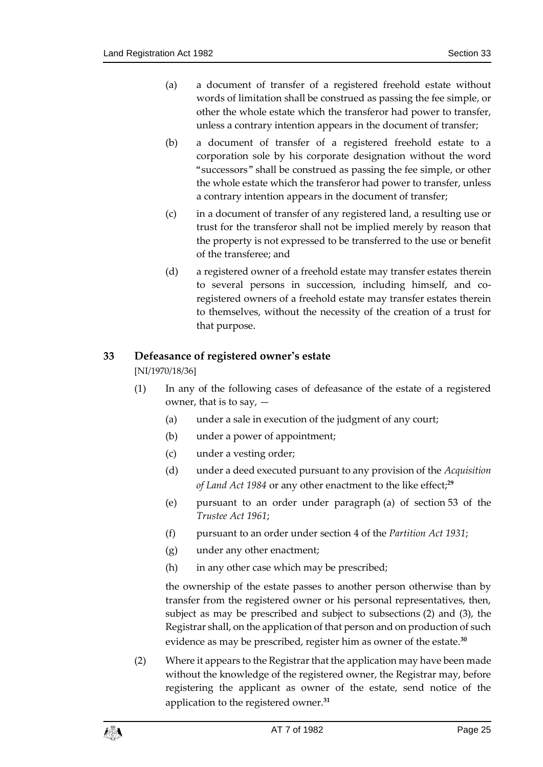- (a) a document of transfer of a registered freehold estate without words of limitation shall be construed as passing the fee simple, or other the whole estate which the transferor had power to transfer, unless a contrary intention appears in the document of transfer;
- (b) a document of transfer of a registered freehold estate to a corporation sole by his corporate designation without the word "successors" shall be construed as passing the fee simple, or other the whole estate which the transferor had power to transfer, unless a contrary intention appears in the document of transfer;
- (c) in a document of transfer of any registered land, a resulting use or trust for the transferor shall not be implied merely by reason that the property is not expressed to be transferred to the use or benefit of the transferee; and
- (d) a registered owner of a freehold estate may transfer estates therein to several persons in succession, including himself, and coregistered owners of a freehold estate may transfer estates therein to themselves, without the necessity of the creation of a trust for that purpose.

### <span id="page-24-0"></span>**33 Defeasance of registered owner's estate**

[NI/1970/18/36]

- (1) In any of the following cases of defeasance of the estate of a registered owner, that is to say,  $-$ 
	- (a) under a sale in execution of the judgment of any court;
	- (b) under a power of appointment;
	- (c) under a vesting order;
	- (d) under a deed executed pursuant to any provision of the *Acquisition of Land Act 1984* or any other enactment to the like effect;**<sup>29</sup>**
	- (e) pursuant to an order under paragraph (a) of section 53 of the *Trustee Act 1961*;
	- (f) pursuant to an order under section 4 of the *Partition Act 1931*;
	- (g) under any other enactment;
	- (h) in any other case which may be prescribed;

the ownership of the estate passes to another person otherwise than by transfer from the registered owner or his personal representatives, then, subject as may be prescribed and subject to subsections (2) and (3), the Registrar shall, on the application of that person and on production of such evidence as may be prescribed, register him as owner of the estate.**<sup>30</sup>**

(2) Where it appears to the Registrar that the application may have been made without the knowledge of the registered owner, the Registrar may, before registering the applicant as owner of the estate, send notice of the application to the registered owner.**31**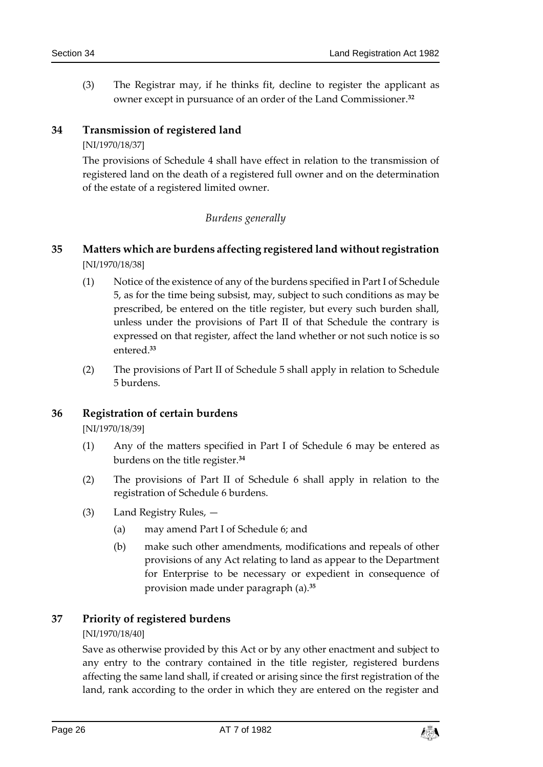(3) The Registrar may, if he thinks fit, decline to register the applicant as owner except in pursuance of an order of the Land Commissioner.**<sup>32</sup>**

### <span id="page-25-0"></span>**34 Transmission of registered land**

#### [NI/1970/18/37]

The provisions of Schedule 4 shall have effect in relation to the transmission of registered land on the death of a registered full owner and on the determination of the estate of a registered limited owner.

### *Burdens generally*

### <span id="page-25-2"></span><span id="page-25-1"></span>**35 Matters which are burdens affecting registered land without registration** [NI/1970/18/38]

- (1) Notice of the existence of any of the burdens specified in Part I of Schedule 5, as for the time being subsist, may, subject to such conditions as may be prescribed, be entered on the title register, but every such burden shall, unless under the provisions of Part II of that Schedule the contrary is expressed on that register, affect the land whether or not such notice is so entered.**<sup>33</sup>**
- (2) The provisions of Part II of Schedule 5 shall apply in relation to Schedule 5 burdens.

### <span id="page-25-3"></span>**36 Registration of certain burdens**

[NI/1970/18/39]

- (1) Any of the matters specified in Part I of Schedule 6 may be entered as burdens on the title register.**<sup>34</sup>**
- (2) The provisions of Part II of Schedule 6 shall apply in relation to the registration of Schedule 6 burdens.
- (3) Land Registry Rules,
	- (a) may amend Part I of Schedule 6; and
	- (b) make such other amendments, modifications and repeals of other provisions of any Act relating to land as appear to the Department for Enterprise to be necessary or expedient in consequence of provision made under paragraph (a).**<sup>35</sup>**

### <span id="page-25-4"></span>**37 Priority of registered burdens**

#### [NI/1970/18/40]

Save as otherwise provided by this Act or by any other enactment and subject to any entry to the contrary contained in the title register, registered burdens affecting the same land shall, if created or arising since the first registration of the land, rank according to the order in which they are entered on the register and

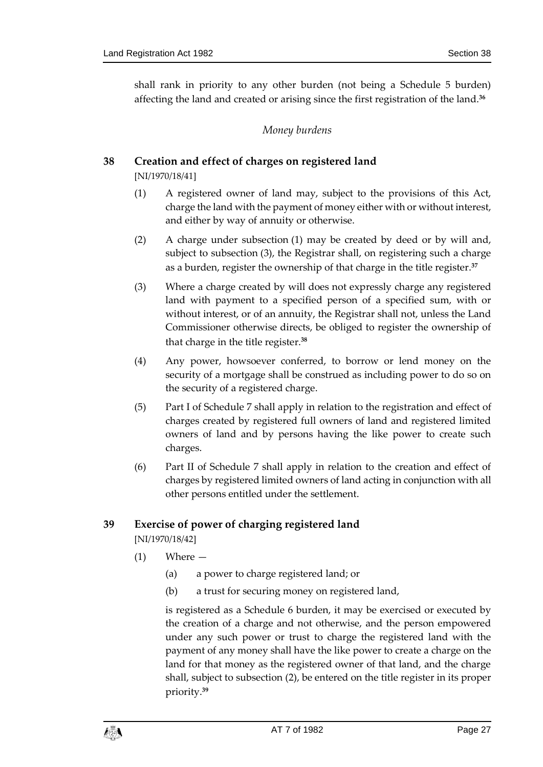<span id="page-26-0"></span>shall rank in priority to any other burden (not being a Schedule 5 burden) affecting the land and created or arising since the first registration of the land.**<sup>36</sup>**

### *Money burdens*

### <span id="page-26-1"></span>**38 Creation and effect of charges on registered land**

[NI/1970/18/41]

- (1) A registered owner of land may, subject to the provisions of this Act, charge the land with the payment of money either with or without interest, and either by way of annuity or otherwise.
- (2) A charge under subsection (1) may be created by deed or by will and, subject to subsection (3), the Registrar shall, on registering such a charge as a burden, register the ownership of that charge in the title register.**<sup>37</sup>**
- (3) Where a charge created by will does not expressly charge any registered land with payment to a specified person of a specified sum, with or without interest, or of an annuity, the Registrar shall not, unless the Land Commissioner otherwise directs, be obliged to register the ownership of that charge in the title register.**<sup>38</sup>**
- (4) Any power, howsoever conferred, to borrow or lend money on the security of a mortgage shall be construed as including power to do so on the security of a registered charge.
- (5) Part I of Schedule 7 shall apply in relation to the registration and effect of charges created by registered full owners of land and registered limited owners of land and by persons having the like power to create such charges.
- (6) Part II of Schedule 7 shall apply in relation to the creation and effect of charges by registered limited owners of land acting in conjunction with all other persons entitled under the settlement.

### <span id="page-26-2"></span>**39 Exercise of power of charging registered land**

[NI/1970/18/42]

- (1) Where
	- (a) a power to charge registered land; or
	- (b) a trust for securing money on registered land,

is registered as a Schedule 6 burden, it may be exercised or executed by the creation of a charge and not otherwise, and the person empowered under any such power or trust to charge the registered land with the payment of any money shall have the like power to create a charge on the land for that money as the registered owner of that land, and the charge shall, subject to subsection (2), be entered on the title register in its proper priority.**39**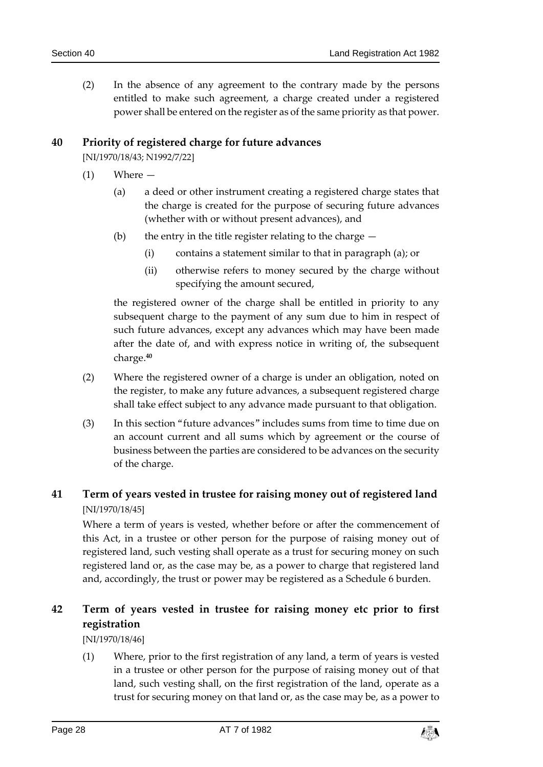(2) In the absence of any agreement to the contrary made by the persons entitled to make such agreement, a charge created under a registered power shall be entered on the register as of the same priority as that power.

### <span id="page-27-0"></span>**40 Priority of registered charge for future advances**

[NI/1970/18/43; N1992/7/22]

- (1) Where
	- (a) a deed or other instrument creating a registered charge states that the charge is created for the purpose of securing future advances (whether with or without present advances), and
	- (b) the entry in the title register relating to the charge  $-$ 
		- (i) contains a statement similar to that in paragraph (a); or
		- (ii) otherwise refers to money secured by the charge without specifying the amount secured,

the registered owner of the charge shall be entitled in priority to any subsequent charge to the payment of any sum due to him in respect of such future advances, except any advances which may have been made after the date of, and with express notice in writing of, the subsequent charge.**<sup>40</sup>**

- (2) Where the registered owner of a charge is under an obligation, noted on the register, to make any future advances, a subsequent registered charge shall take effect subject to any advance made pursuant to that obligation.
- (3) In this section "future advances" includes sums from time to time due on an account current and all sums which by agreement or the course of business between the parties are considered to be advances on the security of the charge.

### <span id="page-27-1"></span>**41 Term of years vested in trustee for raising money out of registered land** [NI/1970/18/45]

Where a term of years is vested, whether before or after the commencement of this Act, in a trustee or other person for the purpose of raising money out of registered land, such vesting shall operate as a trust for securing money on such registered land or, as the case may be, as a power to charge that registered land and, accordingly, the trust or power may be registered as a Schedule 6 burden.

# <span id="page-27-2"></span>**42 Term of years vested in trustee for raising money etc prior to first registration**

[NI/1970/18/46]

(1) Where, prior to the first registration of any land, a term of years is vested in a trustee or other person for the purpose of raising money out of that land, such vesting shall, on the first registration of the land, operate as a trust for securing money on that land or, as the case may be, as a power to

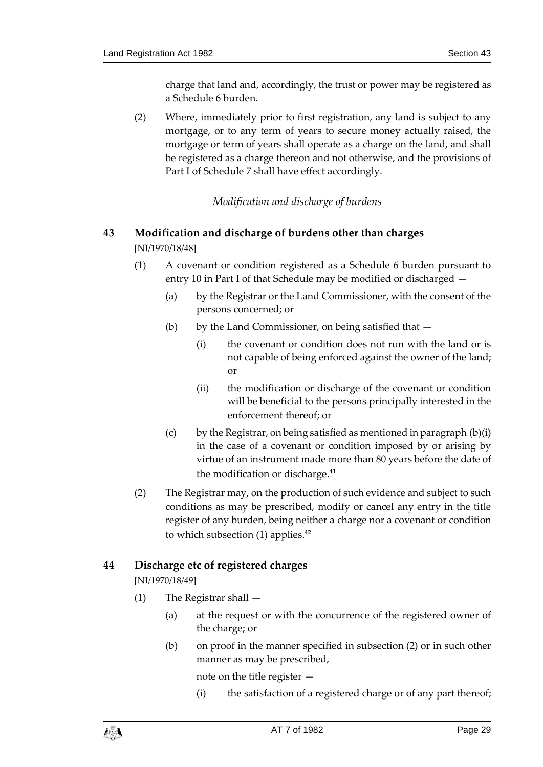charge that land and, accordingly, the trust or power may be registered as a Schedule 6 burden.

(2) Where, immediately prior to first registration, any land is subject to any mortgage, or to any term of years to secure money actually raised, the mortgage or term of years shall operate as a charge on the land, and shall be registered as a charge thereon and not otherwise, and the provisions of Part I of Schedule 7 shall have effect accordingly.

### *Modification and discharge of burdens*

# <span id="page-28-1"></span><span id="page-28-0"></span>**43 Modification and discharge of burdens other than charges**

[NI/1970/18/48]

- (1) A covenant or condition registered as a Schedule 6 burden pursuant to entry 10 in Part I of that Schedule may be modified or discharged —
	- (a) by the Registrar or the Land Commissioner, with the consent of the persons concerned; or
	- (b) by the Land Commissioner, on being satisfied that  $-$ 
		- (i) the covenant or condition does not run with the land or is not capable of being enforced against the owner of the land; or
		- (ii) the modification or discharge of the covenant or condition will be beneficial to the persons principally interested in the enforcement thereof; or
	- (c) by the Registrar, on being satisfied as mentioned in paragraph  $(b)(i)$ in the case of a covenant or condition imposed by or arising by virtue of an instrument made more than 80 years before the date of the modification or discharge.**<sup>41</sup>**
- (2) The Registrar may, on the production of such evidence and subject to such conditions as may be prescribed, modify or cancel any entry in the title register of any burden, being neither a charge nor a covenant or condition to which subsection (1) applies.**<sup>42</sup>**

### <span id="page-28-2"></span>**44 Discharge etc of registered charges**

[NI/1970/18/49]

- (1) The Registrar shall
	- (a) at the request or with the concurrence of the registered owner of the charge; or
	- (b) on proof in the manner specified in subsection (2) or in such other manner as may be prescribed,

note on the title register —

(i) the satisfaction of a registered charge or of any part thereof;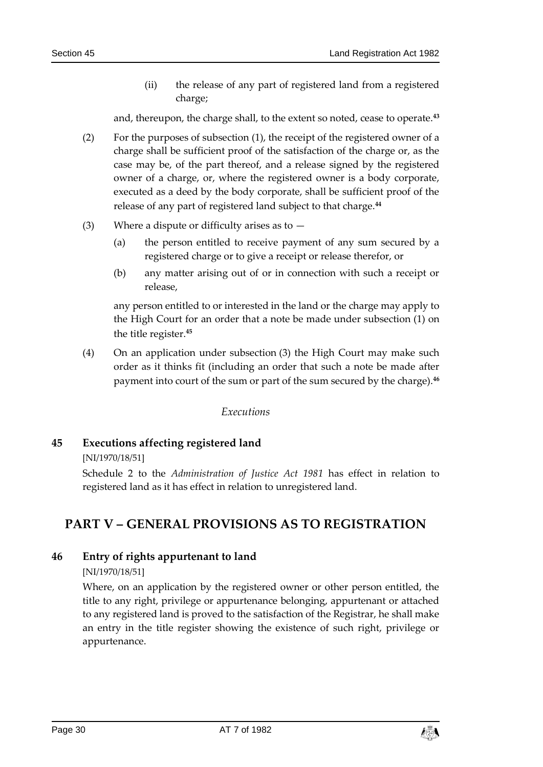(ii) the release of any part of registered land from a registered charge;

and, thereupon, the charge shall, to the extent so noted, cease to operate.**<sup>43</sup>**

- (2) For the purposes of subsection (1), the receipt of the registered owner of a charge shall be sufficient proof of the satisfaction of the charge or, as the case may be, of the part thereof, and a release signed by the registered owner of a charge, or, where the registered owner is a body corporate, executed as a deed by the body corporate, shall be sufficient proof of the release of any part of registered land subject to that charge.**<sup>44</sup>**
- (3) Where a dispute or difficulty arises as to  $-$ 
	- (a) the person entitled to receive payment of any sum secured by a registered charge or to give a receipt or release therefor, or
	- (b) any matter arising out of or in connection with such a receipt or release,

any person entitled to or interested in the land or the charge may apply to the High Court for an order that a note be made under subsection (1) on the title register.**<sup>45</sup>**

(4) On an application under subsection (3) the High Court may make such order as it thinks fit (including an order that such a note be made after payment into court of the sum or part of the sum secured by the charge).**<sup>46</sup>**

#### *Executions*

### <span id="page-29-1"></span><span id="page-29-0"></span>**45 Executions affecting registered land**

[NI/1970/18/51]

Schedule 2 to the *Administration of Justice Act 1981* has effect in relation to registered land as it has effect in relation to unregistered land.

# <span id="page-29-2"></span>**PART V – GENERAL PROVISIONS AS TO REGISTRATION**

### <span id="page-29-3"></span>**46 Entry of rights appurtenant to land**

[NI/1970/18/51]

Where, on an application by the registered owner or other person entitled, the title to any right, privilege or appurtenance belonging, appurtenant or attached to any registered land is proved to the satisfaction of the Registrar, he shall make an entry in the title register showing the existence of such right, privilege or appurtenance.

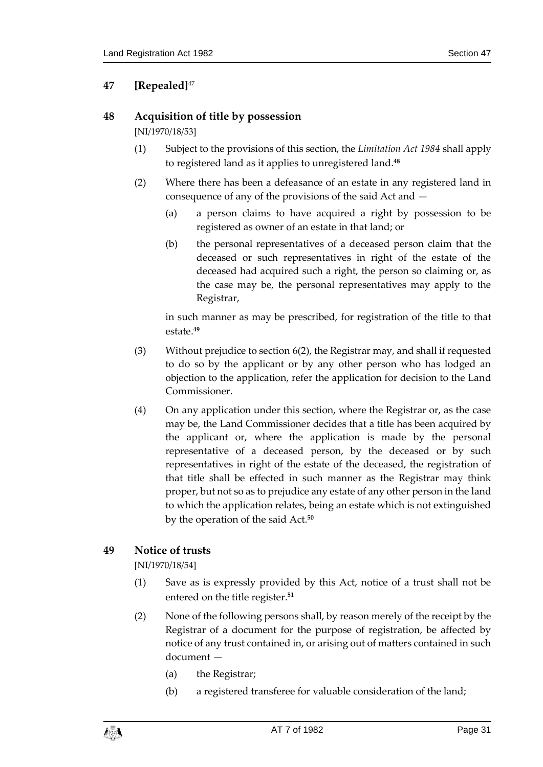# <span id="page-30-0"></span>**47 [Repealed]**<sup>47</sup>

### <span id="page-30-1"></span>**48 Acquisition of title by possession**

[NI/1970/18/53]

- (1) Subject to the provisions of this section, the *Limitation Act 1984* shall apply to registered land as it applies to unregistered land.**<sup>48</sup>**
- (2) Where there has been a defeasance of an estate in any registered land in consequence of any of the provisions of the said Act and —
	- (a) a person claims to have acquired a right by possession to be registered as owner of an estate in that land; or
	- (b) the personal representatives of a deceased person claim that the deceased or such representatives in right of the estate of the deceased had acquired such a right, the person so claiming or, as the case may be, the personal representatives may apply to the Registrar,

in such manner as may be prescribed, for registration of the title to that estate.**<sup>49</sup>**

- (3) Without prejudice to section 6(2), the Registrar may, and shall if requested to do so by the applicant or by any other person who has lodged an objection to the application, refer the application for decision to the Land Commissioner.
- (4) On any application under this section, where the Registrar or, as the case may be, the Land Commissioner decides that a title has been acquired by the applicant or, where the application is made by the personal representative of a deceased person, by the deceased or by such representatives in right of the estate of the deceased, the registration of that title shall be effected in such manner as the Registrar may think proper, but not so as to prejudice any estate of any other person in the land to which the application relates, being an estate which is not extinguished by the operation of the said Act.**<sup>50</sup>**

# <span id="page-30-2"></span>**49 Notice of trusts**

[NI/1970/18/54]

- (1) Save as is expressly provided by this Act, notice of a trust shall not be entered on the title register.**<sup>51</sup>**
- (2) None of the following persons shall, by reason merely of the receipt by the Registrar of a document for the purpose of registration, be affected by notice of any trust contained in, or arising out of matters contained in such document —
	- (a) the Registrar;
	- (b) a registered transferee for valuable consideration of the land;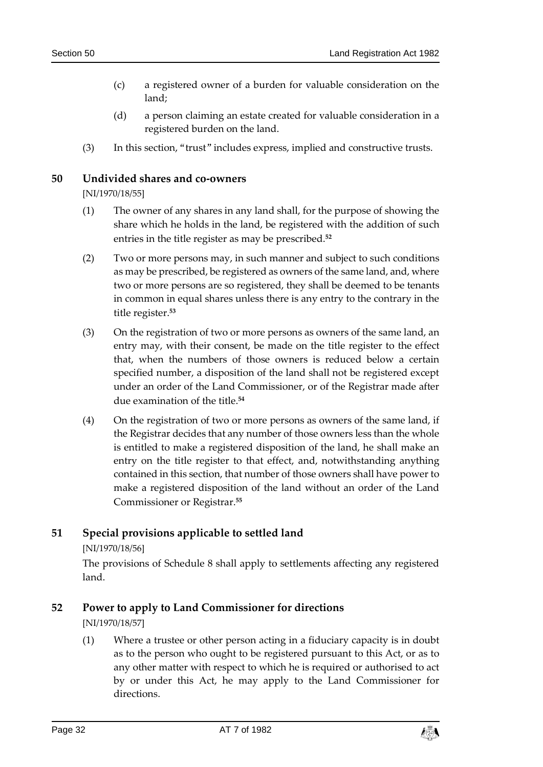- (c) a registered owner of a burden for valuable consideration on the land;
- (d) a person claiming an estate created for valuable consideration in a registered burden on the land.
- (3) In this section, "trust" includes express, implied and constructive trusts.

### <span id="page-31-0"></span>**50 Undivided shares and co-owners**

[NI/1970/18/55]

- (1) The owner of any shares in any land shall, for the purpose of showing the share which he holds in the land, be registered with the addition of such entries in the title register as may be prescribed.**<sup>52</sup>**
- (2) Two or more persons may, in such manner and subject to such conditions as may be prescribed, be registered as owners of the same land, and, where two or more persons are so registered, they shall be deemed to be tenants in common in equal shares unless there is any entry to the contrary in the title register.**<sup>53</sup>**
- (3) On the registration of two or more persons as owners of the same land, an entry may, with their consent, be made on the title register to the effect that, when the numbers of those owners is reduced below a certain specified number, a disposition of the land shall not be registered except under an order of the Land Commissioner, or of the Registrar made after due examination of the title.**<sup>54</sup>**
- (4) On the registration of two or more persons as owners of the same land, if the Registrar decides that any number of those owners less than the whole is entitled to make a registered disposition of the land, he shall make an entry on the title register to that effect, and, notwithstanding anything contained in this section, that number of those owners shall have power to make a registered disposition of the land without an order of the Land Commissioner or Registrar.**<sup>55</sup>**

### <span id="page-31-1"></span>**51 Special provisions applicable to settled land**

[NI/1970/18/56]

The provisions of Schedule 8 shall apply to settlements affecting any registered land.

### <span id="page-31-2"></span>**52 Power to apply to Land Commissioner for directions**

[NI/1970/18/57]

(1) Where a trustee or other person acting in a fiduciary capacity is in doubt as to the person who ought to be registered pursuant to this Act, or as to any other matter with respect to which he is required or authorised to act by or under this Act, he may apply to the Land Commissioner for directions.

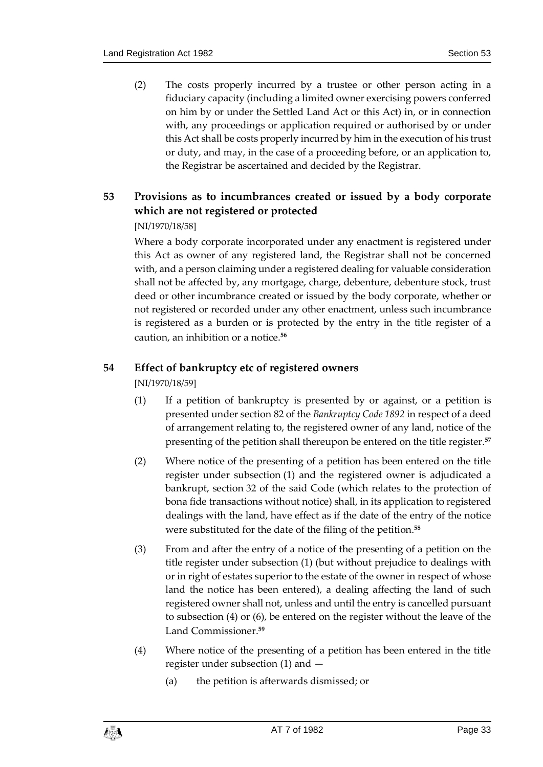(2) The costs properly incurred by a trustee or other person acting in a fiduciary capacity (including a limited owner exercising powers conferred on him by or under the Settled Land Act or this Act) in, or in connection with, any proceedings or application required or authorised by or under this Act shall be costs properly incurred by him in the execution of his trust or duty, and may, in the case of a proceeding before, or an application to, the Registrar be ascertained and decided by the Registrar.

# <span id="page-32-0"></span>**53 Provisions as to incumbrances created or issued by a body corporate which are not registered or protected**

### [NI/1970/18/58]

Where a body corporate incorporated under any enactment is registered under this Act as owner of any registered land, the Registrar shall not be concerned with, and a person claiming under a registered dealing for valuable consideration shall not be affected by, any mortgage, charge, debenture, debenture stock, trust deed or other incumbrance created or issued by the body corporate, whether or not registered or recorded under any other enactment, unless such incumbrance is registered as a burden or is protected by the entry in the title register of a caution, an inhibition or a notice.**<sup>56</sup>**

### <span id="page-32-1"></span>**54 Effect of bankruptcy etc of registered owners**

[NI/1970/18/59]

- (1) If a petition of bankruptcy is presented by or against, or a petition is presented under section 82 of the *Bankruptcy Code 1892* in respect of a deed of arrangement relating to, the registered owner of any land, notice of the presenting of the petition shall thereupon be entered on the title register.**<sup>57</sup>**
- (2) Where notice of the presenting of a petition has been entered on the title register under subsection (1) and the registered owner is adjudicated a bankrupt, section 32 of the said Code (which relates to the protection of bona fide transactions without notice) shall, in its application to registered dealings with the land, have effect as if the date of the entry of the notice were substituted for the date of the filing of the petition.**<sup>58</sup>**
- (3) From and after the entry of a notice of the presenting of a petition on the title register under subsection (1) (but without prejudice to dealings with or in right of estates superior to the estate of the owner in respect of whose land the notice has been entered), a dealing affecting the land of such registered owner shall not, unless and until the entry is cancelled pursuant to subsection (4) or (6), be entered on the register without the leave of the Land Commissioner.**<sup>59</sup>**
- (4) Where notice of the presenting of a petition has been entered in the title register under subsection (1) and —
	- (a) the petition is afterwards dismissed; or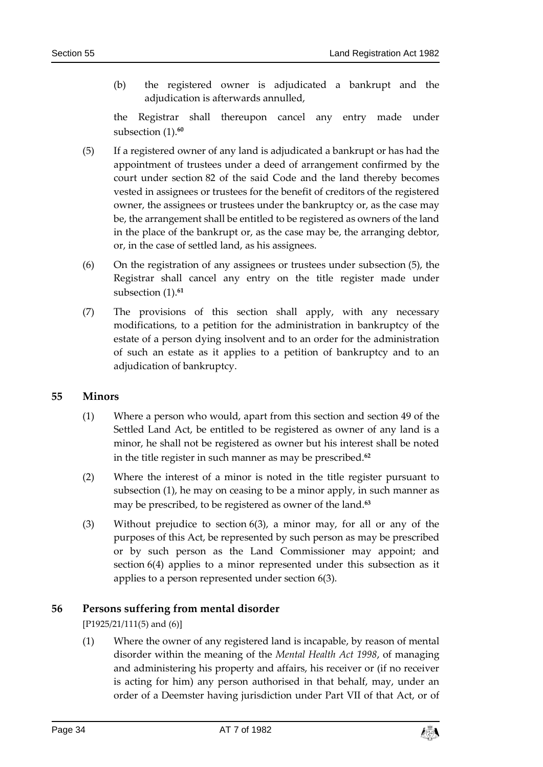(b) the registered owner is adjudicated a bankrupt and the adjudication is afterwards annulled,

the Registrar shall thereupon cancel any entry made under subsection (1).**<sup>60</sup>**

- (5) If a registered owner of any land is adjudicated a bankrupt or has had the appointment of trustees under a deed of arrangement confirmed by the court under section 82 of the said Code and the land thereby becomes vested in assignees or trustees for the benefit of creditors of the registered owner, the assignees or trustees under the bankruptcy or, as the case may be, the arrangement shall be entitled to be registered as owners of the land in the place of the bankrupt or, as the case may be, the arranging debtor, or, in the case of settled land, as his assignees.
- (6) On the registration of any assignees or trustees under subsection (5), the Registrar shall cancel any entry on the title register made under subsection (1).**<sup>61</sup>**
- (7) The provisions of this section shall apply, with any necessary modifications, to a petition for the administration in bankruptcy of the estate of a person dying insolvent and to an order for the administration of such an estate as it applies to a petition of bankruptcy and to an adjudication of bankruptcy.

### <span id="page-33-0"></span>**55 Minors**

- (1) Where a person who would, apart from this section and section 49 of the Settled Land Act, be entitled to be registered as owner of any land is a minor, he shall not be registered as owner but his interest shall be noted in the title register in such manner as may be prescribed.**<sup>62</sup>**
- (2) Where the interest of a minor is noted in the title register pursuant to subsection (1), he may on ceasing to be a minor apply, in such manner as may be prescribed, to be registered as owner of the land.**<sup>63</sup>**
- (3) Without prejudice to section 6(3), a minor may, for all or any of the purposes of this Act, be represented by such person as may be prescribed or by such person as the Land Commissioner may appoint; and section 6(4) applies to a minor represented under this subsection as it applies to a person represented under section 6(3).

### <span id="page-33-1"></span>**56 Persons suffering from mental disorder**

[P1925/21/111(5) and (6)]

(1) Where the owner of any registered land is incapable, by reason of mental disorder within the meaning of the *Mental Health Act 1998*, of managing and administering his property and affairs, his receiver or (if no receiver is acting for him) any person authorised in that behalf, may, under an order of a Deemster having jurisdiction under Part VII of that Act, or of

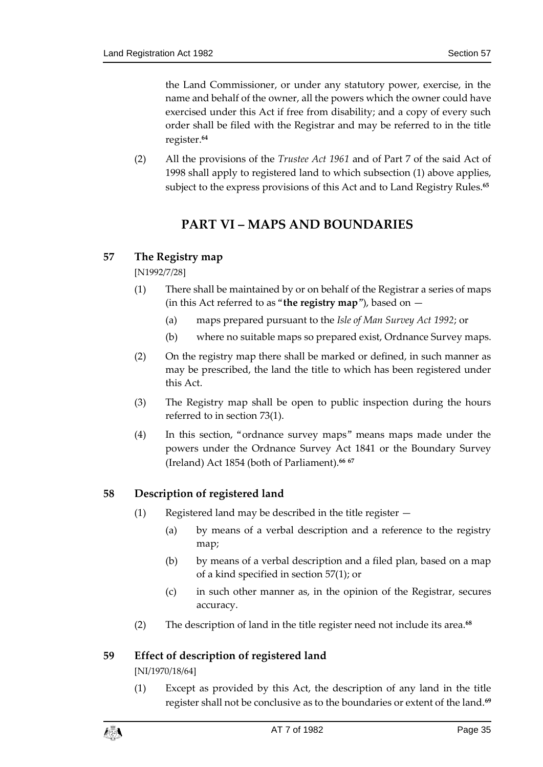the Land Commissioner, or under any statutory power, exercise, in the name and behalf of the owner, all the powers which the owner could have exercised under this Act if free from disability; and a copy of every such order shall be filed with the Registrar and may be referred to in the title register.**<sup>64</sup>**

<span id="page-34-0"></span>(2) All the provisions of the *Trustee Act 1961* and of Part 7 of the said Act of 1998 shall apply to registered land to which subsection (1) above applies, subject to the express provisions of this Act and to Land Registry Rules.**<sup>65</sup>**

# **PART VI – MAPS AND BOUNDARIES**

### <span id="page-34-1"></span>**57 The Registry map**

[N1992/7/28]

- (1) There shall be maintained by or on behalf of the Registrar a series of maps (in this Act referred to as "**the registry map**"), based on —
	- (a) maps prepared pursuant to the *Isle of Man Survey Act 1992*; or
	- (b) where no suitable maps so prepared exist, Ordnance Survey maps.
- (2) On the registry map there shall be marked or defined, in such manner as may be prescribed, the land the title to which has been registered under this Act.
- (3) The Registry map shall be open to public inspection during the hours referred to in section 73(1).
- (4) In this section, "ordnance survey maps" means maps made under the powers under the Ordnance Survey Act 1841 or the Boundary Survey (Ireland) Act 1854 (both of Parliament).**<sup>66</sup> <sup>67</sup>**

### <span id="page-34-2"></span>**58 Description of registered land**

- (1) Registered land may be described in the title register
	- (a) by means of a verbal description and a reference to the registry map;
	- (b) by means of a verbal description and a filed plan, based on a map of a kind specified in section 57(1); or
	- (c) in such other manner as, in the opinion of the Registrar, secures accuracy.
- (2) The description of land in the title register need not include its area.**<sup>68</sup>**

### <span id="page-34-3"></span>**59 Effect of description of registered land**

[NI/1970/18/64]

(1) Except as provided by this Act, the description of any land in the title register shall not be conclusive as to the boundaries or extent of the land.**<sup>69</sup>**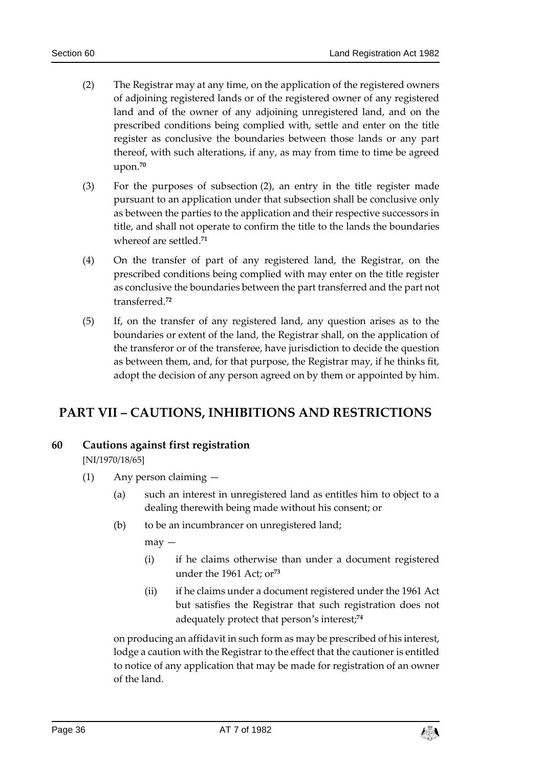- (2) The Registrar may at any time, on the application of the registered owners of adjoining registered lands or of the registered owner of any registered land and of the owner of any adjoining unregistered land, and on the prescribed conditions being complied with, settle and enter on the title register as conclusive the boundaries between those lands or any part thereof, with such alterations, if any, as may from time to time be agreed upon.**<sup>70</sup>**
- (3) For the purposes of subsection (2), an entry in the title register made pursuant to an application under that subsection shall be conclusive only as between the parties to the application and their respective successors in title, and shall not operate to confirm the title to the lands the boundaries whereof are settled.**<sup>71</sup>**
- (4) On the transfer of part of any registered land, the Registrar, on the prescribed conditions being complied with may enter on the title register as conclusive the boundaries between the part transferred and the part not transferred.**<sup>72</sup>**
- (5) If, on the transfer of any registered land, any question arises as to the boundaries or extent of the land, the Registrar shall, on the application of the transferor or of the transferee, have jurisdiction to decide the question as between them, and, for that purpose, the Registrar may, if he thinks fit, adopt the decision of any person agreed on by them or appointed by him.

# <span id="page-35-1"></span><span id="page-35-0"></span>**PART VII – CAUTIONS, INHIBITIONS AND RESTRICTIONS**

### **60 Cautions against first registration**

[NI/1970/18/65]

- (1) Any person claiming
	- (a) such an interest in unregistered land as entitles him to object to a dealing therewith being made without his consent; or
	- (b) to be an incumbrancer on unregistered land;

may —

- (i) if he claims otherwise than under a document registered under the 1961 Act; or**<sup>73</sup>**
- (ii) if he claims under a document registered under the 1961 Act but satisfies the Registrar that such registration does not adequately protect that person's interest;**<sup>74</sup>**

on producing an affidavit in such form as may be prescribed of his interest, lodge a caution with the Registrar to the effect that the cautioner is entitled to notice of any application that may be made for registration of an owner of the land.

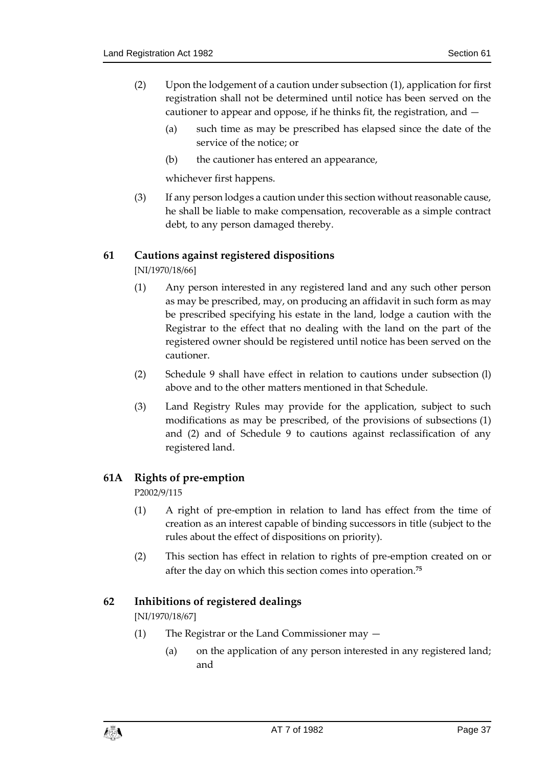- (2) Upon the lodgement of a caution under subsection (1), application for first registration shall not be determined until notice has been served on the cautioner to appear and oppose, if he thinks fit, the registration, and —
	- (a) such time as may be prescribed has elapsed since the date of the service of the notice; or
	- (b) the cautioner has entered an appearance,

whichever first happens.

(3) If any person lodges a caution under this section without reasonable cause, he shall be liable to make compensation, recoverable as a simple contract debt, to any person damaged thereby.

## **61 Cautions against registered dispositions**

[NI/1970/18/66]

- (1) Any person interested in any registered land and any such other person as may be prescribed, may, on producing an affidavit in such form as may be prescribed specifying his estate in the land, lodge a caution with the Registrar to the effect that no dealing with the land on the part of the registered owner should be registered until notice has been served on the cautioner.
- (2) Schedule 9 shall have effect in relation to cautions under subsection (l) above and to the other matters mentioned in that Schedule.
- (3) Land Registry Rules may provide for the application, subject to such modifications as may be prescribed, of the provisions of subsections (1) and (2) and of Schedule 9 to cautions against reclassification of any registered land.

#### **61A Rights of pre-emption**

P2002/9/115

- (1) A right of pre-emption in relation to land has effect from the time of creation as an interest capable of binding successors in title (subject to the rules about the effect of dispositions on priority).
- (2) This section has effect in relation to rights of pre-emption created on or after the day on which this section comes into operation.**<sup>75</sup>**

#### **62 Inhibitions of registered dealings**

[NI/1970/18/67]

- (1) The Registrar or the Land Commissioner may
	- (a) on the application of any person interested in any registered land; and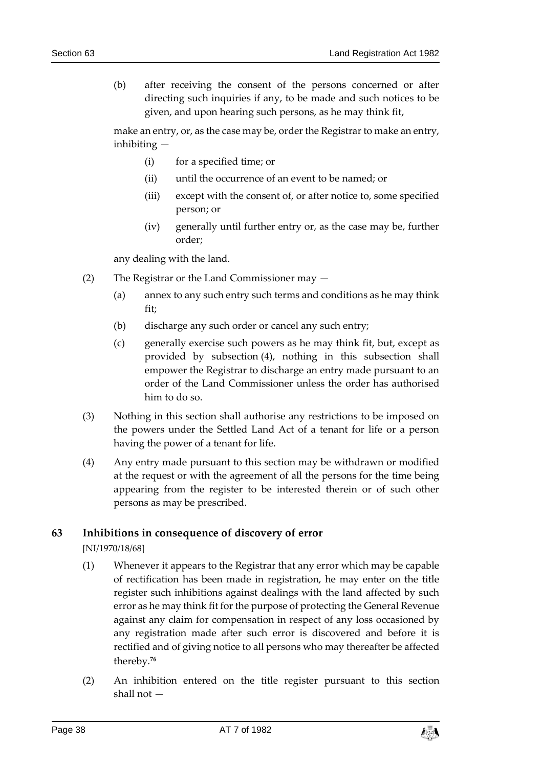(b) after receiving the consent of the persons concerned or after directing such inquiries if any, to be made and such notices to be given, and upon hearing such persons, as he may think fit,

make an entry, or, as the case may be, order the Registrar to make an entry, inhibiting —

- (i) for a specified time; or
- (ii) until the occurrence of an event to be named; or
- (iii) except with the consent of, or after notice to, some specified person; or
- (iv) generally until further entry or, as the case may be, further order;

any dealing with the land.

- (2) The Registrar or the Land Commissioner may
	- (a) annex to any such entry such terms and conditions as he may think fit;
	- (b) discharge any such order or cancel any such entry;
	- (c) generally exercise such powers as he may think fit, but, except as provided by subsection (4), nothing in this subsection shall empower the Registrar to discharge an entry made pursuant to an order of the Land Commissioner unless the order has authorised him to do so.
- (3) Nothing in this section shall authorise any restrictions to be imposed on the powers under the Settled Land Act of a tenant for life or a person having the power of a tenant for life.
- (4) Any entry made pursuant to this section may be withdrawn or modified at the request or with the agreement of all the persons for the time being appearing from the register to be interested therein or of such other persons as may be prescribed.

#### **63 Inhibitions in consequence of discovery of error**

[NI/1970/18/68]

- (1) Whenever it appears to the Registrar that any error which may be capable of rectification has been made in registration, he may enter on the title register such inhibitions against dealings with the land affected by such error as he may think fit for the purpose of protecting the General Revenue against any claim for compensation in respect of any loss occasioned by any registration made after such error is discovered and before it is rectified and of giving notice to all persons who may thereafter be affected thereby.**<sup>76</sup>**
- (2) An inhibition entered on the title register pursuant to this section shall not —

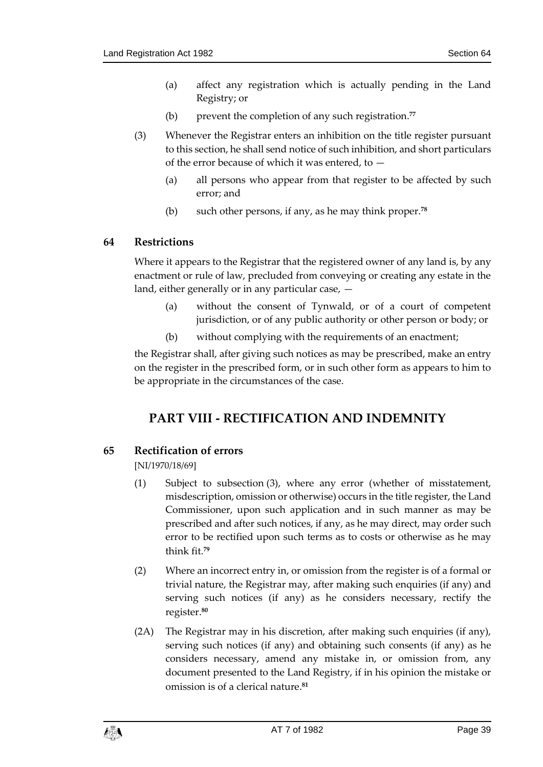- (a) affect any registration which is actually pending in the Land Registry; or
- (b) prevent the completion of any such registration.**<sup>77</sup>**
- (3) Whenever the Registrar enters an inhibition on the title register pursuant to this section, he shall send notice of such inhibition, and short particulars of the error because of which it was entered, to —
	- (a) all persons who appear from that register to be affected by such error; and
	- (b) such other persons, if any, as he may think proper.**<sup>78</sup>**

#### **64 Restrictions**

Where it appears to the Registrar that the registered owner of any land is, by any enactment or rule of law, precluded from conveying or creating any estate in the land, either generally or in any particular case, —

- (a) without the consent of Tynwald, or of a court of competent jurisdiction, or of any public authority or other person or body; or
- (b) without complying with the requirements of an enactment;

the Registrar shall, after giving such notices as may be prescribed, make an entry on the register in the prescribed form, or in such other form as appears to him to be appropriate in the circumstances of the case.

# **PART VIII - RECTIFICATION AND INDEMNITY**

#### **65 Rectification of errors**

[NI/1970/18/69]

- (1) Subject to subsection (3), where any error (whether of misstatement, misdescription, omission or otherwise) occurs in the title register, the Land Commissioner, upon such application and in such manner as may be prescribed and after such notices, if any, as he may direct, may order such error to be rectified upon such terms as to costs or otherwise as he may think fit.**<sup>79</sup>**
- (2) Where an incorrect entry in, or omission from the register is of a formal or trivial nature, the Registrar may, after making such enquiries (if any) and serving such notices (if any) as he considers necessary, rectify the register.**<sup>80</sup>**
- (2A) The Registrar may in his discretion, after making such enquiries (if any), serving such notices (if any) and obtaining such consents (if any) as he considers necessary, amend any mistake in, or omission from, any document presented to the Land Registry, if in his opinion the mistake or omission is of a clerical nature.**81**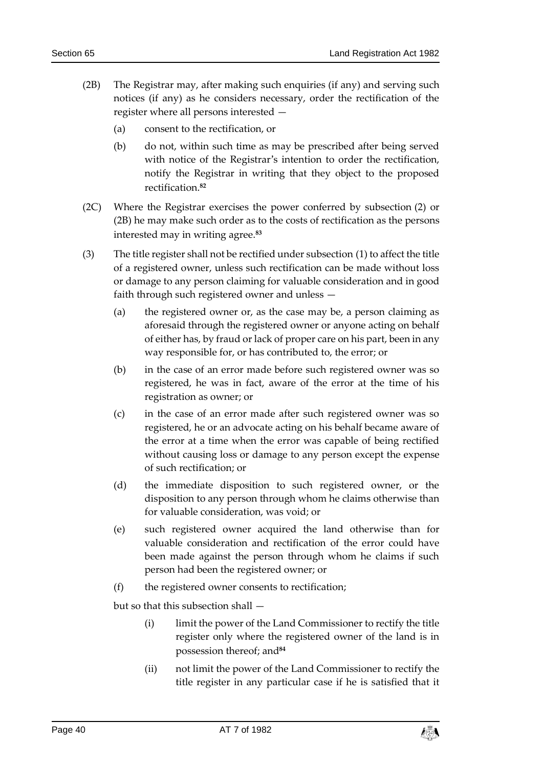- (2B) The Registrar may, after making such enquiries (if any) and serving such notices (if any) as he considers necessary, order the rectification of the register where all persons interested —
	- (a) consent to the rectification, or
	- (b) do not, within such time as may be prescribed after being served with notice of the Registrar's intention to order the rectification, notify the Registrar in writing that they object to the proposed rectification.**<sup>82</sup>**
- (2C) Where the Registrar exercises the power conferred by subsection (2) or (2B) he may make such order as to the costs of rectification as the persons interested may in writing agree.**<sup>83</sup>**
- (3) The title register shall not be rectified under subsection (1) to affect the title of a registered owner, unless such rectification can be made without loss or damage to any person claiming for valuable consideration and in good faith through such registered owner and unless —
	- (a) the registered owner or, as the case may be, a person claiming as aforesaid through the registered owner or anyone acting on behalf of either has, by fraud or lack of proper care on his part, been in any way responsible for, or has contributed to, the error; or
	- (b) in the case of an error made before such registered owner was so registered, he was in fact, aware of the error at the time of his registration as owner; or
	- (c) in the case of an error made after such registered owner was so registered, he or an advocate acting on his behalf became aware of the error at a time when the error was capable of being rectified without causing loss or damage to any person except the expense of such rectification; or
	- (d) the immediate disposition to such registered owner, or the disposition to any person through whom he claims otherwise than for valuable consideration, was void; or
	- (e) such registered owner acquired the land otherwise than for valuable consideration and rectification of the error could have been made against the person through whom he claims if such person had been the registered owner; or
	- (f) the registered owner consents to rectification;

but so that this subsection shall —

- (i) limit the power of the Land Commissioner to rectify the title register only where the registered owner of the land is in possession thereof; and**<sup>84</sup>**
- (ii) not limit the power of the Land Commissioner to rectify the title register in any particular case if he is satisfied that it

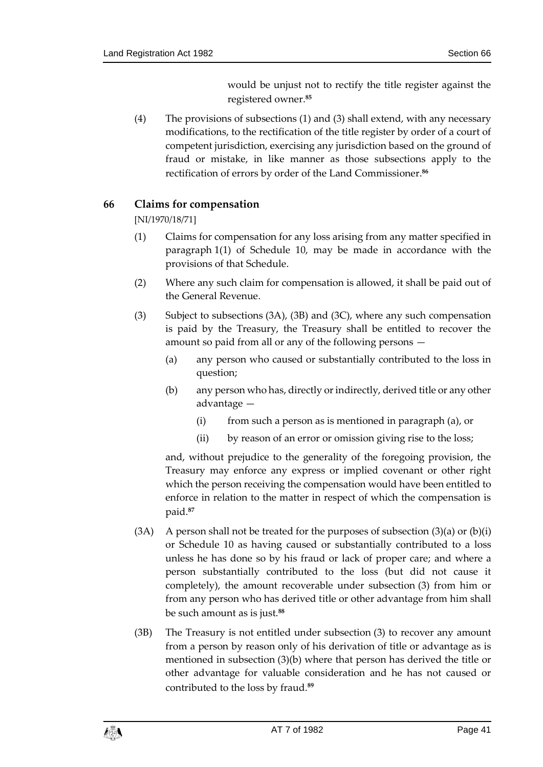would be unjust not to rectify the title register against the registered owner.**<sup>85</sup>**

(4) The provisions of subsections (1) and (3) shall extend, with any necessary modifications, to the rectification of the title register by order of a court of competent jurisdiction, exercising any jurisdiction based on the ground of fraud or mistake, in like manner as those subsections apply to the rectification of errors by order of the Land Commissioner.**<sup>86</sup>**

## **66 Claims for compensation**

[NI/1970/18/71]

- (1) Claims for compensation for any loss arising from any matter specified in paragraph 1(1) of Schedule 10, may be made in accordance with the provisions of that Schedule.
- (2) Where any such claim for compensation is allowed, it shall be paid out of the General Revenue.
- (3) Subject to subsections (3A), (3B) and (3C), where any such compensation is paid by the Treasury, the Treasury shall be entitled to recover the amount so paid from all or any of the following persons —
	- (a) any person who caused or substantially contributed to the loss in question;
	- (b) any person who has, directly or indirectly, derived title or any other advantage —
		- (i) from such a person as is mentioned in paragraph (a), or
		- (ii) by reason of an error or omission giving rise to the loss;

and, without prejudice to the generality of the foregoing provision, the Treasury may enforce any express or implied covenant or other right which the person receiving the compensation would have been entitled to enforce in relation to the matter in respect of which the compensation is paid.**<sup>87</sup>**

- (3A) A person shall not be treated for the purposes of subsection  $(3)(a)$  or  $(b)(i)$ or Schedule 10 as having caused or substantially contributed to a loss unless he has done so by his fraud or lack of proper care; and where a person substantially contributed to the loss (but did not cause it completely), the amount recoverable under subsection (3) from him or from any person who has derived title or other advantage from him shall be such amount as is just.**<sup>88</sup>**
- (3B) The Treasury is not entitled under subsection (3) to recover any amount from a person by reason only of his derivation of title or advantage as is mentioned in subsection (3)(b) where that person has derived the title or other advantage for valuable consideration and he has not caused or contributed to the loss by fraud.**89**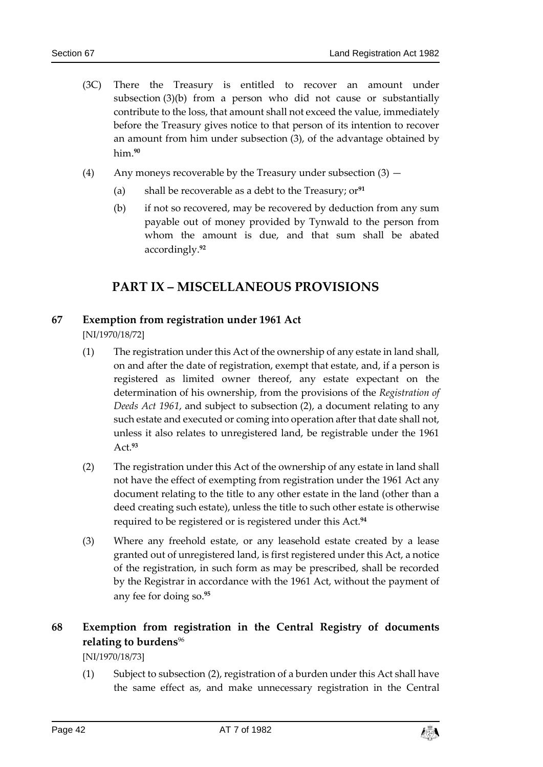- (3C) There the Treasury is entitled to recover an amount under subsection (3)(b) from a person who did not cause or substantially contribute to the loss, that amount shall not exceed the value, immediately before the Treasury gives notice to that person of its intention to recover an amount from him under subsection (3), of the advantage obtained by him.**<sup>90</sup>**
- (4) Any moneys recoverable by the Treasury under subsection (3)
	- (a) shall be recoverable as a debt to the Treasury; or**<sup>91</sup>**
	- (b) if not so recovered, may be recovered by deduction from any sum payable out of money provided by Tynwald to the person from whom the amount is due, and that sum shall be abated accordingly.**<sup>92</sup>**

## **PART IX – MISCELLANEOUS PROVISIONS**

#### **67 Exemption from registration under 1961 Act**

[NI/1970/18/72]

- (1) The registration under this Act of the ownership of any estate in land shall, on and after the date of registration, exempt that estate, and, if a person is registered as limited owner thereof, any estate expectant on the determination of his ownership, from the provisions of the *Registration of Deeds Act 1961*, and subject to subsection (2), a document relating to any such estate and executed or coming into operation after that date shall not, unless it also relates to unregistered land, be registrable under the 1961 Act.**<sup>93</sup>**
- (2) The registration under this Act of the ownership of any estate in land shall not have the effect of exempting from registration under the 1961 Act any document relating to the title to any other estate in the land (other than a deed creating such estate), unless the title to such other estate is otherwise required to be registered or is registered under this Act.**<sup>94</sup>**
- (3) Where any freehold estate, or any leasehold estate created by a lease granted out of unregistered land, is first registered under this Act, a notice of the registration, in such form as may be prescribed, shall be recorded by the Registrar in accordance with the 1961 Act, without the payment of any fee for doing so.**<sup>95</sup>**

## **68 Exemption from registration in the Central Registry of documents relating to burdens**<sup>96</sup>

[NI/1970/18/73]

(1) Subject to subsection (2), registration of a burden under this Act shall have the same effect as, and make unnecessary registration in the Central

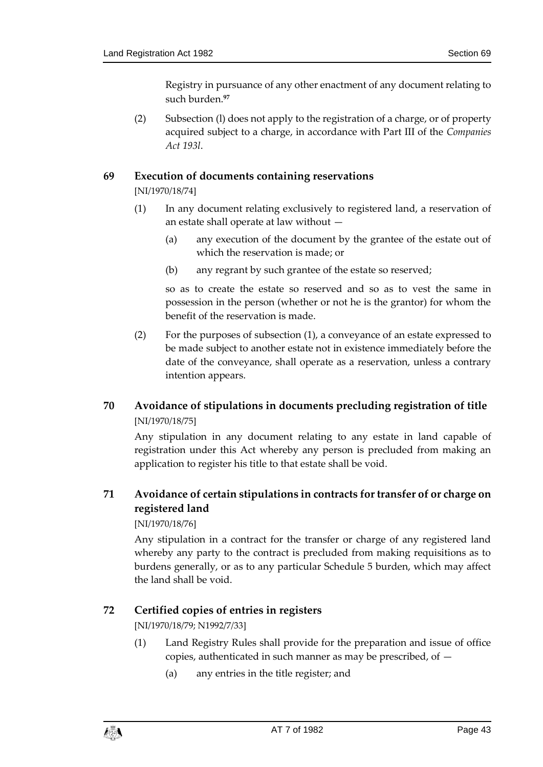Registry in pursuance of any other enactment of any document relating to such burden.**<sup>97</sup>**

(2) Subsection (l) does not apply to the registration of a charge, or of property acquired subject to a charge, in accordance with Part III of the *Companies Act 193l*.

#### **69 Execution of documents containing reservations**

[NI/1970/18/74]

- (1) In any document relating exclusively to registered land, a reservation of an estate shall operate at law without —
	- (a) any execution of the document by the grantee of the estate out of which the reservation is made; or
	- (b) any regrant by such grantee of the estate so reserved;

so as to create the estate so reserved and so as to vest the same in possession in the person (whether or not he is the grantor) for whom the benefit of the reservation is made.

(2) For the purposes of subsection (1), a conveyance of an estate expressed to be made subject to another estate not in existence immediately before the date of the conveyance, shall operate as a reservation, unless a contrary intention appears.

## **70 Avoidance of stipulations in documents precluding registration of title** [NI/1970/18/75]

Any stipulation in any document relating to any estate in land capable of registration under this Act whereby any person is precluded from making an application to register his title to that estate shall be void.

## **71 Avoidance of certain stipulations in contracts for transfer of or charge on registered land**

#### [NI/1970/18/76]

Any stipulation in a contract for the transfer or charge of any registered land whereby any party to the contract is precluded from making requisitions as to burdens generally, or as to any particular Schedule 5 burden, which may affect the land shall be void.

#### **72 Certified copies of entries in registers**

[NI/1970/18/79; N1992/7/33]

- (1) Land Registry Rules shall provide for the preparation and issue of office copies, authenticated in such manner as may be prescribed, of  $-$ 
	- (a) any entries in the title register; and

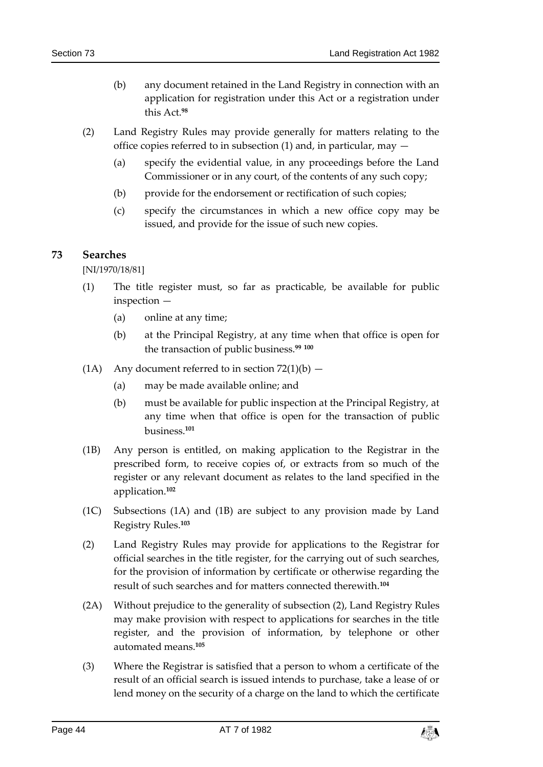- (b) any document retained in the Land Registry in connection with an application for registration under this Act or a registration under this Act.**<sup>98</sup>**
- (2) Land Registry Rules may provide generally for matters relating to the office copies referred to in subsection (1) and, in particular, may —
	- (a) specify the evidential value, in any proceedings before the Land Commissioner or in any court, of the contents of any such copy;
	- (b) provide for the endorsement or rectification of such copies;
	- (c) specify the circumstances in which a new office copy may be issued, and provide for the issue of such new copies.

#### **73 Searches**

[NI/1970/18/81]

- (1) The title register must, so far as practicable, be available for public inspection —
	- (a) online at any time;
	- (b) at the Principal Registry, at any time when that office is open for the transaction of public business.**<sup>99</sup> <sup>100</sup>**
- (1A) Any document referred to in section  $72(1)(b)$ 
	- (a) may be made available online; and
	- (b) must be available for public inspection at the Principal Registry, at any time when that office is open for the transaction of public business. **101**
- (1B) Any person is entitled, on making application to the Registrar in the prescribed form, to receive copies of, or extracts from so much of the register or any relevant document as relates to the land specified in the application.**<sup>102</sup>**
- (1C) Subsections (1A) and (1B) are subject to any provision made by Land Registry Rules.**<sup>103</sup>**
- (2) Land Registry Rules may provide for applications to the Registrar for official searches in the title register, for the carrying out of such searches, for the provision of information by certificate or otherwise regarding the result of such searches and for matters connected therewith.**<sup>104</sup>**
- (2A) Without prejudice to the generality of subsection (2), Land Registry Rules may make provision with respect to applications for searches in the title register, and the provision of information, by telephone or other automated means.**<sup>105</sup>**
- (3) Where the Registrar is satisfied that a person to whom a certificate of the result of an official search is issued intends to purchase, take a lease of or lend money on the security of a charge on the land to which the certificate

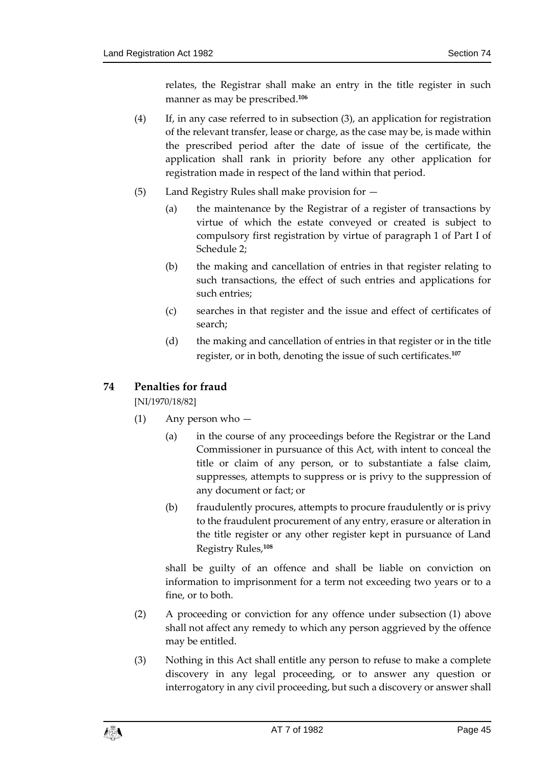relates, the Registrar shall make an entry in the title register in such manner as may be prescribed.**<sup>106</sup>**

- (4) If, in any case referred to in subsection (3), an application for registration of the relevant transfer, lease or charge, as the case may be, is made within the prescribed period after the date of issue of the certificate, the application shall rank in priority before any other application for registration made in respect of the land within that period.
- (5) Land Registry Rules shall make provision for
	- (a) the maintenance by the Registrar of a register of transactions by virtue of which the estate conveyed or created is subject to compulsory first registration by virtue of paragraph 1 of Part I of Schedule 2;
	- (b) the making and cancellation of entries in that register relating to such transactions, the effect of such entries and applications for such entries;
	- (c) searches in that register and the issue and effect of certificates of search;
	- (d) the making and cancellation of entries in that register or in the title register, or in both, denoting the issue of such certificates.**<sup>107</sup>**

## **74 Penalties for fraud**

[NI/1970/18/82]

- (1) Any person who
	- (a) in the course of any proceedings before the Registrar or the Land Commissioner in pursuance of this Act, with intent to conceal the title or claim of any person, or to substantiate a false claim, suppresses, attempts to suppress or is privy to the suppression of any document or fact; or
	- (b) fraudulently procures, attempts to procure fraudulently or is privy to the fraudulent procurement of any entry, erasure or alteration in the title register or any other register kept in pursuance of Land Registry Rules,**<sup>108</sup>**

shall be guilty of an offence and shall be liable on conviction on information to imprisonment for a term not exceeding two years or to a fine, or to both.

- (2) A proceeding or conviction for any offence under subsection (1) above shall not affect any remedy to which any person aggrieved by the offence may be entitled.
- (3) Nothing in this Act shall entitle any person to refuse to make a complete discovery in any legal proceeding, or to answer any question or interrogatory in any civil proceeding, but such a discovery or answer shall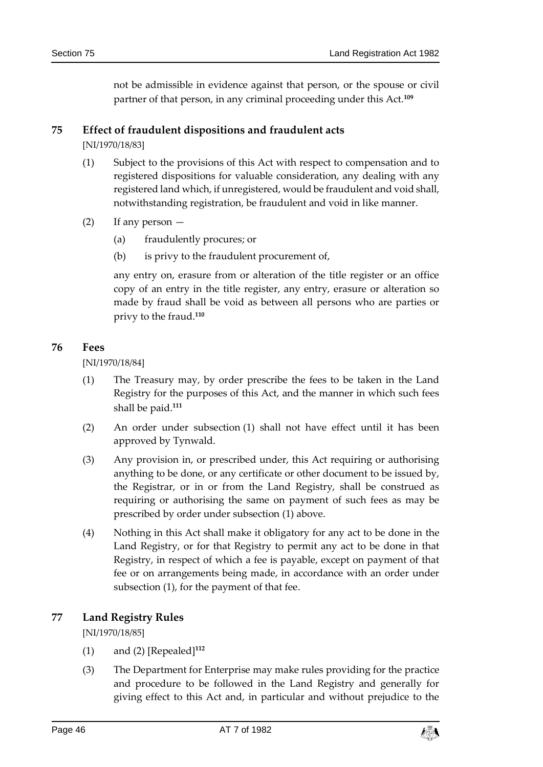not be admissible in evidence against that person, or the spouse or civil partner of that person, in any criminal proceeding under this Act.**<sup>109</sup>**

#### **75 Effect of fraudulent dispositions and fraudulent acts**

[NI/1970/18/83]

- (1) Subject to the provisions of this Act with respect to compensation and to registered dispositions for valuable consideration, any dealing with any registered land which, if unregistered, would be fraudulent and void shall, notwithstanding registration, be fraudulent and void in like manner.
- (2) If any person
	- (a) fraudulently procures; or
	- (b) is privy to the fraudulent procurement of,

any entry on, erasure from or alteration of the title register or an office copy of an entry in the title register, any entry, erasure or alteration so made by fraud shall be void as between all persons who are parties or privy to the fraud.**<sup>110</sup>**

#### **76 Fees**

[NI/1970/18/84]

- (1) The Treasury may, by order prescribe the fees to be taken in the Land Registry for the purposes of this Act, and the manner in which such fees shall be paid.**<sup>111</sup>**
- (2) An order under subsection (1) shall not have effect until it has been approved by Tynwald.
- (3) Any provision in, or prescribed under, this Act requiring or authorising anything to be done, or any certificate or other document to be issued by, the Registrar, or in or from the Land Registry, shall be construed as requiring or authorising the same on payment of such fees as may be prescribed by order under subsection (1) above.
- (4) Nothing in this Act shall make it obligatory for any act to be done in the Land Registry, or for that Registry to permit any act to be done in that Registry, in respect of which a fee is payable, except on payment of that fee or on arrangements being made, in accordance with an order under subsection (1), for the payment of that fee.

#### **77 Land Registry Rules**

[NI/1970/18/85]

- (1) and (2) [Repealed]**<sup>112</sup>**
- (3) The Department for Enterprise may make rules providing for the practice and procedure to be followed in the Land Registry and generally for giving effect to this Act and, in particular and without prejudice to the

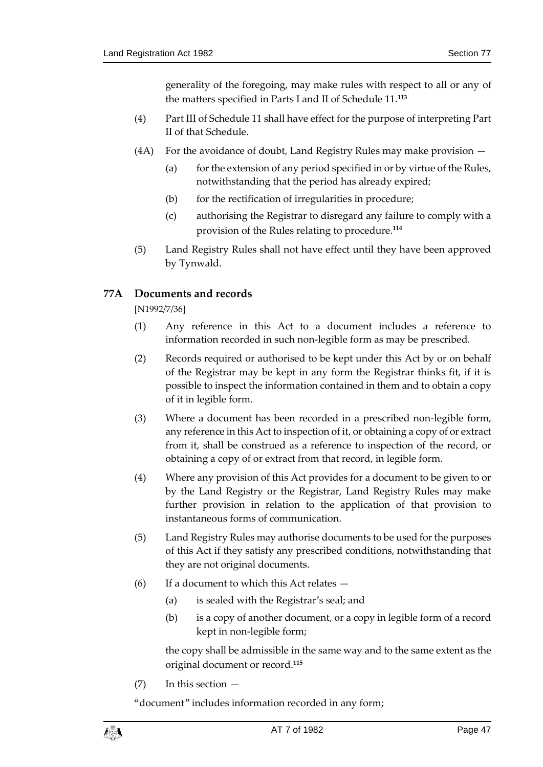generality of the foregoing, may make rules with respect to all or any of the matters specified in Parts I and II of Schedule 11.**<sup>113</sup>**

- (4) Part III of Schedule 11 shall have effect for the purpose of interpreting Part II of that Schedule.
- (4A) For the avoidance of doubt, Land Registry Rules may make provision
	- (a) for the extension of any period specified in or by virtue of the Rules, notwithstanding that the period has already expired;
	- (b) for the rectification of irregularities in procedure;
	- (c) authorising the Registrar to disregard any failure to comply with a provision of the Rules relating to procedure.**<sup>114</sup>**
- (5) Land Registry Rules shall not have effect until they have been approved by Tynwald.

## **77A Documents and records**

[N1992/7/36]

- (1) Any reference in this Act to a document includes a reference to information recorded in such non-legible form as may be prescribed.
- (2) Records required or authorised to be kept under this Act by or on behalf of the Registrar may be kept in any form the Registrar thinks fit, if it is possible to inspect the information contained in them and to obtain a copy of it in legible form.
- (3) Where a document has been recorded in a prescribed non-legible form, any reference in this Act to inspection of it, or obtaining a copy of or extract from it, shall be construed as a reference to inspection of the record, or obtaining a copy of or extract from that record, in legible form.
- (4) Where any provision of this Act provides for a document to be given to or by the Land Registry or the Registrar, Land Registry Rules may make further provision in relation to the application of that provision to instantaneous forms of communication.
- (5) Land Registry Rules may authorise documents to be used for the purposes of this Act if they satisfy any prescribed conditions, notwithstanding that they are not original documents.
- (6) If a document to which this Act relates
	- (a) is sealed with the Registrar's seal; and
	- (b) is a copy of another document, or a copy in legible form of a record kept in non-legible form;

the copy shall be admissible in the same way and to the same extent as the original document or record.**<sup>115</sup>**

(7) In this section —

"document" includes information recorded in any form;

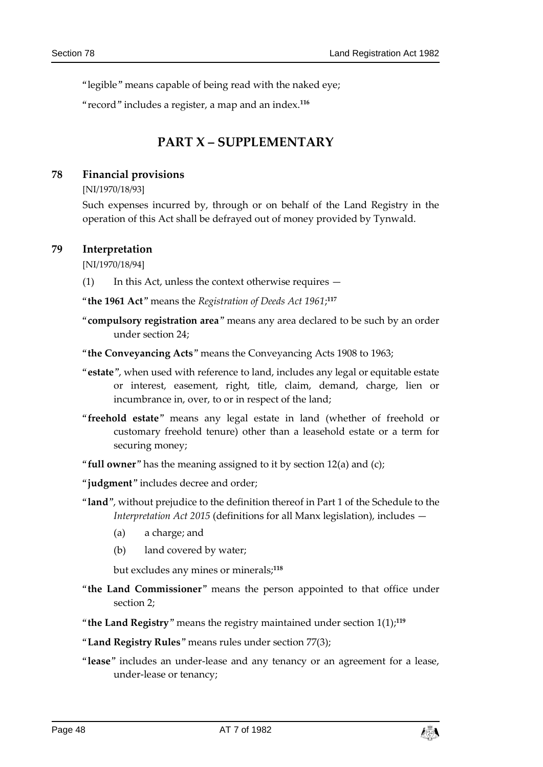"legible" means capable of being read with the naked eye;

"record" includes a register, a map and an index.**<sup>116</sup>**

# **PART X – SUPPLEMENTARY**

#### **78 Financial provisions**

[NI/1970/18/93]

Such expenses incurred by, through or on behalf of the Land Registry in the operation of this Act shall be defrayed out of money provided by Tynwald.

#### **79 Interpretation**

[NI/1970/18/94]

(1) In this Act, unless the context otherwise requires —

"**the 1961 Act**" means the *Registration of Deeds Act 1961*; **117**

- "**compulsory registration area**" means any area declared to be such by an order under section 24;
- "**the Conveyancing Acts**" means the Conveyancing Acts 1908 to 1963;
- "**estate**", when used with reference to land, includes any legal or equitable estate or interest, easement, right, title, claim, demand, charge, lien or incumbrance in, over, to or in respect of the land;
- "**freehold estate**" means any legal estate in land (whether of freehold or customary freehold tenure) other than a leasehold estate or a term for securing money;
- "**full owner**" has the meaning assigned to it by section 12(a) and (c);
- "**judgment**" includes decree and order;
- "**land**", without prejudice to the definition thereof in Part 1 of the Schedule to the *Interpretation Act 2015* (definitions for all Manx legislation), includes —
	- (a) a charge; and
	- (b) land covered by water;

but excludes any mines or minerals;**<sup>118</sup>**

- "**the Land Commissioner**" means the person appointed to that office under section 2;
- "**the Land Registry**" means the registry maintained under section 1(1);**<sup>119</sup>**
- "**Land Registry Rules**" means rules under section 77(3);
- "**lease**" includes an under-lease and any tenancy or an agreement for a lease, under-lease or tenancy;

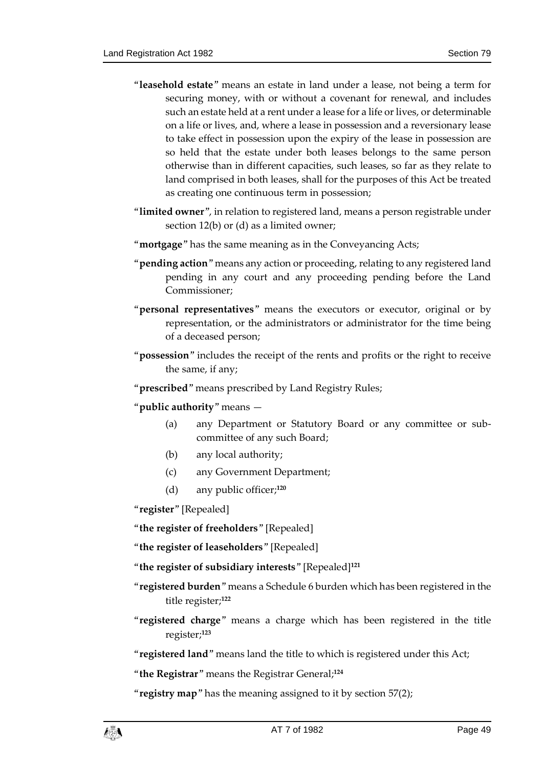- "**leasehold estate**" means an estate in land under a lease, not being a term for securing money, with or without a covenant for renewal, and includes such an estate held at a rent under a lease for a life or lives, or determinable on a life or lives, and, where a lease in possession and a reversionary lease to take effect in possession upon the expiry of the lease in possession are so held that the estate under both leases belongs to the same person otherwise than in different capacities, such leases, so far as they relate to land comprised in both leases, shall for the purposes of this Act be treated as creating one continuous term in possession;
- "**limited owner**", in relation to registered land, means a person registrable under section 12(b) or (d) as a limited owner;
- "**mortgage**" has the same meaning as in the Conveyancing Acts;
- "**pending action**" means any action or proceeding, relating to any registered land pending in any court and any proceeding pending before the Land Commissioner;
- "**personal representatives**" means the executors or executor, original or by representation, or the administrators or administrator for the time being of a deceased person;
- "**possession**" includes the receipt of the rents and profits or the right to receive the same, if any;
- "**prescribed**" means prescribed by Land Registry Rules;
- "**public authority**" means
	- (a) any Department or Statutory Board or any committee or subcommittee of any such Board;
	- (b) any local authority;
	- (c) any Government Department;
	- (d) any public officer;**<sup>120</sup>**

"**register**" [Repealed]

"**the register of freeholders**" [Repealed]

"**the register of leaseholders**" [Repealed]

"**the register of subsidiary interests**" [Repealed]**<sup>121</sup>**

- "**registered burden**" means a Schedule 6 burden which has been registered in the title register;**<sup>122</sup>**
- "**registered charge**" means a charge which has been registered in the title register;**<sup>123</sup>**

"**registered land**" means land the title to which is registered under this Act;

"**the Registrar**" means the Registrar General; **124**

"**registry map**" has the meaning assigned to it by section 57(2);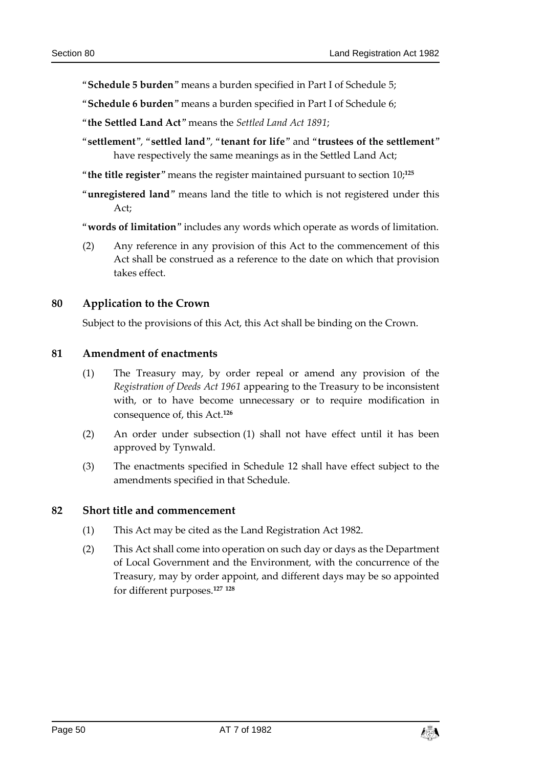"**Schedule 5 burden**" means a burden specified in Part I of Schedule 5;

"**Schedule 6 burden**" means a burden specified in Part I of Schedule 6;

- "**the Settled Land Act**" means the *Settled Land Act 1891*;
- "**settlement**", "**settled land**", "**tenant for life**" and "**trustees of the settlement**" have respectively the same meanings as in the Settled Land Act;

"**the title register**" means the register maintained pursuant to section 10;**<sup>125</sup>**

"**unregistered land**" means land the title to which is not registered under this  $Art$ 

"**words of limitation**" includes any words which operate as words of limitation.

(2) Any reference in any provision of this Act to the commencement of this Act shall be construed as a reference to the date on which that provision takes effect.

#### **80 Application to the Crown**

Subject to the provisions of this Act, this Act shall be binding on the Crown.

#### **81 Amendment of enactments**

- (1) The Treasury may, by order repeal or amend any provision of the *Registration of Deeds Act 1961* appearing to the Treasury to be inconsistent with, or to have become unnecessary or to require modification in consequence of, this Act.**<sup>126</sup>**
- (2) An order under subsection (1) shall not have effect until it has been approved by Tynwald.
- (3) The enactments specified in Schedule 12 shall have effect subject to the amendments specified in that Schedule.

#### **82 Short title and commencement**

- (1) This Act may be cited as the Land Registration Act 1982.
- (2) This Act shall come into operation on such day or days as the Department of Local Government and the Environment, with the concurrence of the Treasury, may by order appoint, and different days may be so appointed for different purposes.**<sup>127</sup> <sup>128</sup>**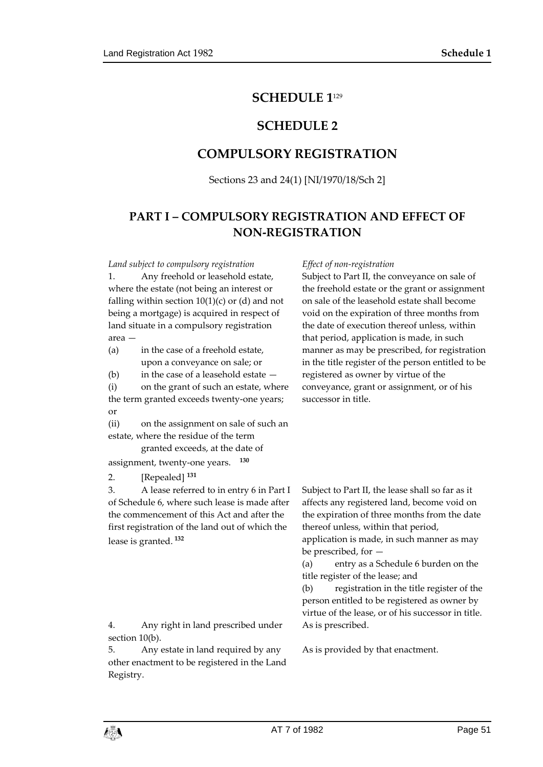## **SCHEDULE 1**<sup>129</sup>

## **SCHEDULE 2**

## **COMPULSORY REGISTRATION**

Sections 23 and 24(1) [NI/1970/18/Sch 2]

# **PART I – COMPULSORY REGISTRATION AND EFFECT OF NON-REGISTRATION**

*Land subject to compulsory registration Effect of non-registration*

1. Any freehold or leasehold estate, where the estate (not being an interest or falling within section  $10(1)(c)$  or (d) and not being a mortgage) is acquired in respect of land situate in a compulsory registration area —

(a) in the case of a freehold estate, upon a conveyance on sale; or

(b) in the case of a leasehold estate —

(i) on the grant of such an estate, where the term granted exceeds twenty-one years; or

(ii) on the assignment on sale of such an estate, where the residue of the term

granted exceeds, at the date of

assignment, twenty-one years. **<sup>130</sup>**

2. [Repealed] **<sup>131</sup>**

3. A lease referred to in entry 6 in Part I of Schedule 6, where such lease is made after the commencement of this Act and after the first registration of the land out of which the lease is granted. **<sup>132</sup>**

4. Any right in land prescribed under section 10(b).

5. Any estate in land required by any other enactment to be registered in the Land Registry.

Subject to Part II, the conveyance on sale of the freehold estate or the grant or assignment on sale of the leasehold estate shall become void on the expiration of three months from the date of execution thereof unless, within that period, application is made, in such manner as may be prescribed, for registration in the title register of the person entitled to be registered as owner by virtue of the conveyance, grant or assignment, or of his successor in title.

Subject to Part II, the lease shall so far as it affects any registered land, become void on the expiration of three months from the date thereof unless, within that period,

application is made, in such manner as may be prescribed, for —

(a) entry as a Schedule 6 burden on the title register of the lease; and

(b) registration in the title register of the person entitled to be registered as owner by virtue of the lease, or of his successor in title. As is prescribed.

As is provided by that enactment.

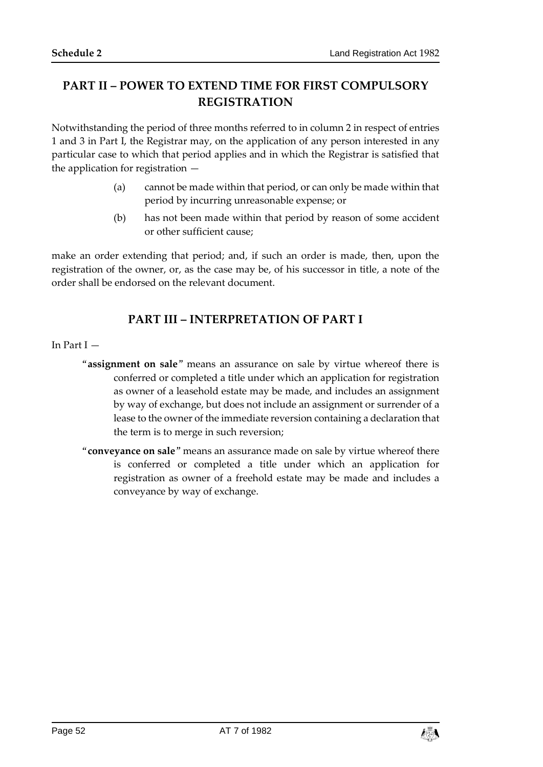## **PART II – POWER TO EXTEND TIME FOR FIRST COMPULSORY REGISTRATION**

Notwithstanding the period of three months referred to in column 2 in respect of entries 1 and 3 in Part I, the Registrar may, on the application of any person interested in any particular case to which that period applies and in which the Registrar is satisfied that the application for registration —

- (a) cannot be made within that period, or can only be made within that period by incurring unreasonable expense; or
- (b) has not been made within that period by reason of some accident or other sufficient cause;

make an order extending that period; and, if such an order is made, then, upon the registration of the owner, or, as the case may be, of his successor in title, a note of the order shall be endorsed on the relevant document.

## **PART III – INTERPRETATION OF PART I**

#### In Part I —

- "**assignment on sale**" means an assurance on sale by virtue whereof there is conferred or completed a title under which an application for registration as owner of a leasehold estate may be made, and includes an assignment by way of exchange, but does not include an assignment or surrender of a lease to the owner of the immediate reversion containing a declaration that the term is to merge in such reversion;
- "**conveyance on sale**" means an assurance made on sale by virtue whereof there is conferred or completed a title under which an application for registration as owner of a freehold estate may be made and includes a conveyance by way of exchange.

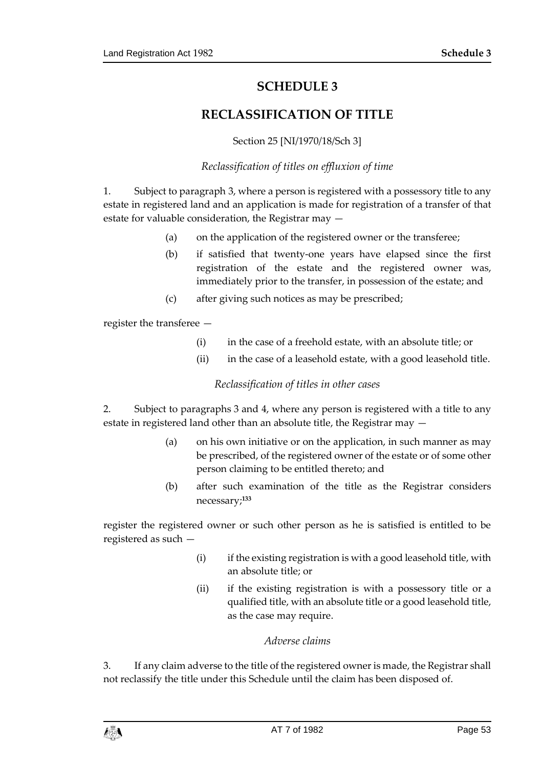# **SCHEDULE 3**

# **RECLASSIFICATION OF TITLE**

## Section 25 [NI/1970/18/Sch 3]

## *Reclassification of titles on effluxion of time*

1. Subject to paragraph 3, where a person is registered with a possessory title to any estate in registered land and an application is made for registration of a transfer of that estate for valuable consideration, the Registrar may —

- (a) on the application of the registered owner or the transferee;
- (b) if satisfied that twenty-one years have elapsed since the first registration of the estate and the registered owner was, immediately prior to the transfer, in possession of the estate; and
- (c) after giving such notices as may be prescribed;

register the transferee —

- (i) in the case of a freehold estate, with an absolute title; or
- (ii) in the case of a leasehold estate, with a good leasehold title.

## *Reclassification of titles in other cases*

2. Subject to paragraphs 3 and 4, where any person is registered with a title to any estate in registered land other than an absolute title, the Registrar may —

- (a) on his own initiative or on the application, in such manner as may be prescribed, of the registered owner of the estate or of some other person claiming to be entitled thereto; and
- (b) after such examination of the title as the Registrar considers necessary;**<sup>133</sup>**

register the registered owner or such other person as he is satisfied is entitled to be registered as such —

- (i) if the existing registration is with a good leasehold title, with an absolute title; or
- (ii) if the existing registration is with a possessory title or a qualified title, with an absolute title or a good leasehold title, as the case may require.

#### *Adverse claims*

3. If any claim adverse to the title of the registered owner is made, the Registrar shall not reclassify the title under this Schedule until the claim has been disposed of.

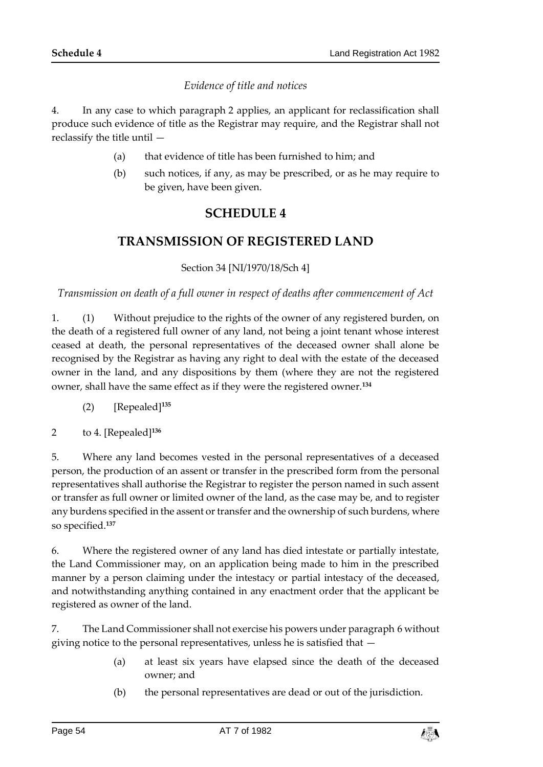## *Evidence of title and notices*

4. In any case to which paragraph 2 applies, an applicant for reclassification shall produce such evidence of title as the Registrar may require, and the Registrar shall not reclassify the title until —

- (a) that evidence of title has been furnished to him; and
- (b) such notices, if any, as may be prescribed, or as he may require to be given, have been given.

# **SCHEDULE 4**

## **TRANSMISSION OF REGISTERED LAND**

Section 34 [NI/1970/18/Sch 4]

*Transmission on death of a full owner in respect of deaths after commencement of Act*

1. (1) Without prejudice to the rights of the owner of any registered burden, on the death of a registered full owner of any land, not being a joint tenant whose interest ceased at death, the personal representatives of the deceased owner shall alone be recognised by the Registrar as having any right to deal with the estate of the deceased owner in the land, and any dispositions by them (where they are not the registered owner, shall have the same effect as if they were the registered owner.**<sup>134</sup>**

(2) [Repealed]**<sup>135</sup>**

2 to 4. [Repealed]**<sup>136</sup>**

5. Where any land becomes vested in the personal representatives of a deceased person, the production of an assent or transfer in the prescribed form from the personal representatives shall authorise the Registrar to register the person named in such assent or transfer as full owner or limited owner of the land, as the case may be, and to register any burdens specified in the assent or transfer and the ownership of such burdens, where so specified.**<sup>137</sup>**

6. Where the registered owner of any land has died intestate or partially intestate, the Land Commissioner may, on an application being made to him in the prescribed manner by a person claiming under the intestacy or partial intestacy of the deceased, and notwithstanding anything contained in any enactment order that the applicant be registered as owner of the land.

7. The Land Commissioner shall not exercise his powers under paragraph 6 without giving notice to the personal representatives, unless he is satisfied that —

- (a) at least six years have elapsed since the death of the deceased owner; and
- (b) the personal representatives are dead or out of the jurisdiction.

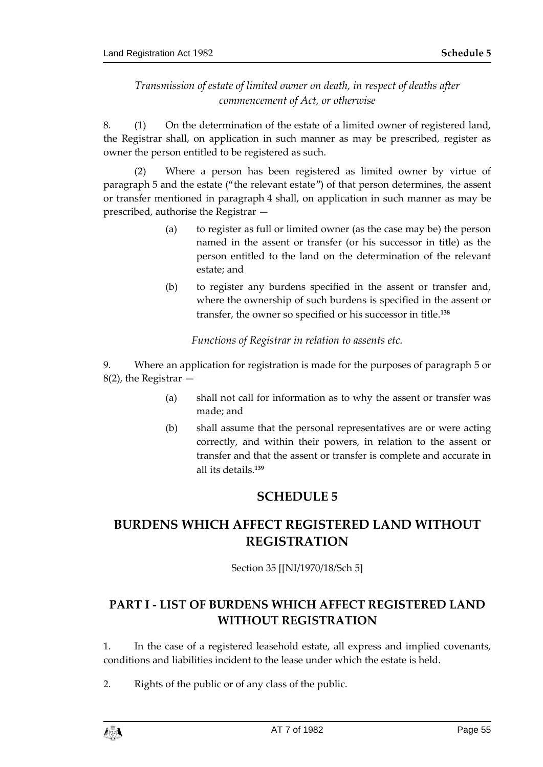## *Transmission of estate of limited owner on death, in respect of deaths after commencement of Act, or otherwise*

8. (1) On the determination of the estate of a limited owner of registered land, the Registrar shall, on application in such manner as may be prescribed, register as owner the person entitled to be registered as such.

(2) Where a person has been registered as limited owner by virtue of paragraph 5 and the estate ("the relevant estate") of that person determines, the assent or transfer mentioned in paragraph 4 shall, on application in such manner as may be prescribed, authorise the Registrar —

- (a) to register as full or limited owner (as the case may be) the person named in the assent or transfer (or his successor in title) as the person entitled to the land on the determination of the relevant estate; and
- (b) to register any burdens specified in the assent or transfer and, where the ownership of such burdens is specified in the assent or transfer, the owner so specified or his successor in title.**<sup>138</sup>**

*Functions of Registrar in relation to assents etc.*

9. Where an application for registration is made for the purposes of paragraph 5 or 8(2), the Registrar —

- (a) shall not call for information as to why the assent or transfer was made; and
- (b) shall assume that the personal representatives are or were acting correctly, and within their powers, in relation to the assent or transfer and that the assent or transfer is complete and accurate in all its details.**<sup>139</sup>**

# **SCHEDULE 5**

# **BURDENS WHICH AFFECT REGISTERED LAND WITHOUT REGISTRATION**

Section 35 [[NI/1970/18/Sch 5]

# **PART I - LIST OF BURDENS WHICH AFFECT REGISTERED LAND WITHOUT REGISTRATION**

1. In the case of a registered leasehold estate, all express and implied covenants, conditions and liabilities incident to the lease under which the estate is held.

2. Rights of the public or of any class of the public.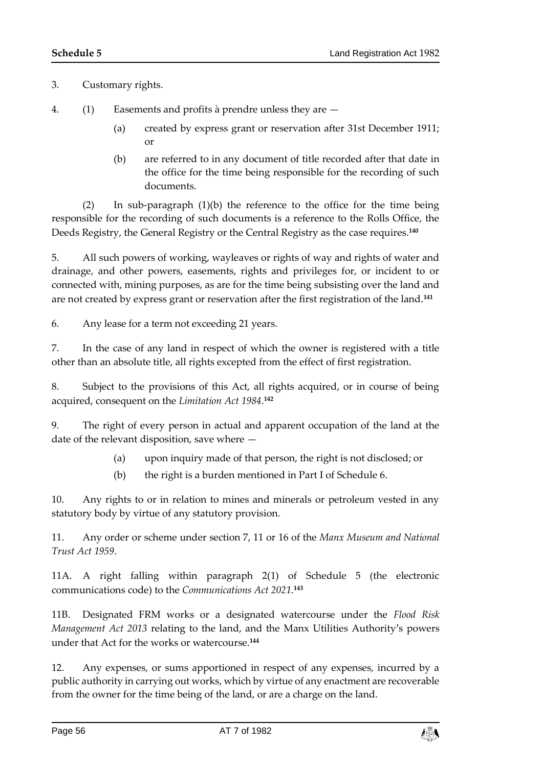3. Customary rights.

- 4. (1) Easements and profits à prendre unless they are
	- (a) created by express grant or reservation after 31st December 1911; or
	- (b) are referred to in any document of title recorded after that date in the office for the time being responsible for the recording of such documents.

(2) In sub-paragraph (1)(b) the reference to the office for the time being responsible for the recording of such documents is a reference to the Rolls Office, the Deeds Registry, the General Registry or the Central Registry as the case requires.**<sup>140</sup>**

5. All such powers of working, wayleaves or rights of way and rights of water and drainage, and other powers, easements, rights and privileges for, or incident to or connected with, mining purposes, as are for the time being subsisting over the land and are not created by express grant or reservation after the first registration of the land.**<sup>141</sup>**

6. Any lease for a term not exceeding 21 years.

7. In the case of any land in respect of which the owner is registered with a title other than an absolute title, all rights excepted from the effect of first registration.

8. Subject to the provisions of this Act, all rights acquired, or in course of being acquired, consequent on the *Limitation Act 1984*. **142**

9. The right of every person in actual and apparent occupation of the land at the date of the relevant disposition, save where —

- (a) upon inquiry made of that person, the right is not disclosed; or
- (b) the right is a burden mentioned in Part I of Schedule 6.

10. Any rights to or in relation to mines and minerals or petroleum vested in any statutory body by virtue of any statutory provision.

11. Any order or scheme under section 7, 11 or 16 of the *Manx Museum and National Trust Act 1959*.

11A. A right falling within paragraph 2(1) of Schedule 5 (the electronic communications code) to the *Communications Act 2021*. **143**

11B. Designated FRM works or a designated watercourse under the *Flood Risk Management Act 2013* relating to the land, and the Manx Utilities Authority's powers under that Act for the works or watercourse.**<sup>144</sup>**

12. Any expenses, or sums apportioned in respect of any expenses, incurred by a public authority in carrying out works, which by virtue of any enactment are recoverable from the owner for the time being of the land, or are a charge on the land.

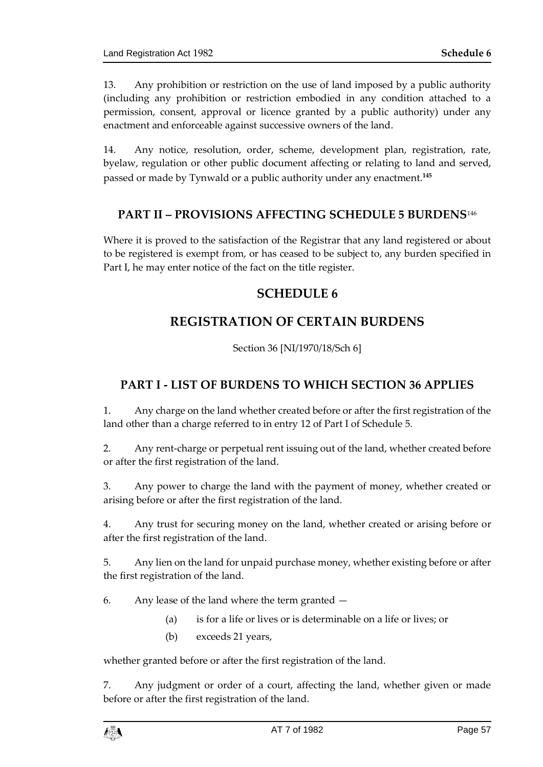13. Any prohibition or restriction on the use of land imposed by a public authority (including any prohibition or restriction embodied in any condition attached to a permission, consent, approval or licence granted by a public authority) under any enactment and enforceable against successive owners of the land.

14. Any notice, resolution, order, scheme, development plan, registration, rate, byelaw, regulation or other public document affecting or relating to land and served, passed or made by Tynwald or a public authority under any enactment.**<sup>145</sup>**

## **PART II – PROVISIONS AFFECTING SCHEDULE 5 BURDENS**<sup>146</sup>

Where it is proved to the satisfaction of the Registrar that any land registered or about to be registered is exempt from, or has ceased to be subject to, any burden specified in Part I, he may enter notice of the fact on the title register.

## **SCHEDULE 6**

# **REGISTRATION OF CERTAIN BURDENS**

Section 36 [NI/1970/18/Sch 6]

## **PART I - LIST OF BURDENS TO WHICH SECTION 36 APPLIES**

1. Any charge on the land whether created before or after the first registration of the land other than a charge referred to in entry 12 of Part I of Schedule 5.

2. Any rent-charge or perpetual rent issuing out of the land, whether created before or after the first registration of the land.

3. Any power to charge the land with the payment of money, whether created or arising before or after the first registration of the land.

4. Any trust for securing money on the land, whether created or arising before or after the first registration of the land.

5. Any lien on the land for unpaid purchase money, whether existing before or after the first registration of the land.

6. Any lease of the land where the term granted —

- (a) is for a life or lives or is determinable on a life or lives; or
- (b) exceeds 21 years,

whether granted before or after the first registration of the land.

7. Any judgment or order of a court, affecting the land, whether given or made before or after the first registration of the land.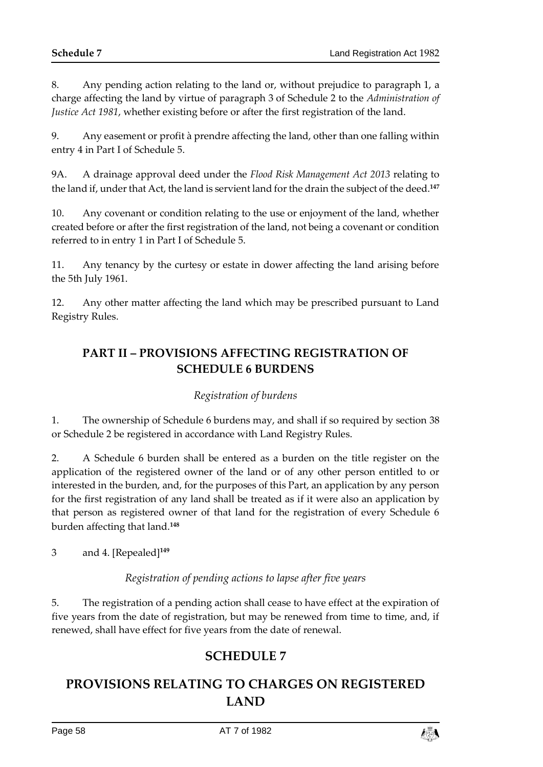8. Any pending action relating to the land or, without prejudice to paragraph 1, a charge affecting the land by virtue of paragraph 3 of Schedule 2 to the *Administration of Justice Act 1981*, whether existing before or after the first registration of the land.

9. Any easement or profit à prendre affecting the land, other than one falling within entry 4 in Part I of Schedule 5.

9A. A drainage approval deed under the *Flood Risk Management Act 2013* relating to the land if, under that Act, the land is servient land for the drain the subject of the deed.**<sup>147</sup>**

10. Any covenant or condition relating to the use or enjoyment of the land, whether created before or after the first registration of the land, not being a covenant or condition referred to in entry 1 in Part I of Schedule 5.

11. Any tenancy by the curtesy or estate in dower affecting the land arising before the 5th July 1961.

12. Any other matter affecting the land which may be prescribed pursuant to Land Registry Rules.

# **PART II – PROVISIONS AFFECTING REGISTRATION OF SCHEDULE 6 BURDENS**

## *Registration of burdens*

1. The ownership of Schedule 6 burdens may, and shall if so required by section 38 or Schedule 2 be registered in accordance with Land Registry Rules.

2. A Schedule 6 burden shall be entered as a burden on the title register on the application of the registered owner of the land or of any other person entitled to or interested in the burden, and, for the purposes of this Part, an application by any person for the first registration of any land shall be treated as if it were also an application by that person as registered owner of that land for the registration of every Schedule 6 burden affecting that land.**<sup>148</sup>**

3 and 4. [Repealed]**<sup>149</sup>**

## *Registration of pending actions to lapse after five years*

5. The registration of a pending action shall cease to have effect at the expiration of five years from the date of registration, but may be renewed from time to time, and, if renewed, shall have effect for five years from the date of renewal.

# **SCHEDULE 7**

# **PROVISIONS RELATING TO CHARGES ON REGISTERED LAND**

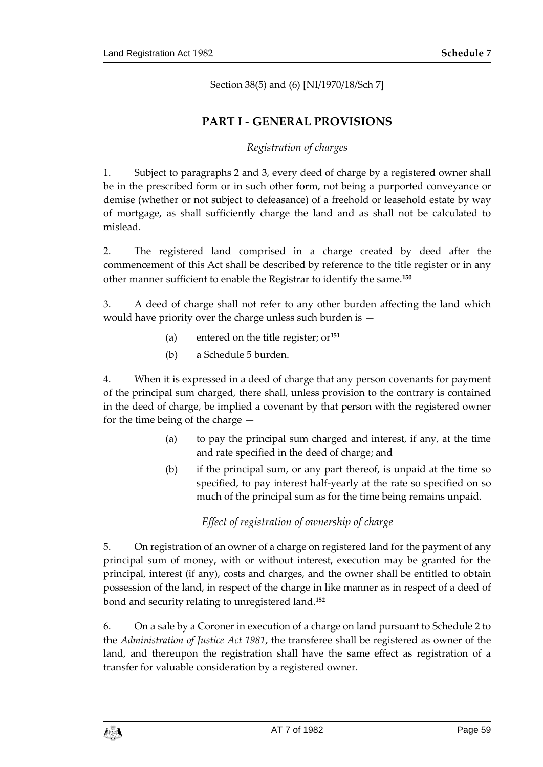Section 38(5) and (6) [NI/1970/18/Sch 7]

## **PART I - GENERAL PROVISIONS**

## *Registration of charges*

1. Subject to paragraphs 2 and 3, every deed of charge by a registered owner shall be in the prescribed form or in such other form, not being a purported conveyance or demise (whether or not subject to defeasance) of a freehold or leasehold estate by way of mortgage, as shall sufficiently charge the land and as shall not be calculated to mislead.

2. The registered land comprised in a charge created by deed after the commencement of this Act shall be described by reference to the title register or in any other manner sufficient to enable the Registrar to identify the same.**<sup>150</sup>**

3. A deed of charge shall not refer to any other burden affecting the land which would have priority over the charge unless such burden is —

- (a) entered on the title register; or**<sup>151</sup>**
- (b) a Schedule 5 burden.

4. When it is expressed in a deed of charge that any person covenants for payment of the principal sum charged, there shall, unless provision to the contrary is contained in the deed of charge, be implied a covenant by that person with the registered owner for the time being of the charge —

- (a) to pay the principal sum charged and interest, if any, at the time and rate specified in the deed of charge; and
- (b) if the principal sum, or any part thereof, is unpaid at the time so specified, to pay interest half-yearly at the rate so specified on so much of the principal sum as for the time being remains unpaid.

## *Effect of registration of ownership of charge*

5. On registration of an owner of a charge on registered land for the payment of any principal sum of money, with or without interest, execution may be granted for the principal, interest (if any), costs and charges, and the owner shall be entitled to obtain possession of the land, in respect of the charge in like manner as in respect of a deed of bond and security relating to unregistered land.**<sup>152</sup>**

6. On a sale by a Coroner in execution of a charge on land pursuant to Schedule 2 to the *Administration of Justice Act 1981*, the transferee shall be registered as owner of the land, and thereupon the registration shall have the same effect as registration of a transfer for valuable consideration by a registered owner.

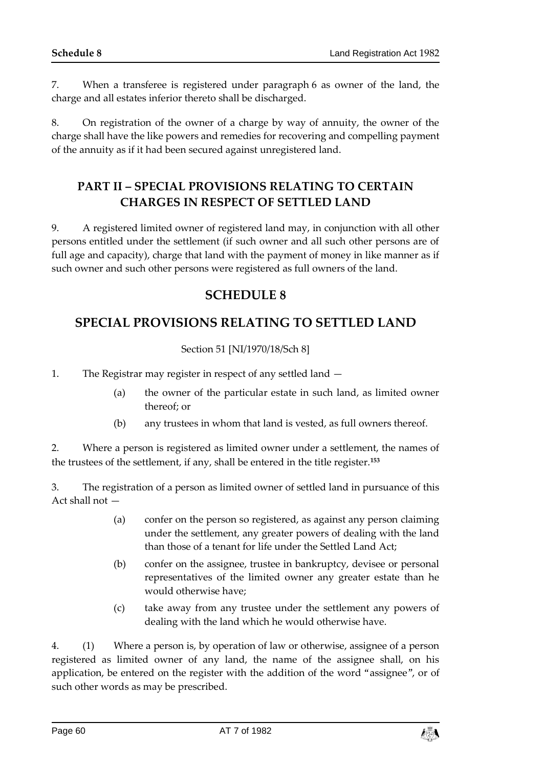7. When a transferee is registered under paragraph 6 as owner of the land, the charge and all estates inferior thereto shall be discharged.

8. On registration of the owner of a charge by way of annuity, the owner of the charge shall have the like powers and remedies for recovering and compelling payment of the annuity as if it had been secured against unregistered land.

# **PART II – SPECIAL PROVISIONS RELATING TO CERTAIN CHARGES IN RESPECT OF SETTLED LAND**

9. A registered limited owner of registered land may, in conjunction with all other persons entitled under the settlement (if such owner and all such other persons are of full age and capacity), charge that land with the payment of money in like manner as if such owner and such other persons were registered as full owners of the land.

# **SCHEDULE 8**

# **SPECIAL PROVISIONS RELATING TO SETTLED LAND**

## Section 51 [NI/1970/18/Sch 8]

1. The Registrar may register in respect of any settled land —

- (a) the owner of the particular estate in such land, as limited owner thereof; or
- (b) any trustees in whom that land is vested, as full owners thereof.

2. Where a person is registered as limited owner under a settlement, the names of the trustees of the settlement, if any, shall be entered in the title register.**<sup>153</sup>**

3. The registration of a person as limited owner of settled land in pursuance of this Act shall not —

- (a) confer on the person so registered, as against any person claiming under the settlement, any greater powers of dealing with the land than those of a tenant for life under the Settled Land Act;
- (b) confer on the assignee, trustee in bankruptcy, devisee or personal representatives of the limited owner any greater estate than he would otherwise have;
- (c) take away from any trustee under the settlement any powers of dealing with the land which he would otherwise have.

4. (1) Where a person is, by operation of law or otherwise, assignee of a person registered as limited owner of any land, the name of the assignee shall, on his application, be entered on the register with the addition of the word "assignee", or of such other words as may be prescribed.

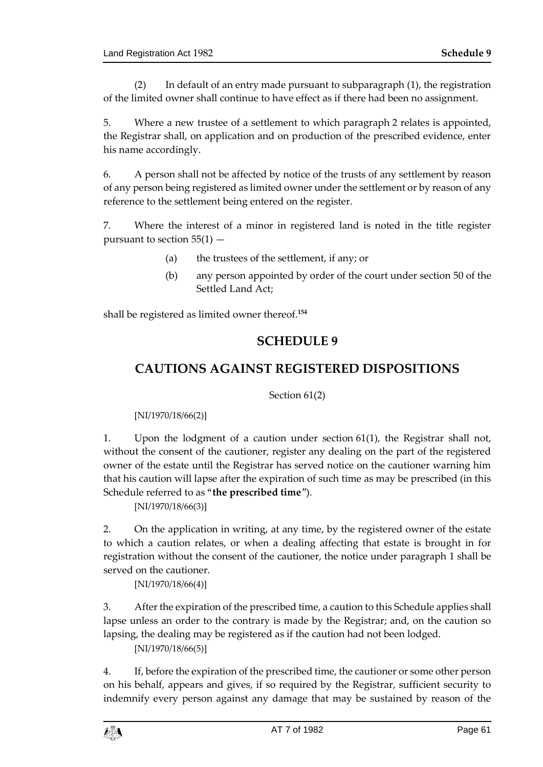(2) In default of an entry made pursuant to subparagraph (1), the registration of the limited owner shall continue to have effect as if there had been no assignment.

5. Where a new trustee of a settlement to which paragraph 2 relates is appointed, the Registrar shall, on application and on production of the prescribed evidence, enter his name accordingly.

6. A person shall not be affected by notice of the trusts of any settlement by reason of any person being registered as limited owner under the settlement or by reason of any reference to the settlement being entered on the register.

7. Where the interest of a minor in registered land is noted in the title register pursuant to section  $55(1)$  -

- (a) the trustees of the settlement, if any; or
- (b) any person appointed by order of the court under section 50 of the Settled Land Act;

shall be registered as limited owner thereof.**<sup>154</sup>**

## **SCHEDULE 9**

# **CAUTIONS AGAINST REGISTERED DISPOSITIONS**

Section 61(2)

[NI/1970/18/66(2)]

1. Upon the lodgment of a caution under section 61(1), the Registrar shall not, without the consent of the cautioner, register any dealing on the part of the registered owner of the estate until the Registrar has served notice on the cautioner warning him that his caution will lapse after the expiration of such time as may be prescribed (in this Schedule referred to as "**the prescribed time**").

[NI/1970/18/66(3)]

2. On the application in writing, at any time, by the registered owner of the estate to which a caution relates, or when a dealing affecting that estate is brought in for registration without the consent of the cautioner, the notice under paragraph 1 shall be served on the cautioner.

[NI/1970/18/66(4)]

3. After the expiration of the prescribed time, a caution to this Schedule applies shall lapse unless an order to the contrary is made by the Registrar; and, on the caution so lapsing, the dealing may be registered as if the caution had not been lodged.

[NI/1970/18/66(5)]

4. If, before the expiration of the prescribed time, the cautioner or some other person on his behalf, appears and gives, if so required by the Registrar, sufficient security to indemnify every person against any damage that may be sustained by reason of the

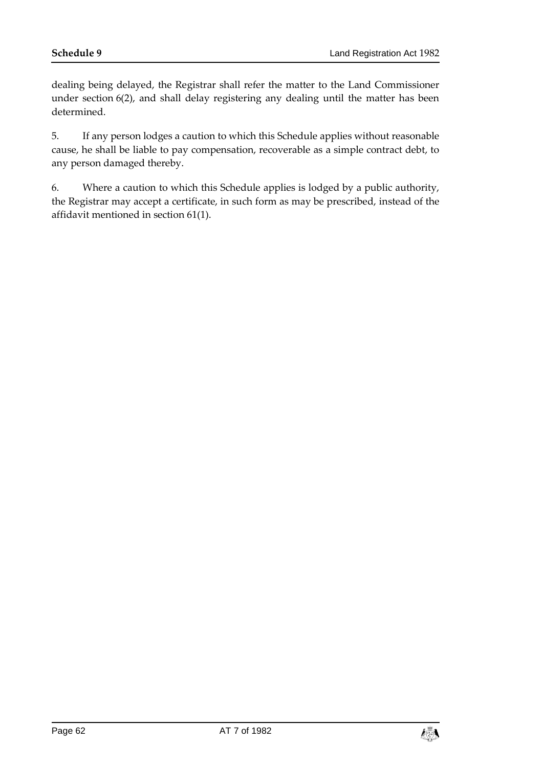dealing being delayed, the Registrar shall refer the matter to the Land Commissioner under section 6(2), and shall delay registering any dealing until the matter has been determined.

5. If any person lodges a caution to which this Schedule applies without reasonable cause, he shall be liable to pay compensation, recoverable as a simple contract debt, to any person damaged thereby.

6. Where a caution to which this Schedule applies is lodged by a public authority, the Registrar may accept a certificate, in such form as may be prescribed, instead of the affidavit mentioned in section 61(1).

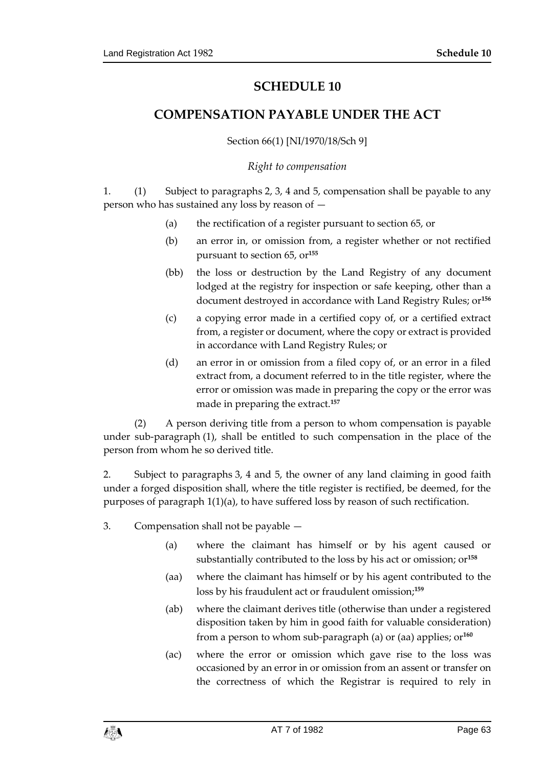# **SCHEDULE 10**

## **COMPENSATION PAYABLE UNDER THE ACT**

Section 66(1) [NI/1970/18/Sch 9]

#### *Right to compensation*

1. (1) Subject to paragraphs 2, 3, 4 and 5, compensation shall be payable to any person who has sustained any loss by reason of —

- (a) the rectification of a register pursuant to section 65, or
- (b) an error in, or omission from, a register whether or not rectified pursuant to section 65, or**<sup>155</sup>**
- (bb) the loss or destruction by the Land Registry of any document lodged at the registry for inspection or safe keeping, other than a document destroyed in accordance with Land Registry Rules; or**<sup>156</sup>**
- (c) a copying error made in a certified copy of, or a certified extract from, a register or document, where the copy or extract is provided in accordance with Land Registry Rules; or
- (d) an error in or omission from a filed copy of, or an error in a filed extract from, a document referred to in the title register, where the error or omission was made in preparing the copy or the error was made in preparing the extract.**<sup>157</sup>**

(2) A person deriving title from a person to whom compensation is payable under sub-paragraph (1), shall be entitled to such compensation in the place of the person from whom he so derived title.

2. Subject to paragraphs 3, 4 and 5, the owner of any land claiming in good faith under a forged disposition shall, where the title register is rectified, be deemed, for the purposes of paragraph 1(1)(a), to have suffered loss by reason of such rectification.

- 3. Compensation shall not be payable
	- (a) where the claimant has himself or by his agent caused or substantially contributed to the loss by his act or omission; or**<sup>158</sup>**
	- (aa) where the claimant has himself or by his agent contributed to the loss by his fraudulent act or fraudulent omission;**<sup>159</sup>**
	- (ab) where the claimant derives title (otherwise than under a registered disposition taken by him in good faith for valuable consideration) from a person to whom sub-paragraph (a) or (aa) applies; or**<sup>160</sup>**
	- (ac) where the error or omission which gave rise to the loss was occasioned by an error in or omission from an assent or transfer on the correctness of which the Registrar is required to rely in

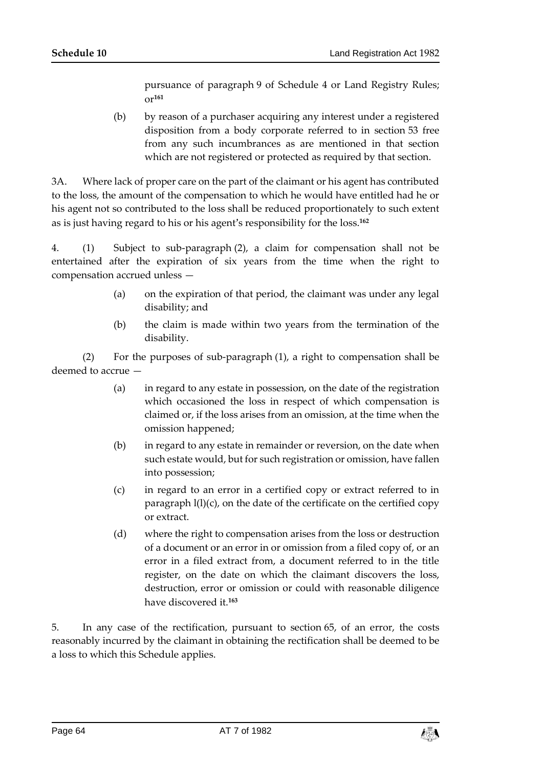pursuance of paragraph 9 of Schedule 4 or Land Registry Rules; or**<sup>161</sup>**

(b) by reason of a purchaser acquiring any interest under a registered disposition from a body corporate referred to in section 53 free from any such incumbrances as are mentioned in that section which are not registered or protected as required by that section.

3A. Where lack of proper care on the part of the claimant or his agent has contributed to the loss, the amount of the compensation to which he would have entitled had he or his agent not so contributed to the loss shall be reduced proportionately to such extent as is just having regard to his or his agent's responsibility for the loss.**<sup>162</sup>**

4. (1) Subject to sub-paragraph (2), a claim for compensation shall not be entertained after the expiration of six years from the time when the right to compensation accrued unless —

- (a) on the expiration of that period, the claimant was under any legal disability; and
- (b) the claim is made within two years from the termination of the disability.

(2) For the purposes of sub-paragraph (1), a right to compensation shall be deemed to accrue —

- (a) in regard to any estate in possession, on the date of the registration which occasioned the loss in respect of which compensation is claimed or, if the loss arises from an omission, at the time when the omission happened;
- (b) in regard to any estate in remainder or reversion, on the date when such estate would, but for such registration or omission, have fallen into possession;
- (c) in regard to an error in a certified copy or extract referred to in paragraph  $l(l)(c)$ , on the date of the certificate on the certified copy or extract.
- (d) where the right to compensation arises from the loss or destruction of a document or an error in or omission from a filed copy of, or an error in a filed extract from, a document referred to in the title register, on the date on which the claimant discovers the loss, destruction, error or omission or could with reasonable diligence have discovered it.**<sup>163</sup>**

5. In any case of the rectification, pursuant to section 65, of an error, the costs reasonably incurred by the claimant in obtaining the rectification shall be deemed to be a loss to which this Schedule applies.

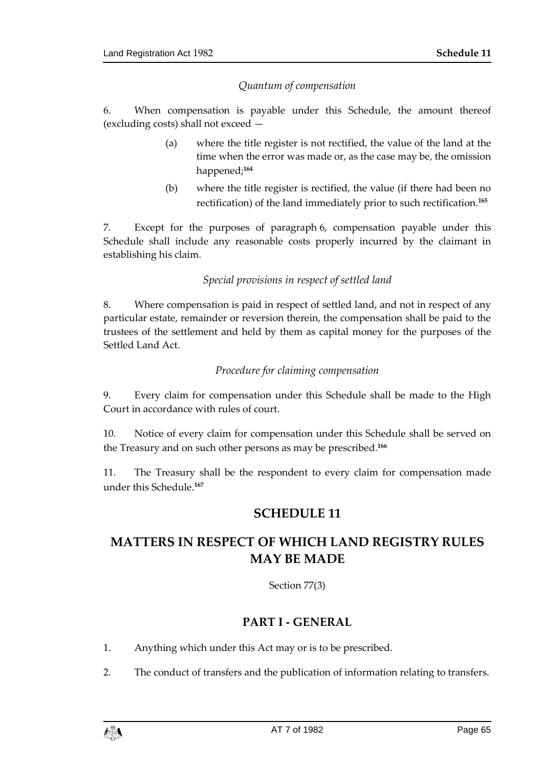## *Quantum of compensation*

6. When compensation is payable under this Schedule, the amount thereof (excluding costs) shall not exceed —

- (a) where the title register is not rectified, the value of the land at the time when the error was made or, as the case may be, the omission happened;**<sup>164</sup>**
- (b) where the title register is rectified, the value (if there had been no rectification) of the land immediately prior to such rectification.**<sup>165</sup>**

7. Except for the purposes of paragraph 6, compensation payable under this Schedule shall include any reasonable costs properly incurred by the claimant in establishing his claim.

## *Special provisions in respect of settled land*

8. Where compensation is paid in respect of settled land, and not in respect of any particular estate, remainder or reversion therein, the compensation shall be paid to the trustees of the settlement and held by them as capital money for the purposes of the Settled Land Act.

## *Procedure for claiming compensation*

9. Every claim for compensation under this Schedule shall be made to the High Court in accordance with rules of court.

10. Notice of every claim for compensation under this Schedule shall be served on the Treasury and on such other persons as may be prescribed.**<sup>166</sup>**

11. The Treasury shall be the respondent to every claim for compensation made under this Schedule.**<sup>167</sup>**

## **SCHEDULE 11**

# **MATTERS IN RESPECT OF WHICH LAND REGISTRY RULES MAY BE MADE**

Section 77(3)

## **PART I - GENERAL**

- 1. Anything which under this Act may or is to be prescribed.
- 2. The conduct of transfers and the publication of information relating to transfers.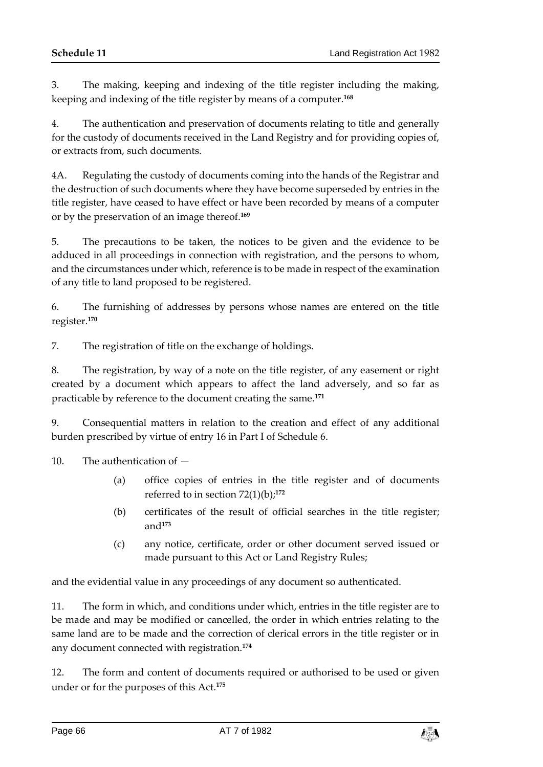3. The making, keeping and indexing of the title register including the making, keeping and indexing of the title register by means of a computer.**<sup>168</sup>**

4. The authentication and preservation of documents relating to title and generally for the custody of documents received in the Land Registry and for providing copies of, or extracts from, such documents.

4A. Regulating the custody of documents coming into the hands of the Registrar and the destruction of such documents where they have become superseded by entries in the title register, have ceased to have effect or have been recorded by means of a computer or by the preservation of an image thereof.**<sup>169</sup>**

5. The precautions to be taken, the notices to be given and the evidence to be adduced in all proceedings in connection with registration, and the persons to whom, and the circumstances under which, reference is to be made in respect of the examination of any title to land proposed to be registered.

6. The furnishing of addresses by persons whose names are entered on the title register.**<sup>170</sup>**

7. The registration of title on the exchange of holdings.

8. The registration, by way of a note on the title register, of any easement or right created by a document which appears to affect the land adversely, and so far as practicable by reference to the document creating the same.**<sup>171</sup>**

9. Consequential matters in relation to the creation and effect of any additional burden prescribed by virtue of entry 16 in Part I of Schedule 6.

10. The authentication of —

- (a) office copies of entries in the title register and of documents referred to in section  $72(1)(b)$ ;<sup>172</sup>
- (b) certificates of the result of official searches in the title register; and**<sup>173</sup>**
- (c) any notice, certificate, order or other document served issued or made pursuant to this Act or Land Registry Rules;

and the evidential value in any proceedings of any document so authenticated.

11. The form in which, and conditions under which, entries in the title register are to be made and may be modified or cancelled, the order in which entries relating to the same land are to be made and the correction of clerical errors in the title register or in any document connected with registration.**<sup>174</sup>**

12. The form and content of documents required or authorised to be used or given under or for the purposes of this Act.**175**

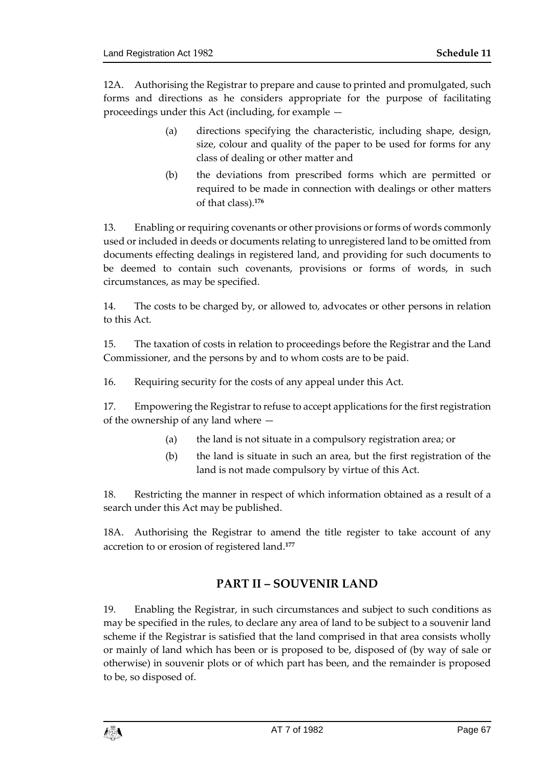12A. Authorising the Registrar to prepare and cause to printed and promulgated, such forms and directions as he considers appropriate for the purpose of facilitating proceedings under this Act (including, for example —

- (a) directions specifying the characteristic, including shape, design, size, colour and quality of the paper to be used for forms for any class of dealing or other matter and
- (b) the deviations from prescribed forms which are permitted or required to be made in connection with dealings or other matters of that class).**<sup>176</sup>**

13. Enabling or requiring covenants or other provisions or forms of words commonly used or included in deeds or documents relating to unregistered land to be omitted from documents effecting dealings in registered land, and providing for such documents to be deemed to contain such covenants, provisions or forms of words, in such circumstances, as may be specified.

14. The costs to be charged by, or allowed to, advocates or other persons in relation to this Act.

15. The taxation of costs in relation to proceedings before the Registrar and the Land Commissioner, and the persons by and to whom costs are to be paid.

16. Requiring security for the costs of any appeal under this Act.

17. Empowering the Registrar to refuse to accept applications for the first registration of the ownership of any land where —

- (a) the land is not situate in a compulsory registration area; or
- (b) the land is situate in such an area, but the first registration of the land is not made compulsory by virtue of this Act.

18. Restricting the manner in respect of which information obtained as a result of a search under this Act may be published.

18A. Authorising the Registrar to amend the title register to take account of any accretion to or erosion of registered land.**<sup>177</sup>**

## **PART II – SOUVENIR LAND**

19. Enabling the Registrar, in such circumstances and subject to such conditions as may be specified in the rules, to declare any area of land to be subject to a souvenir land scheme if the Registrar is satisfied that the land comprised in that area consists wholly or mainly of land which has been or is proposed to be, disposed of (by way of sale or otherwise) in souvenir plots or of which part has been, and the remainder is proposed to be, so disposed of.

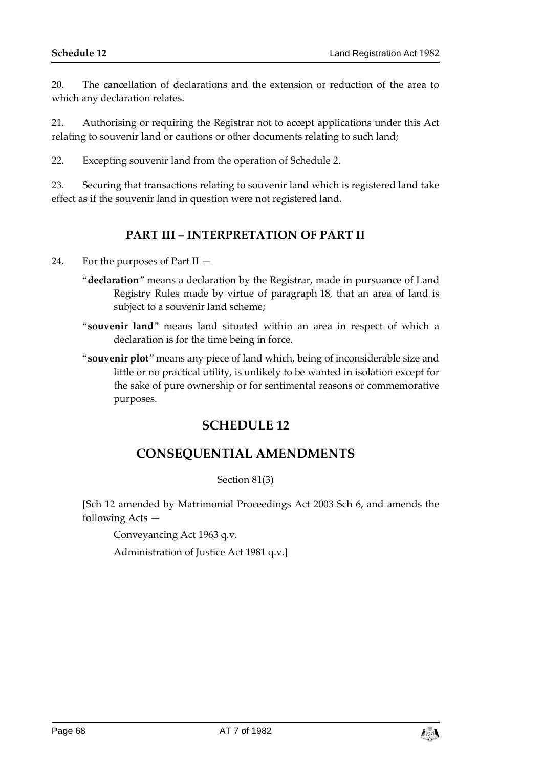20. The cancellation of declarations and the extension or reduction of the area to which any declaration relates.

21. Authorising or requiring the Registrar not to accept applications under this Act relating to souvenir land or cautions or other documents relating to such land;

22. Excepting souvenir land from the operation of Schedule 2.

23. Securing that transactions relating to souvenir land which is registered land take effect as if the souvenir land in question were not registered land.

## **PART III – INTERPRETATION OF PART II**

24. For the purposes of Part II —

- "**declaration**" means a declaration by the Registrar, made in pursuance of Land Registry Rules made by virtue of paragraph 18, that an area of land is subject to a souvenir land scheme;
- "**souvenir land**" means land situated within an area in respect of which a declaration is for the time being in force.
- "**souvenir plot**" means any piece of land which, being of inconsiderable size and little or no practical utility, is unlikely to be wanted in isolation except for the sake of pure ownership or for sentimental reasons or commemorative purposes.

# **SCHEDULE 12**

# **CONSEQUENTIAL AMENDMENTS**

#### Section 81(3)

[Sch 12 amended by Matrimonial Proceedings Act 2003 Sch 6, and amends the following Acts —

Conveyancing Act 1963 q.v.

Administration of Justice Act 1981 q.v.]

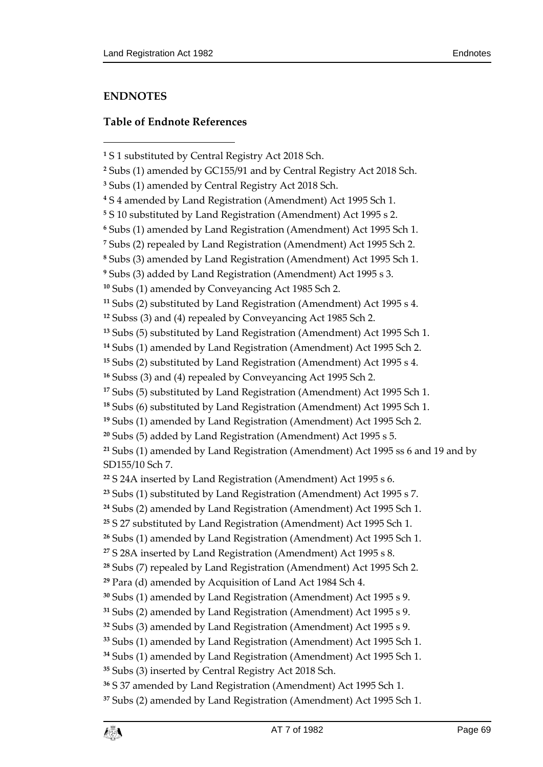## **ENDNOTES**

## **Table of Endnote References**

```
11 Subs (2) substituted by Land Registration (Amendment) Act 1995 s 4.
```

```
12 Subss (3) and (4) repealed by Conveyancing Act 1985 Sch 2.
```

```
13 Subs (5) substituted by Land Registration (Amendment) Act 1995 Sch 1.
```

```
14 Subs (1) amended by Land Registration (Amendment) Act 1995 Sch 2.
```

```
15 Subs (2) substituted by Land Registration (Amendment) Act 1995 s 4.
```

```
16 Subss (3) and (4) repealed by Conveyancing Act 1995 Sch 2.
```

```
17 Subs (5) substituted by Land Registration (Amendment) Act 1995 Sch 1.
```

```
18 Subs (6) substituted by Land Registration (Amendment) Act 1995 Sch 1.
```

```
19 Subs (1) amended by Land Registration (Amendment) Act 1995 Sch 2.
```

```
20 Subs (5) added by Land Registration (Amendment) Act 1995 s 5.
```
 Subs (1) amended by Land Registration (Amendment) Act 1995 ss 6 and 19 and by SD155/10 Sch 7.

```
22 S 24A inserted by Land Registration (Amendment) Act 1995 s 6.
```

```
23 Subs (1) substituted by Land Registration (Amendment) Act 1995 s 7.
```

```
24 Subs (2) amended by Land Registration (Amendment) Act 1995 Sch 1.
```

```
25 S 27 substituted by Land Registration (Amendment) Act 1995 Sch 1.
```

```
26 Subs (1) amended by Land Registration (Amendment) Act 1995 Sch 1.
```

```
27 S 28A inserted by Land Registration (Amendment) Act 1995 s 8.
```

```
28 Subs (7) repealed by Land Registration (Amendment) Act 1995 Sch 2.
```

```
29 Para (d) amended by Acquisition of Land Act 1984 Sch 4.
```

```
30 Subs (1) amended by Land Registration (Amendment) Act 1995 s 9.
```

```
31 Subs (2) amended by Land Registration (Amendment) Act 1995 s 9.
```

```
32 Subs (3) amended by Land Registration (Amendment) Act 1995 s 9.
```

```
33 Subs (1) amended by Land Registration (Amendment) Act 1995 Sch 1.
```

```
34 Subs (1) amended by Land Registration (Amendment) Act 1995 Sch 1.
```

```
35 Subs (3) inserted by Central Registry Act 2018 Sch.
```
S 37 amended by Land Registration (Amendment) Act 1995 Sch 1.

```
37 Subs (2) amended by Land Registration (Amendment) Act 1995 Sch 1.
```
S 1 substituted by Central Registry Act 2018 Sch.

Subs (1) amended by GC155/91 and by Central Registry Act 2018 Sch.

Subs (1) amended by Central Registry Act 2018 Sch.

S 4 amended by Land Registration (Amendment) Act 1995 Sch 1.

S 10 substituted by Land Registration (Amendment) Act 1995 s 2.

Subs (1) amended by Land Registration (Amendment) Act 1995 Sch 1.

Subs (2) repealed by Land Registration (Amendment) Act 1995 Sch 2.

Subs (3) amended by Land Registration (Amendment) Act 1995 Sch 1.

Subs (3) added by Land Registration (Amendment) Act 1995 s 3.

Subs (1) amended by Conveyancing Act 1985 Sch 2.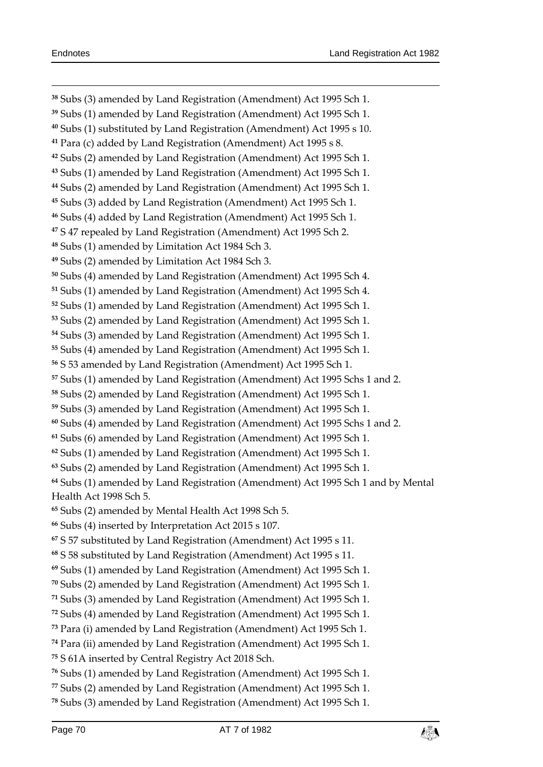Subs (3) amended by Land Registration (Amendment) Act 1995 Sch 1. Subs (1) amended by Land Registration (Amendment) Act 1995 Sch 1. Subs (1) substituted by Land Registration (Amendment) Act 1995 s 10. Para (c) added by Land Registration (Amendment) Act 1995 s 8. Subs (2) amended by Land Registration (Amendment) Act 1995 Sch 1. Subs (1) amended by Land Registration (Amendment) Act 1995 Sch 1. Subs (2) amended by Land Registration (Amendment) Act 1995 Sch 1. Subs (3) added by Land Registration (Amendment) Act 1995 Sch 1. Subs (4) added by Land Registration (Amendment) Act 1995 Sch 1. S 47 repealed by Land Registration (Amendment) Act 1995 Sch 2. Subs (1) amended by Limitation Act 1984 Sch 3. Subs (2) amended by Limitation Act 1984 Sch 3. Subs (4) amended by Land Registration (Amendment) Act 1995 Sch 4. Subs (1) amended by Land Registration (Amendment) Act 1995 Sch 4. Subs (1) amended by Land Registration (Amendment) Act 1995 Sch 1. Subs (2) amended by Land Registration (Amendment) Act 1995 Sch 1. Subs (3) amended by Land Registration (Amendment) Act 1995 Sch 1. Subs (4) amended by Land Registration (Amendment) Act 1995 Sch 1. S 53 amended by Land Registration (Amendment) Act 1995 Sch 1. Subs (1) amended by Land Registration (Amendment) Act 1995 Schs 1 and 2. Subs (2) amended by Land Registration (Amendment) Act 1995 Sch 1. Subs (3) amended by Land Registration (Amendment) Act 1995 Sch 1. Subs (4) amended by Land Registration (Amendment) Act 1995 Schs 1 and 2. Subs (6) amended by Land Registration (Amendment) Act 1995 Sch 1. Subs (1) amended by Land Registration (Amendment) Act 1995 Sch 1. Subs (2) amended by Land Registration (Amendment) Act 1995 Sch 1. Subs (1) amended by Land Registration (Amendment) Act 1995 Sch 1 and by Mental Health Act 1998 Sch 5. Subs (2) amended by Mental Health Act 1998 Sch 5. Subs (4) inserted by Interpretation Act 2015 s 107. S 57 substituted by Land Registration (Amendment) Act 1995 s 11. S 58 substituted by Land Registration (Amendment) Act 1995 s 11. Subs (1) amended by Land Registration (Amendment) Act 1995 Sch 1. Subs (2) amended by Land Registration (Amendment) Act 1995 Sch 1. Subs (3) amended by Land Registration (Amendment) Act 1995 Sch 1. Subs (4) amended by Land Registration (Amendment) Act 1995 Sch 1. Para (i) amended by Land Registration (Amendment) Act 1995 Sch 1. Para (ii) amended by Land Registration (Amendment) Act 1995 Sch 1. S 61A inserted by Central Registry Act 2018 Sch. Subs (1) amended by Land Registration (Amendment) Act 1995 Sch 1. Subs (2) amended by Land Registration (Amendment) Act 1995 Sch 1.

Subs (3) amended by Land Registration (Amendment) Act 1995 Sch 1.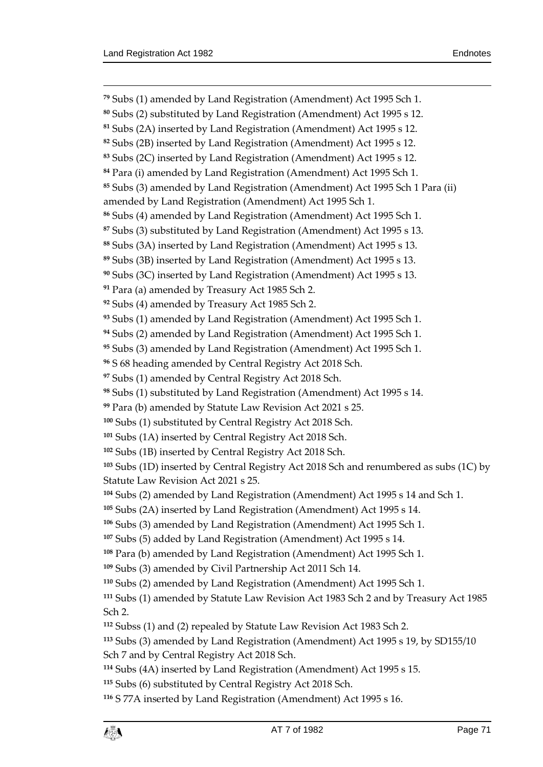$\overline{a}$ 

 Subs (1) amended by Land Registration (Amendment) Act 1995 Sch 1. Subs (2) substituted by Land Registration (Amendment) Act 1995 s 12. Subs (2A) inserted by Land Registration (Amendment) Act 1995 s 12. Subs (2B) inserted by Land Registration (Amendment) Act 1995 s 12. Subs (2C) inserted by Land Registration (Amendment) Act 1995 s 12. Para (i) amended by Land Registration (Amendment) Act 1995 Sch 1. Subs (3) amended by Land Registration (Amendment) Act 1995 Sch 1 Para (ii) amended by Land Registration (Amendment) Act 1995 Sch 1. Subs (4) amended by Land Registration (Amendment) Act 1995 Sch 1. Subs (3) substituted by Land Registration (Amendment) Act 1995 s 13. Subs (3A) inserted by Land Registration (Amendment) Act 1995 s 13. Subs (3B) inserted by Land Registration (Amendment) Act 1995 s 13. Subs (3C) inserted by Land Registration (Amendment) Act 1995 s 13. Para (a) amended by Treasury Act 1985 Sch 2. Subs (4) amended by Treasury Act 1985 Sch 2. Subs (1) amended by Land Registration (Amendment) Act 1995 Sch 1. Subs (2) amended by Land Registration (Amendment) Act 1995 Sch 1. Subs (3) amended by Land Registration (Amendment) Act 1995 Sch 1. S 68 heading amended by Central Registry Act 2018 Sch. Subs (1) amended by Central Registry Act 2018 Sch. Subs (1) substituted by Land Registration (Amendment) Act 1995 s 14. Para (b) amended by Statute Law Revision Act 2021 s 25. Subs (1) substituted by Central Registry Act 2018 Sch. Subs (1A) inserted by Central Registry Act 2018 Sch. Subs (1B) inserted by Central Registry Act 2018 Sch. Subs (1D) inserted by Central Registry Act 2018 Sch and renumbered as subs (1C) by Statute Law Revision Act 2021 s 25. Subs (2) amended by Land Registration (Amendment) Act 1995 s 14 and Sch 1. Subs (2A) inserted by Land Registration (Amendment) Act 1995 s 14. Subs (3) amended by Land Registration (Amendment) Act 1995 Sch 1. Subs (5) added by Land Registration (Amendment) Act 1995 s 14. Para (b) amended by Land Registration (Amendment) Act 1995 Sch 1. Subs (3) amended by Civil Partnership Act 2011 Sch 14. Subs (2) amended by Land Registration (Amendment) Act 1995 Sch 1. Subs (1) amended by Statute Law Revision Act 1983 Sch 2 and by Treasury Act 1985 Sch 2. Subss (1) and (2) repealed by Statute Law Revision Act 1983 Sch 2. Subs (3) amended by Land Registration (Amendment) Act 1995 s 19, by SD155/10 Sch 7 and by Central Registry Act 2018 Sch. Subs (4A) inserted by Land Registration (Amendment) Act 1995 s 15. Subs (6) substituted by Central Registry Act 2018 Sch. S 77A inserted by Land Registration (Amendment) Act 1995 s 16.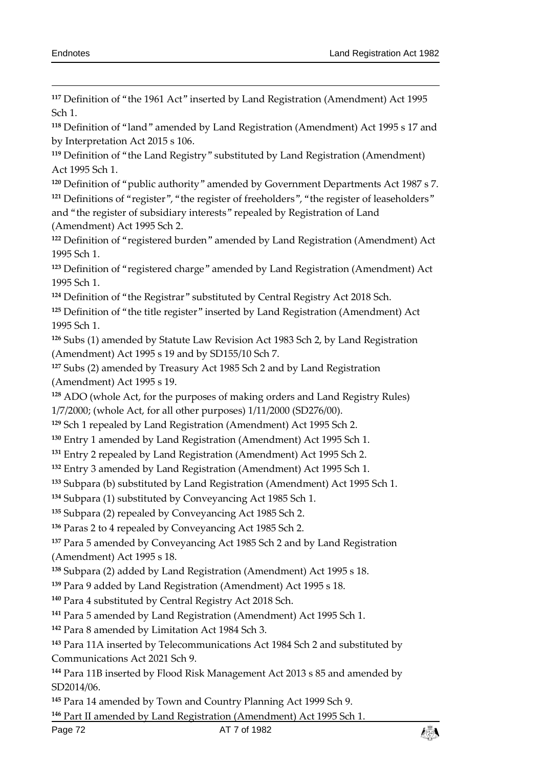Definition of "the 1961 Act" inserted by Land Registration (Amendment) Act 1995 Sch 1.

 Definition of "land" amended by Land Registration (Amendment) Act 1995 s 17 and by Interpretation Act 2015 s 106.

 Definition of "the Land Registry" substituted by Land Registration (Amendment) Act 1995 Sch 1.

Definition of "public authority" amended by Government Departments Act 1987 s 7.

<sup>121</sup> Definitions of "register", "the register of freeholders", "the register of leaseholders" and "the register of subsidiary interests" repealed by Registration of Land (Amendment) Act 1995 Sch 2.

 Definition of "registered burden" amended by Land Registration (Amendment) Act 1995 Sch 1.

 Definition of "registered charge" amended by Land Registration (Amendment) Act 1995 Sch 1.

Definition of "the Registrar" substituted by Central Registry Act 2018 Sch.

 Definition of "the title register" inserted by Land Registration (Amendment) Act 1995 Sch 1.

 Subs (1) amended by Statute Law Revision Act 1983 Sch 2, by Land Registration (Amendment) Act 1995 s 19 and by SD155/10 Sch 7.

 Subs (2) amended by Treasury Act 1985 Sch 2 and by Land Registration (Amendment) Act 1995 s 19.

 ADO (whole Act, for the purposes of making orders and Land Registry Rules) 1/7/2000; (whole Act, for all other purposes) 1/11/2000 (SD276/00).

Sch 1 repealed by Land Registration (Amendment) Act 1995 Sch 2.

Entry 1 amended by Land Registration (Amendment) Act 1995 Sch 1.

Entry 2 repealed by Land Registration (Amendment) Act 1995 Sch 2.

Entry 3 amended by Land Registration (Amendment) Act 1995 Sch 1.

Subpara (b) substituted by Land Registration (Amendment) Act 1995 Sch 1.

Subpara (1) substituted by Conveyancing Act 1985 Sch 1.

Subpara (2) repealed by Conveyancing Act 1985 Sch 2.

Paras 2 to 4 repealed by Conveyancing Act 1985 Sch 2.

 Para 5 amended by Conveyancing Act 1985 Sch 2 and by Land Registration (Amendment) Act 1995 s 18.

Subpara (2) added by Land Registration (Amendment) Act 1995 s 18.

Para 9 added by Land Registration (Amendment) Act 1995 s 18.

Para 4 substituted by Central Registry Act 2018 Sch.

Para 5 amended by Land Registration (Amendment) Act 1995 Sch 1.

Para 8 amended by Limitation Act 1984 Sch 3.

 Para 11A inserted by Telecommunications Act 1984 Sch 2 and substituted by Communications Act 2021 Sch 9.

 Para 11B inserted by Flood Risk Management Act 2013 s 85 and amended by SD2014/06.

Para 14 amended by Town and Country Planning Act 1999 Sch 9.

Part II amended by Land Registration (Amendment) Act 1995 Sch 1.